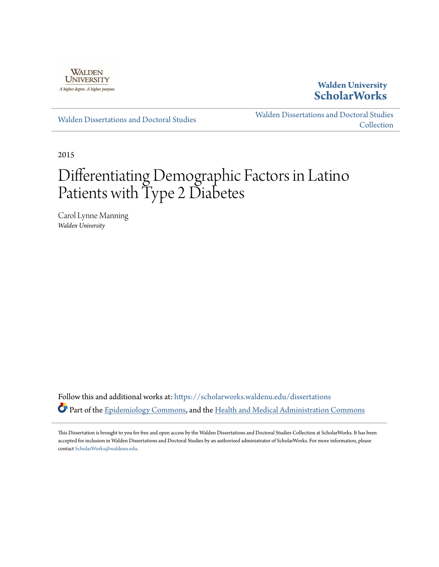

**Walden University [ScholarWorks](https://scholarworks.waldenu.edu?utm_source=scholarworks.waldenu.edu%2Fdissertations%2F1446&utm_medium=PDF&utm_campaign=PDFCoverPages)**

[Walden Dissertations and Doctoral Studies](https://scholarworks.waldenu.edu/dissertations?utm_source=scholarworks.waldenu.edu%2Fdissertations%2F1446&utm_medium=PDF&utm_campaign=PDFCoverPages)

[Walden Dissertations and Doctoral Studies](https://scholarworks.waldenu.edu/dissanddoc?utm_source=scholarworks.waldenu.edu%2Fdissertations%2F1446&utm_medium=PDF&utm_campaign=PDFCoverPages) **[Collection](https://scholarworks.waldenu.edu/dissanddoc?utm_source=scholarworks.waldenu.edu%2Fdissertations%2F1446&utm_medium=PDF&utm_campaign=PDFCoverPages)** 

2015

# Differentiating Demographic Factors in Latino Patients with Type 2 Diabetes

Carol Lynne Manning *Walden University*

Follow this and additional works at: [https://scholarworks.waldenu.edu/dissertations](https://scholarworks.waldenu.edu/dissertations?utm_source=scholarworks.waldenu.edu%2Fdissertations%2F1446&utm_medium=PDF&utm_campaign=PDFCoverPages) Part of the [Epidemiology Commons](http://network.bepress.com/hgg/discipline/740?utm_source=scholarworks.waldenu.edu%2Fdissertations%2F1446&utm_medium=PDF&utm_campaign=PDFCoverPages), and the [Health and Medical Administration Commons](http://network.bepress.com/hgg/discipline/663?utm_source=scholarworks.waldenu.edu%2Fdissertations%2F1446&utm_medium=PDF&utm_campaign=PDFCoverPages)

This Dissertation is brought to you for free and open access by the Walden Dissertations and Doctoral Studies Collection at ScholarWorks. It has been accepted for inclusion in Walden Dissertations and Doctoral Studies by an authorized administrator of ScholarWorks. For more information, please contact [ScholarWorks@waldenu.edu](mailto:ScholarWorks@waldenu.edu).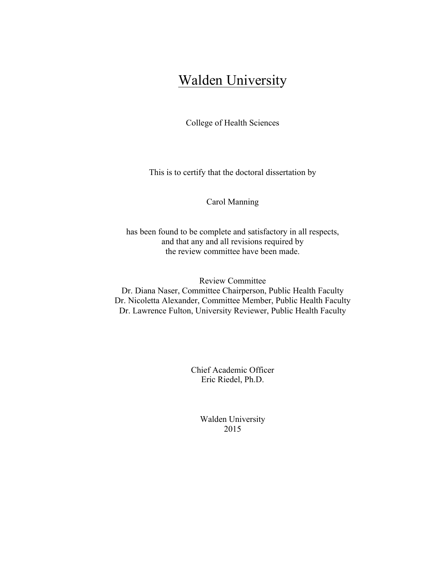# Walden University

College of Health Sciences

This is to certify that the doctoral dissertation by

Carol Manning

has been found to be complete and satisfactory in all respects, and that any and all revisions required by the review committee have been made.

Review Committee Dr. Diana Naser, Committee Chairperson, Public Health Faculty Dr. Nicoletta Alexander, Committee Member, Public Health Faculty Dr. Lawrence Fulton, University Reviewer, Public Health Faculty

> Chief Academic Officer Eric Riedel, Ph.D.

> > Walden University 2015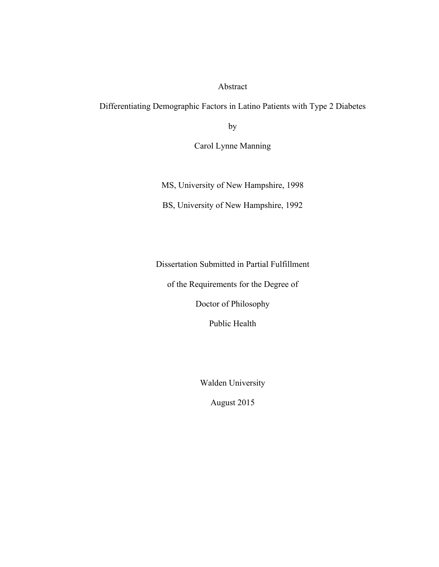#### Abstract

Differentiating Demographic Factors in Latino Patients with Type 2 Diabetes

by

Carol Lynne Manning

MS, University of New Hampshire, 1998

BS, University of New Hampshire, 1992

Dissertation Submitted in Partial Fulfillment

of the Requirements for the Degree of

Doctor of Philosophy

Public Health

Walden University

August 2015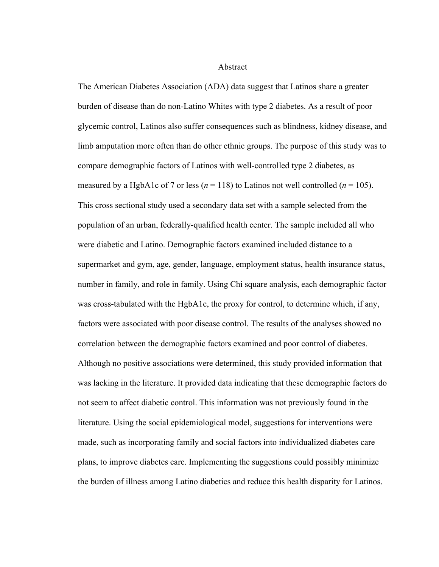Abstract

The American Diabetes Association (ADA) data suggest that Latinos share a greater burden of disease than do non-Latino Whites with type 2 diabetes. As a result of poor glycemic control, Latinos also suffer consequences such as blindness, kidney disease, and limb amputation more often than do other ethnic groups. The purpose of this study was to compare demographic factors of Latinos with well-controlled type 2 diabetes, as measured by a HgbA1c of 7 or less ( $n = 118$ ) to Latinos not well controlled ( $n = 105$ ). This cross sectional study used a secondary data set with a sample selected from the population of an urban, federally-qualified health center. The sample included all who were diabetic and Latino. Demographic factors examined included distance to a supermarket and gym, age, gender, language, employment status, health insurance status, number in family, and role in family. Using Chi square analysis, each demographic factor was cross-tabulated with the HgbA1c, the proxy for control, to determine which, if any, factors were associated with poor disease control. The results of the analyses showed no correlation between the demographic factors examined and poor control of diabetes. Although no positive associations were determined, this study provided information that was lacking in the literature. It provided data indicating that these demographic factors do not seem to affect diabetic control. This information was not previously found in the literature. Using the social epidemiological model, suggestions for interventions were made, such as incorporating family and social factors into individualized diabetes care plans, to improve diabetes care. Implementing the suggestions could possibly minimize the burden of illness among Latino diabetics and reduce this health disparity for Latinos.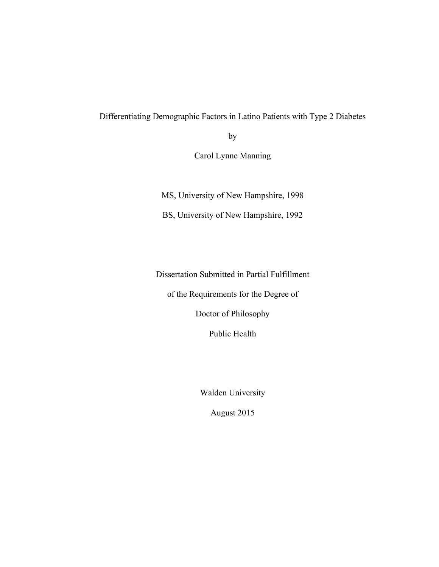Differentiating Demographic Factors in Latino Patients with Type 2 Diabetes

by

Carol Lynne Manning

MS, University of New Hampshire, 1998

BS, University of New Hampshire, 1992

Dissertation Submitted in Partial Fulfillment

of the Requirements for the Degree of

Doctor of Philosophy

Public Health

Walden University

August 2015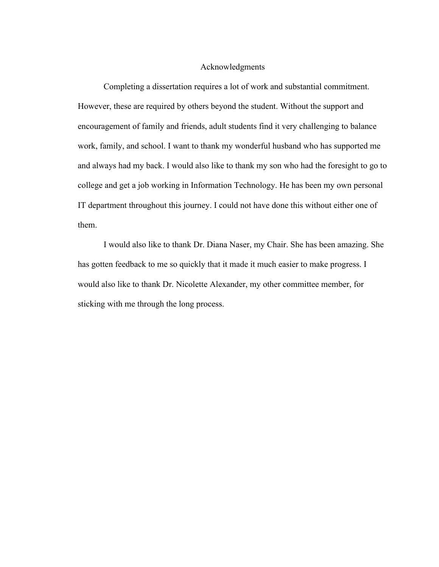#### Acknowledgments

Completing a dissertation requires a lot of work and substantial commitment. However, these are required by others beyond the student. Without the support and encouragement of family and friends, adult students find it very challenging to balance work, family, and school. I want to thank my wonderful husband who has supported me and always had my back. I would also like to thank my son who had the foresight to go to college and get a job working in Information Technology. He has been my own personal IT department throughout this journey. I could not have done this without either one of them.

I would also like to thank Dr. Diana Naser, my Chair. She has been amazing. She has gotten feedback to me so quickly that it made it much easier to make progress. I would also like to thank Dr. Nicolette Alexander, my other committee member, for sticking with me through the long process.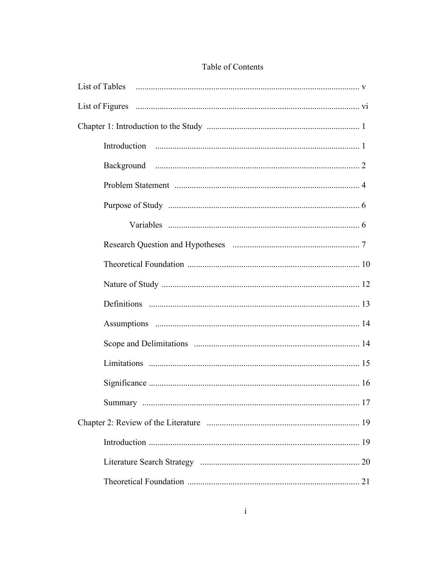| List of Tables <b>Example 2</b> V |  |
|-----------------------------------|--|
|                                   |  |
|                                   |  |
|                                   |  |
|                                   |  |
|                                   |  |
|                                   |  |
|                                   |  |
|                                   |  |
|                                   |  |
|                                   |  |
|                                   |  |
|                                   |  |
|                                   |  |
|                                   |  |
|                                   |  |
|                                   |  |
|                                   |  |
|                                   |  |
|                                   |  |
|                                   |  |

## Table of Contents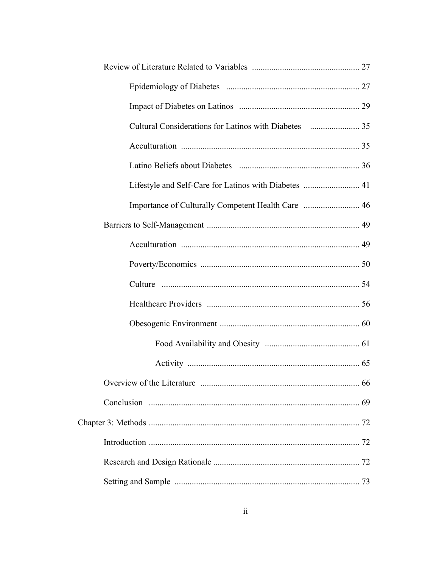|  | Lifestyle and Self-Care for Latinos with Diabetes  41 |  |
|--|-------------------------------------------------------|--|
|  | Importance of Culturally Competent Health Care  46    |  |
|  |                                                       |  |
|  |                                                       |  |
|  |                                                       |  |
|  |                                                       |  |
|  |                                                       |  |
|  |                                                       |  |
|  |                                                       |  |
|  |                                                       |  |
|  |                                                       |  |
|  |                                                       |  |
|  |                                                       |  |
|  |                                                       |  |
|  |                                                       |  |
|  |                                                       |  |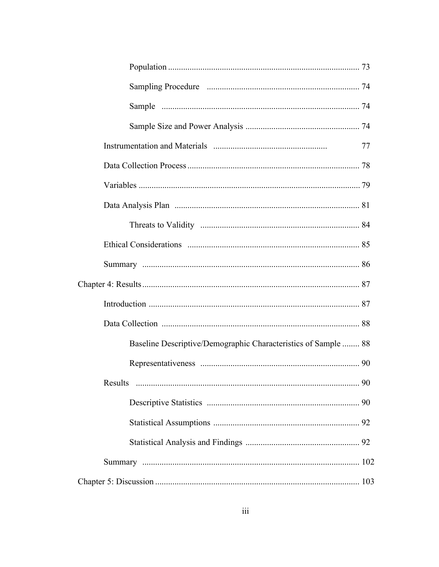|                                                                | 77 |
|----------------------------------------------------------------|----|
|                                                                |    |
|                                                                |    |
|                                                                |    |
|                                                                |    |
|                                                                |    |
|                                                                |    |
|                                                                |    |
|                                                                |    |
|                                                                |    |
| Baseline Descriptive/Demographic Characteristics of Sample  88 |    |
|                                                                |    |
| Results<br>90                                                  |    |
|                                                                |    |
|                                                                |    |
|                                                                |    |
|                                                                |    |
|                                                                |    |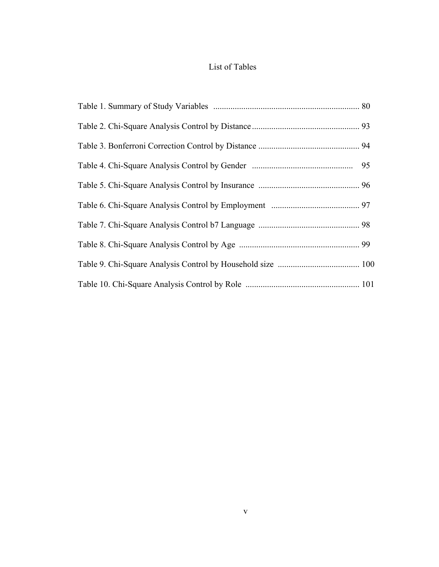## List of Tables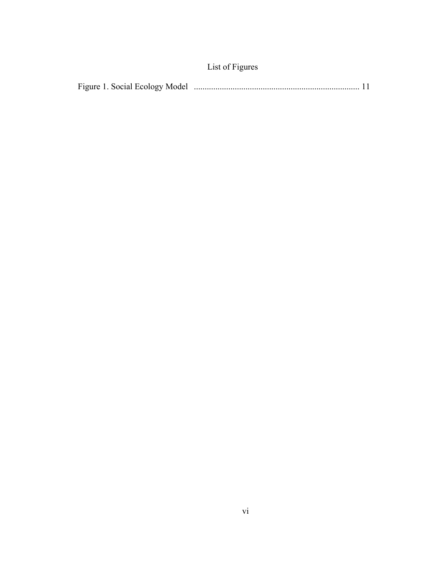|--|--|--|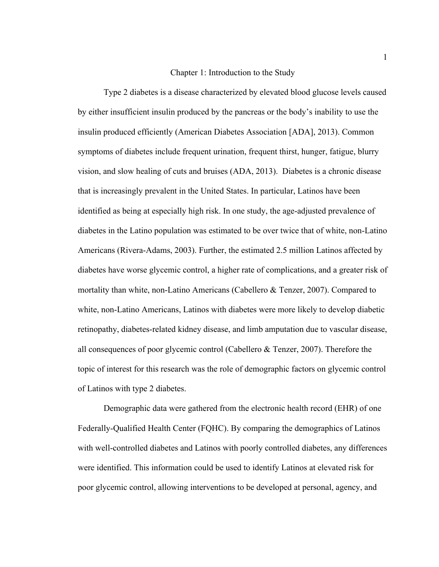#### Chapter 1: Introduction to the Study

Type 2 diabetes is a disease characterized by elevated blood glucose levels caused by either insufficient insulin produced by the pancreas or the body's inability to use the insulin produced efficiently (American Diabetes Association [ADA], 2013). Common symptoms of diabetes include frequent urination, frequent thirst, hunger, fatigue, blurry vision, and slow healing of cuts and bruises (ADA, 2013). Diabetes is a chronic disease that is increasingly prevalent in the United States. In particular, Latinos have been identified as being at especially high risk. In one study, the age-adjusted prevalence of diabetes in the Latino population was estimated to be over twice that of white, non-Latino Americans (Rivera-Adams, 2003). Further, the estimated 2.5 million Latinos affected by diabetes have worse glycemic control, a higher rate of complications, and a greater risk of mortality than white, non-Latino Americans (Cabellero & Tenzer, 2007). Compared to white, non-Latino Americans, Latinos with diabetes were more likely to develop diabetic retinopathy, diabetes-related kidney disease, and limb amputation due to vascular disease, all consequences of poor glycemic control (Cabellero & Tenzer, 2007). Therefore the topic of interest for this research was the role of demographic factors on glycemic control of Latinos with type 2 diabetes.

Demographic data were gathered from the electronic health record (EHR) of one Federally-Qualified Health Center (FQHC). By comparing the demographics of Latinos with well-controlled diabetes and Latinos with poorly controlled diabetes, any differences were identified. This information could be used to identify Latinos at elevated risk for poor glycemic control, allowing interventions to be developed at personal, agency, and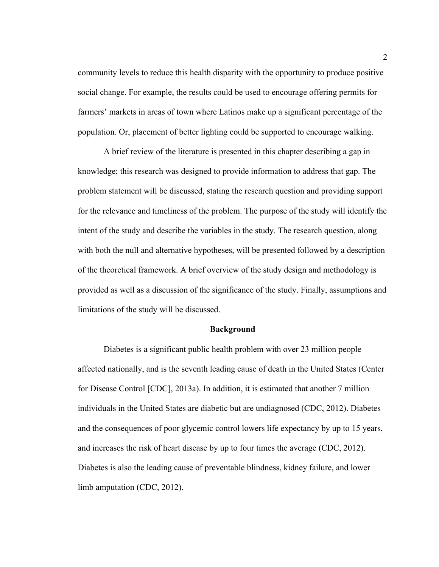community levels to reduce this health disparity with the opportunity to produce positive social change. For example, the results could be used to encourage offering permits for farmers' markets in areas of town where Latinos make up a significant percentage of the population. Or, placement of better lighting could be supported to encourage walking.

A brief review of the literature is presented in this chapter describing a gap in knowledge; this research was designed to provide information to address that gap. The problem statement will be discussed, stating the research question and providing support for the relevance and timeliness of the problem. The purpose of the study will identify the intent of the study and describe the variables in the study. The research question, along with both the null and alternative hypotheses, will be presented followed by a description of the theoretical framework. A brief overview of the study design and methodology is provided as well as a discussion of the significance of the study. Finally, assumptions and limitations of the study will be discussed.

#### **Background**

Diabetes is a significant public health problem with over 23 million people affected nationally, and is the seventh leading cause of death in the United States (Center for Disease Control [CDC], 2013a). In addition, it is estimated that another 7 million individuals in the United States are diabetic but are undiagnosed (CDC, 2012). Diabetes and the consequences of poor glycemic control lowers life expectancy by up to 15 years, and increases the risk of heart disease by up to four times the average (CDC, 2012). Diabetes is also the leading cause of preventable blindness, kidney failure, and lower limb amputation (CDC, 2012).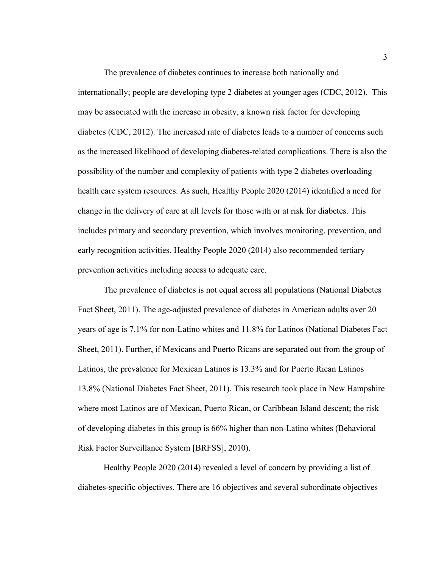The prevalence of diabetes continues to increase both nationally and internationally; people are developing type 2 diabetes at younger ages (CDC, 2012). This may be associated with the increase in obesity, a known risk factor for developing diabetes (CDC, 2012). The increased rate of diabetes leads to a number of concerns such as the increased likelihood of developing diabetes-related complications. There is also the possibility of the number and complexity of patients with type 2 diabetes overloading health care system resources. As such, Healthy People 2020 (2014) identified a need for change in the delivery of care at all levels for those with or at risk for diabetes. This includes primary and secondary prevention, which involves monitoring, prevention, and early recognition activities. Healthy People 2020 (2014) also recommended tertiary prevention activities including access to adequate care.

The prevalence of diabetes is not equal across all populations (National Diabetes Fact Sheet, 2011). The age-adjusted prevalence of diabetes in American adults over 20 years of age is 7.1% for non-Latino whites and 11.8% for Latinos (National Diabetes Fact Sheet, 2011). Further, if Mexicans and Puerto Ricans are separated out from the group of Latinos, the prevalence for Mexican Latinos is 13.3% and for Puerto Rican Latinos 13.8% (National Diabetes Fact Sheet, 2011). This research took place in New Hampshire where most Latinos are of Mexican, Puerto Rican, or Caribbean Island descent; the risk of developing diabetes in this group is 66% higher than non-Latino whites (Behavioral Risk Factor Surveillance System [BRFSS], 2010).

Healthy People 2020 (2014) revealed a level of concern by providing a list of diabetes-specific objectives. There are 16 objectives and several subordinate objectives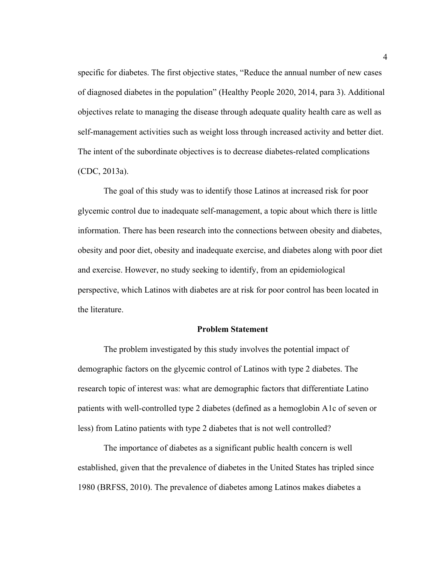specific for diabetes. The first objective states, "Reduce the annual number of new cases of diagnosed diabetes in the population" (Healthy People 2020, 2014, para 3). Additional objectives relate to managing the disease through adequate quality health care as well as self-management activities such as weight loss through increased activity and better diet. The intent of the subordinate objectives is to decrease diabetes-related complications (CDC, 2013a).

The goal of this study was to identify those Latinos at increased risk for poor glycemic control due to inadequate self-management, a topic about which there is little information. There has been research into the connections between obesity and diabetes, obesity and poor diet, obesity and inadequate exercise, and diabetes along with poor diet and exercise. However, no study seeking to identify, from an epidemiological perspective, which Latinos with diabetes are at risk for poor control has been located in the literature.

#### **Problem Statement**

The problem investigated by this study involves the potential impact of demographic factors on the glycemic control of Latinos with type 2 diabetes. The research topic of interest was: what are demographic factors that differentiate Latino patients with well-controlled type 2 diabetes (defined as a hemoglobin A1c of seven or less) from Latino patients with type 2 diabetes that is not well controlled?

The importance of diabetes as a significant public health concern is well established, given that the prevalence of diabetes in the United States has tripled since 1980 (BRFSS, 2010). The prevalence of diabetes among Latinos makes diabetes a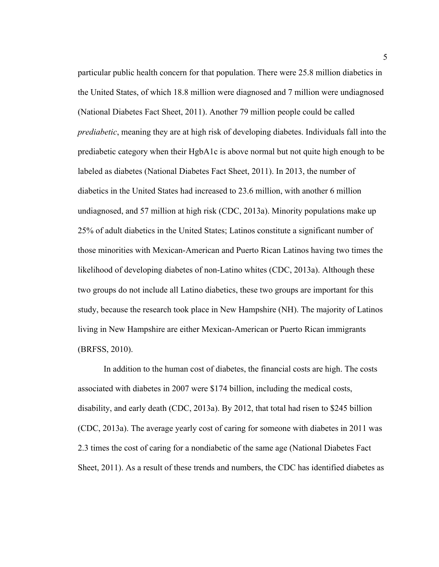particular public health concern for that population. There were 25.8 million diabetics in the United States, of which 18.8 million were diagnosed and 7 million were undiagnosed (National Diabetes Fact Sheet, 2011). Another 79 million people could be called *prediabetic*, meaning they are at high risk of developing diabetes. Individuals fall into the prediabetic category when their HgbA1c is above normal but not quite high enough to be labeled as diabetes (National Diabetes Fact Sheet, 2011). In 2013, the number of diabetics in the United States had increased to 23.6 million, with another 6 million undiagnosed, and 57 million at high risk (CDC, 2013a). Minority populations make up 25% of adult diabetics in the United States; Latinos constitute a significant number of those minorities with Mexican-American and Puerto Rican Latinos having two times the likelihood of developing diabetes of non-Latino whites (CDC, 2013a). Although these two groups do not include all Latino diabetics, these two groups are important for this study, because the research took place in New Hampshire (NH). The majority of Latinos living in New Hampshire are either Mexican-American or Puerto Rican immigrants (BRFSS, 2010).

In addition to the human cost of diabetes, the financial costs are high. The costs associated with diabetes in 2007 were \$174 billion, including the medical costs, disability, and early death (CDC, 2013a). By 2012, that total had risen to \$245 billion (CDC, 2013a). The average yearly cost of caring for someone with diabetes in 2011 was 2.3 times the cost of caring for a nondiabetic of the same age (National Diabetes Fact Sheet, 2011). As a result of these trends and numbers, the CDC has identified diabetes as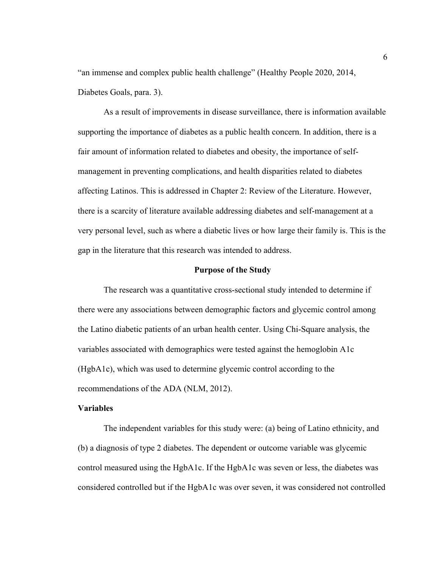"an immense and complex public health challenge" (Healthy People 2020, 2014, Diabetes Goals, para. 3).

As a result of improvements in disease surveillance, there is information available supporting the importance of diabetes as a public health concern. In addition, there is a fair amount of information related to diabetes and obesity, the importance of selfmanagement in preventing complications, and health disparities related to diabetes affecting Latinos. This is addressed in Chapter 2: Review of the Literature. However, there is a scarcity of literature available addressing diabetes and self-management at a very personal level, such as where a diabetic lives or how large their family is. This is the gap in the literature that this research was intended to address.

#### **Purpose of the Study**

The research was a quantitative cross-sectional study intended to determine if there were any associations between demographic factors and glycemic control among the Latino diabetic patients of an urban health center. Using Chi-Square analysis, the variables associated with demographics were tested against the hemoglobin A1c (HgbA1c), which was used to determine glycemic control according to the recommendations of the ADA (NLM, 2012).

#### **Variables**

The independent variables for this study were: (a) being of Latino ethnicity, and (b) a diagnosis of type 2 diabetes. The dependent or outcome variable was glycemic control measured using the HgbA1c. If the HgbA1c was seven or less, the diabetes was considered controlled but if the HgbA1c was over seven, it was considered not controlled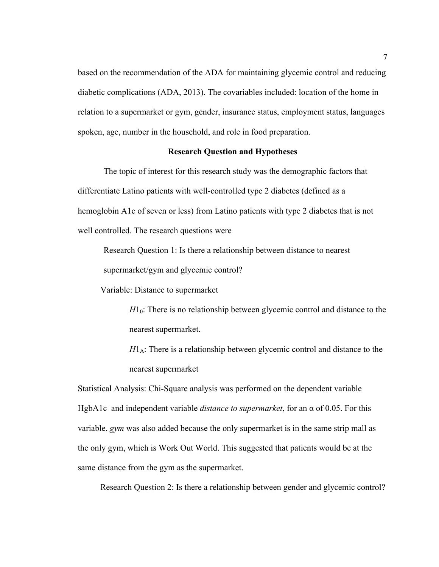based on the recommendation of the ADA for maintaining glycemic control and reducing diabetic complications (ADA, 2013). The covariables included: location of the home in relation to a supermarket or gym, gender, insurance status, employment status, languages spoken, age, number in the household, and role in food preparation.

#### **Research Question and Hypotheses**

The topic of interest for this research study was the demographic factors that differentiate Latino patients with well-controlled type 2 diabetes (defined as a hemoglobin A1c of seven or less) from Latino patients with type 2 diabetes that is not well controlled. The research questions were

Research Question 1: Is there a relationship between distance to nearest supermarket/gym and glycemic control?

Variable: Distance to supermarket

 $H_0$ : There is no relationship between glycemic control and distance to the nearest supermarket.

 $H1_A$ : There is a relationship between glycemic control and distance to the nearest supermarket

Statistical Analysis: Chi-Square analysis was performed on the dependent variable HgbA1c and independent variable *distance to supermarket*, for an α of 0.05. For this variable, *gym* was also added because the only supermarket is in the same strip mall as the only gym, which is Work Out World. This suggested that patients would be at the same distance from the gym as the supermarket.

Research Question 2: Is there a relationship between gender and glycemic control?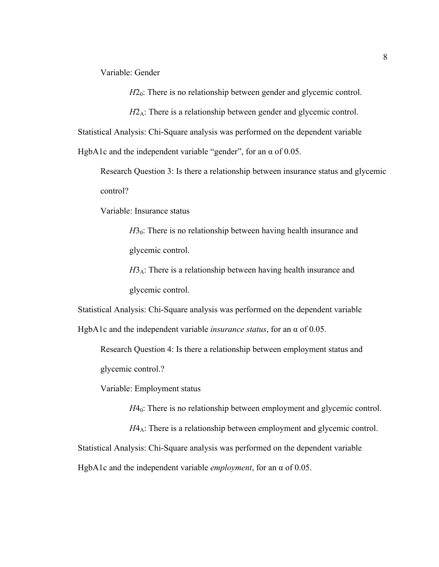Variable: Gender

*H*2<sub>0</sub>: There is no relationship between gender and glycemic control.

 $H2_A$ : There is a relationship between gender and glycemic control.

Statistical Analysis: Chi-Square analysis was performed on the dependent variable

HgbA1c and the independent variable "gender", for an  $\alpha$  of 0.05.

Research Question 3: Is there a relationship between insurance status and glycemic control?

Variable: Insurance status

 $H_0$ : There is no relationship between having health insurance and glycemic control.

 $H3_A$ : There is a relationship between having health insurance and glycemic control.

Statistical Analysis: Chi-Square analysis was performed on the dependent variable

HgbA1c and the independent variable *insurance status*, for an α of 0.05.

Research Question 4: Is there a relationship between employment status and glycemic control.?

Variable: Employment status

*H*4<sub>0</sub>: There is no relationship between employment and glycemic control.

*H*4<sub>A</sub>: There is a relationship between employment and glycemic control. Statistical Analysis: Chi-Square analysis was performed on the dependent variable HgbA1c and the independent variable *employment*, for an α of 0.05.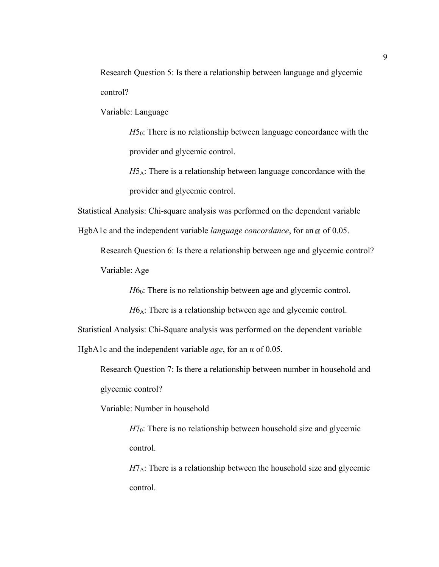Research Question 5: Is there a relationship between language and glycemic control?

Variable: Language

 $H5<sub>0</sub>$ : There is no relationship between language concordance with the provider and glycemic control.

 $H5_A$ : There is a relationship between language concordance with the provider and glycemic control.

Statistical Analysis: Chi-square analysis was performed on the dependent variable

HgbA1c and the independent variable *language concordance*, for an a of 0.05.

Research Question 6: Is there a relationship between age and glycemic control? Variable: Age

*H*6<sub>0</sub>: There is no relationship between age and glycemic control.

*H*6<sub>A</sub>: There is a relationship between age and glycemic control.

Statistical Analysis: Chi-Square analysis was performed on the dependent variable

HgbA1c and the independent variable *age*, for an α of 0.05.

Research Question 7: Is there a relationship between number in household and glycemic control?

Variable: Number in household

 $H7<sub>0</sub>$ : There is no relationship between household size and glycemic control.

 $H7_A$ : There is a relationship between the household size and glycemic control.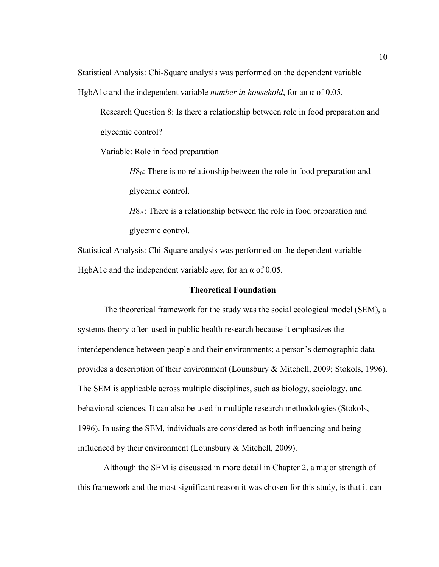Statistical Analysis: Chi-Square analysis was performed on the dependent variable

HgbA1c and the independent variable *number in household*, for an α of 0.05.

Research Question 8: Is there a relationship between role in food preparation and glycemic control?

Variable: Role in food preparation

*H*8<sub>0</sub>: There is no relationship between the role in food preparation and glycemic control.

*H*8<sub>A</sub>: There is a relationship between the role in food preparation and glycemic control.

Statistical Analysis: Chi-Square analysis was performed on the dependent variable HgbA1c and the independent variable *age*, for an α of 0.05.

#### **Theoretical Foundation**

The theoretical framework for the study was the social ecological model (SEM), a systems theory often used in public health research because it emphasizes the interdependence between people and their environments; a person's demographic data provides a description of their environment (Lounsbury & Mitchell, 2009; Stokols, 1996). The SEM is applicable across multiple disciplines, such as biology, sociology, and behavioral sciences. It can also be used in multiple research methodologies (Stokols, 1996). In using the SEM, individuals are considered as both influencing and being influenced by their environment (Lounsbury & Mitchell, 2009).

Although the SEM is discussed in more detail in Chapter 2, a major strength of this framework and the most significant reason it was chosen for this study, is that it can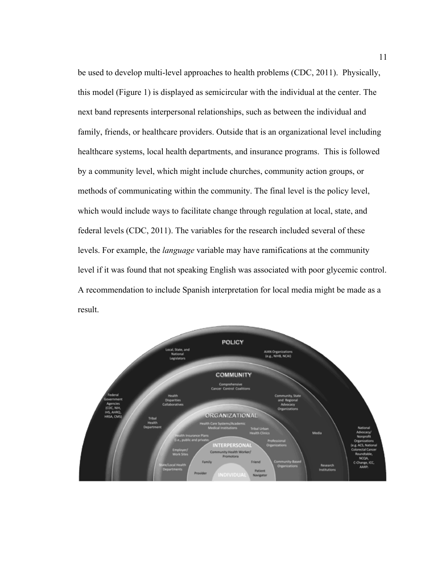be used to develop multi-level approaches to health problems (CDC, 2011). Physically, this model (Figure 1) is displayed as semicircular with the individual at the center. The next band represents interpersonal relationships, such as between the individual and family, friends, or healthcare providers. Outside that is an organizational level including healthcare systems, local health departments, and insurance programs. This is followed by a community level, which might include churches, community action groups, or methods of communicating within the community. The final level is the policy level, which would include ways to facilitate change through regulation at local, state, and federal levels (CDC, 2011). The variables for the research included several of these levels. For example, the *language* variable may have ramifications at the community level if it was found that not speaking English was associated with poor glycemic control. A recommendation to include Spanish interpretation for local media might be made as a result.

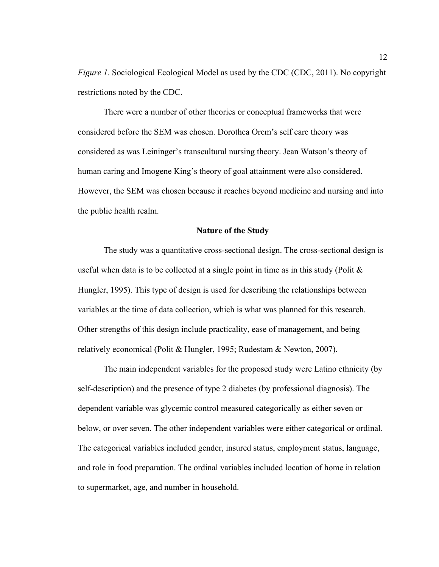*Figure 1*. Sociological Ecological Model as used by the CDC (CDC, 2011). No copyright restrictions noted by the CDC.

There were a number of other theories or conceptual frameworks that were considered before the SEM was chosen. Dorothea Orem's self care theory was considered as was Leininger's transcultural nursing theory. Jean Watson's theory of human caring and Imogene King's theory of goal attainment were also considered. However, the SEM was chosen because it reaches beyond medicine and nursing and into the public health realm.

#### **Nature of the Study**

The study was a quantitative cross-sectional design. The cross-sectional design is useful when data is to be collected at a single point in time as in this study (Polit  $\&$ Hungler, 1995). This type of design is used for describing the relationships between variables at the time of data collection, which is what was planned for this research. Other strengths of this design include practicality, ease of management, and being relatively economical (Polit & Hungler, 1995; Rudestam & Newton, 2007).

The main independent variables for the proposed study were Latino ethnicity (by self-description) and the presence of type 2 diabetes (by professional diagnosis). The dependent variable was glycemic control measured categorically as either seven or below, or over seven. The other independent variables were either categorical or ordinal. The categorical variables included gender, insured status, employment status, language, and role in food preparation. The ordinal variables included location of home in relation to supermarket, age, and number in household.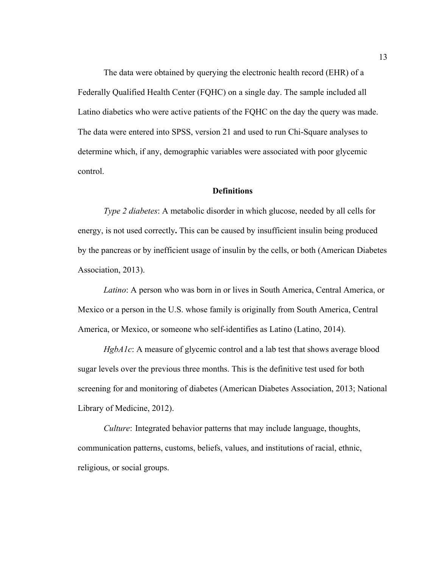The data were obtained by querying the electronic health record (EHR) of a Federally Qualified Health Center (FQHC) on a single day. The sample included all Latino diabetics who were active patients of the FQHC on the day the query was made. The data were entered into SPSS, version 21 and used to run Chi-Square analyses to determine which, if any, demographic variables were associated with poor glycemic control.

#### **Definitions**

*Type 2 diabetes*: A metabolic disorder in which glucose, needed by all cells for energy, is not used correctly**.** This can be caused by insufficient insulin being produced by the pancreas or by inefficient usage of insulin by the cells, or both (American Diabetes Association, 2013).

*Latino*: A person who was born in or lives in South America, Central America, or Mexico or a person in the U.S. whose family is originally from South America, Central America, or Mexico, or someone who self-identifies as Latino (Latino, 2014).

*HgbA1c*: A measure of glycemic control and a lab test that shows average blood sugar levels over the previous three months. This is the definitive test used for both screening for and monitoring of diabetes (American Diabetes Association, 2013; National Library of Medicine, 2012).

*Culture*: Integrated behavior patterns that may include language, thoughts, communication patterns, customs, beliefs, values, and institutions of racial, ethnic, religious, or social groups.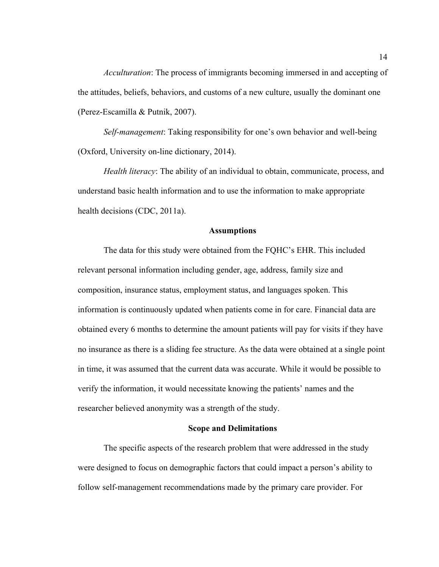*Acculturation*: The process of immigrants becoming immersed in and accepting of the attitudes, beliefs, behaviors, and customs of a new culture, usually the dominant one (Perez-Escamilla & Putnik, 2007).

*Self-management*: Taking responsibility for one's own behavior and well-being (Oxford, University on-line dictionary, 2014).

*Health literacy*: The ability of an individual to obtain, communicate, process, and understand basic health information and to use the information to make appropriate health decisions (CDC, 2011a).

#### **Assumptions**

The data for this study were obtained from the FQHC's EHR. This included relevant personal information including gender, age, address, family size and composition, insurance status, employment status, and languages spoken. This information is continuously updated when patients come in for care. Financial data are obtained every 6 months to determine the amount patients will pay for visits if they have no insurance as there is a sliding fee structure. As the data were obtained at a single point in time, it was assumed that the current data was accurate. While it would be possible to verify the information, it would necessitate knowing the patients' names and the researcher believed anonymity was a strength of the study.

#### **Scope and Delimitations**

The specific aspects of the research problem that were addressed in the study were designed to focus on demographic factors that could impact a person's ability to follow self-management recommendations made by the primary care provider. For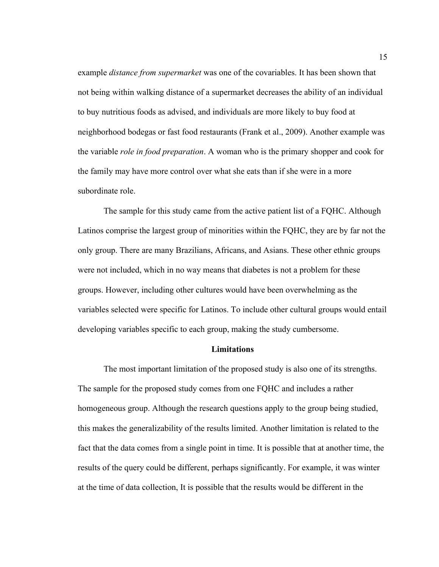example *distance from supermarket* was one of the covariables. It has been shown that not being within walking distance of a supermarket decreases the ability of an individual to buy nutritious foods as advised, and individuals are more likely to buy food at neighborhood bodegas or fast food restaurants (Frank et al., 2009). Another example was the variable *role in food preparation*. A woman who is the primary shopper and cook for the family may have more control over what she eats than if she were in a more subordinate role.

The sample for this study came from the active patient list of a FQHC. Although Latinos comprise the largest group of minorities within the FQHC, they are by far not the only group. There are many Brazilians, Africans, and Asians. These other ethnic groups were not included, which in no way means that diabetes is not a problem for these groups. However, including other cultures would have been overwhelming as the variables selected were specific for Latinos. To include other cultural groups would entail developing variables specific to each group, making the study cumbersome.

#### **Limitations**

The most important limitation of the proposed study is also one of its strengths. The sample for the proposed study comes from one FQHC and includes a rather homogeneous group. Although the research questions apply to the group being studied, this makes the generalizability of the results limited. Another limitation is related to the fact that the data comes from a single point in time. It is possible that at another time, the results of the query could be different, perhaps significantly. For example, it was winter at the time of data collection, It is possible that the results would be different in the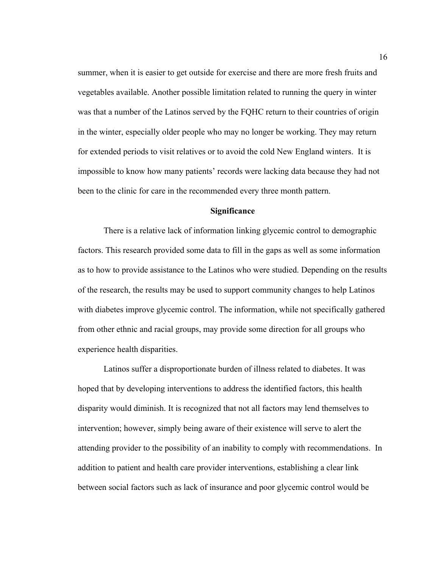summer, when it is easier to get outside for exercise and there are more fresh fruits and vegetables available. Another possible limitation related to running the query in winter was that a number of the Latinos served by the FQHC return to their countries of origin in the winter, especially older people who may no longer be working. They may return for extended periods to visit relatives or to avoid the cold New England winters. It is impossible to know how many patients' records were lacking data because they had not been to the clinic for care in the recommended every three month pattern.

#### **Significance**

There is a relative lack of information linking glycemic control to demographic factors. This research provided some data to fill in the gaps as well as some information as to how to provide assistance to the Latinos who were studied. Depending on the results of the research, the results may be used to support community changes to help Latinos with diabetes improve glycemic control. The information, while not specifically gathered from other ethnic and racial groups, may provide some direction for all groups who experience health disparities.

Latinos suffer a disproportionate burden of illness related to diabetes. It was hoped that by developing interventions to address the identified factors, this health disparity would diminish. It is recognized that not all factors may lend themselves to intervention; however, simply being aware of their existence will serve to alert the attending provider to the possibility of an inability to comply with recommendations. In addition to patient and health care provider interventions, establishing a clear link between social factors such as lack of insurance and poor glycemic control would be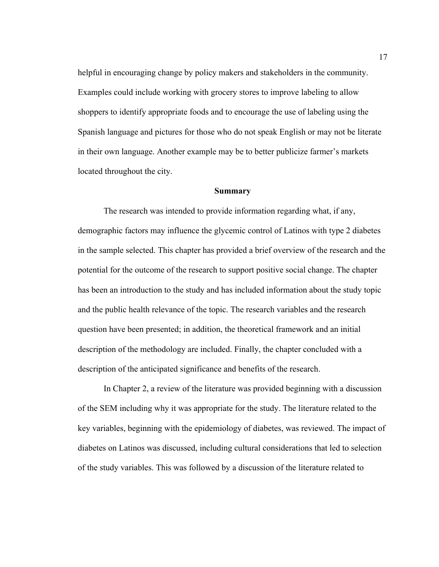helpful in encouraging change by policy makers and stakeholders in the community. Examples could include working with grocery stores to improve labeling to allow shoppers to identify appropriate foods and to encourage the use of labeling using the Spanish language and pictures for those who do not speak English or may not be literate in their own language. Another example may be to better publicize farmer's markets located throughout the city.

#### **Summary**

The research was intended to provide information regarding what, if any, demographic factors may influence the glycemic control of Latinos with type 2 diabetes in the sample selected. This chapter has provided a brief overview of the research and the potential for the outcome of the research to support positive social change. The chapter has been an introduction to the study and has included information about the study topic and the public health relevance of the topic. The research variables and the research question have been presented; in addition, the theoretical framework and an initial description of the methodology are included. Finally, the chapter concluded with a description of the anticipated significance and benefits of the research.

In Chapter 2, a review of the literature was provided beginning with a discussion of the SEM including why it was appropriate for the study. The literature related to the key variables, beginning with the epidemiology of diabetes, was reviewed. The impact of diabetes on Latinos was discussed, including cultural considerations that led to selection of the study variables. This was followed by a discussion of the literature related to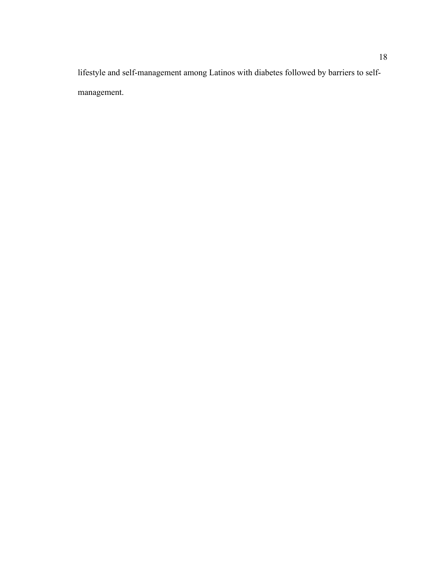lifestyle and self-management among Latinos with diabetes followed by barriers to selfmanagement.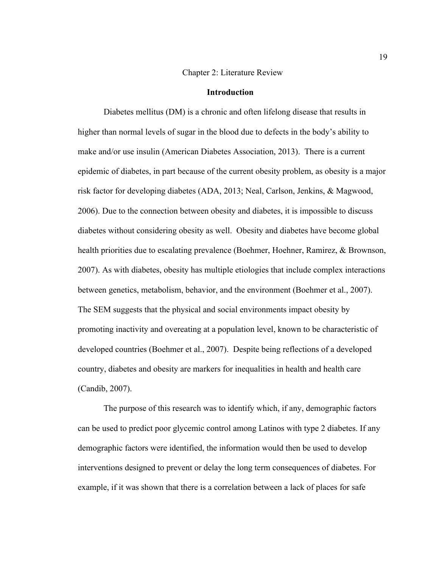#### Chapter 2: Literature Review

#### **Introduction**

Diabetes mellitus (DM) is a chronic and often lifelong disease that results in higher than normal levels of sugar in the blood due to defects in the body's ability to make and/or use insulin (American Diabetes Association, 2013). There is a current epidemic of diabetes, in part because of the current obesity problem, as obesity is a major risk factor for developing diabetes (ADA, 2013; Neal, Carlson, Jenkins, & Magwood, 2006). Due to the connection between obesity and diabetes, it is impossible to discuss diabetes without considering obesity as well. Obesity and diabetes have become global health priorities due to escalating prevalence (Boehmer, Hoehner, Ramirez, & Brownson, 2007). As with diabetes, obesity has multiple etiologies that include complex interactions between genetics, metabolism, behavior, and the environment (Boehmer et al., 2007). The SEM suggests that the physical and social environments impact obesity by promoting inactivity and overeating at a population level, known to be characteristic of developed countries (Boehmer et al., 2007). Despite being reflections of a developed country, diabetes and obesity are markers for inequalities in health and health care (Candib, 2007).

The purpose of this research was to identify which, if any, demographic factors can be used to predict poor glycemic control among Latinos with type 2 diabetes. If any demographic factors were identified, the information would then be used to develop interventions designed to prevent or delay the long term consequences of diabetes. For example, if it was shown that there is a correlation between a lack of places for safe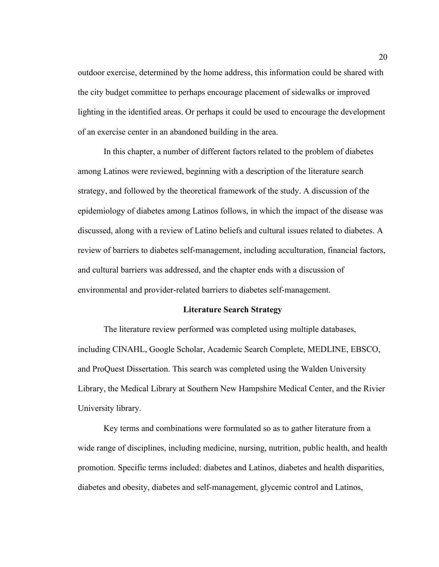outdoor exercise, determined by the home address, this information could be shared with the city budget committee to perhaps encourage placement of sidewalks or improved lighting in the identified areas. Or perhaps it could be used to encourage the development of an exercise center in an abandoned building in the area.

In this chapter, a number of different factors related to the problem of diabetes among Latinos were reviewed, beginning with a description of the literature search strategy, and followed by the theoretical framework of the study. A discussion of the epidemiology of diabetes among Latinos follows, in which the impact of the disease was discussed, along with a review of Latino beliefs and cultural issues related to diabetes. A review of barriers to diabetes self-management, including acculturation, financial factors, and cultural barriers was addressed, and the chapter ends with a discussion of environmental and provider-related barriers to diabetes self-management.

#### **Literature Search Strategy**

The literature review performed was completed using multiple databases, including CINAHL, Google Scholar, Academic Search Complete, MEDLINE, EBSCO, and ProQuest Dissertation. This search was completed using the Walden University Library, the Medical Library at Southern New Hampshire Medical Center, and the Rivier University library.

Key terms and combinations were formulated so as to gather literature from a wide range of disciplines, including medicine, nursing, nutrition, public health, and health promotion. Specific terms included: diabetes and Latinos, diabetes and health disparities, diabetes and obesity, diabetes and self-management, glycemic control and Latinos,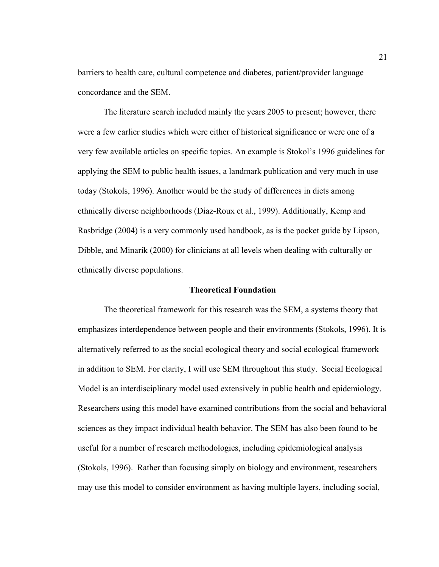barriers to health care, cultural competence and diabetes, patient/provider language concordance and the SEM.

The literature search included mainly the years 2005 to present; however, there were a few earlier studies which were either of historical significance or were one of a very few available articles on specific topics. An example is Stokol's 1996 guidelines for applying the SEM to public health issues, a landmark publication and very much in use today (Stokols, 1996). Another would be the study of differences in diets among ethnically diverse neighborhoods (Diaz-Roux et al., 1999). Additionally, Kemp and Rasbridge (2004) is a very commonly used handbook, as is the pocket guide by Lipson, Dibble, and Minarik (2000) for clinicians at all levels when dealing with culturally or ethnically diverse populations.

#### **Theoretical Foundation**

The theoretical framework for this research was the SEM, a systems theory that emphasizes interdependence between people and their environments (Stokols, 1996). It is alternatively referred to as the social ecological theory and social ecological framework in addition to SEM. For clarity, I will use SEM throughout this study. Social Ecological Model is an interdisciplinary model used extensively in public health and epidemiology. Researchers using this model have examined contributions from the social and behavioral sciences as they impact individual health behavior. The SEM has also been found to be useful for a number of research methodologies, including epidemiological analysis (Stokols, 1996). Rather than focusing simply on biology and environment, researchers may use this model to consider environment as having multiple layers, including social,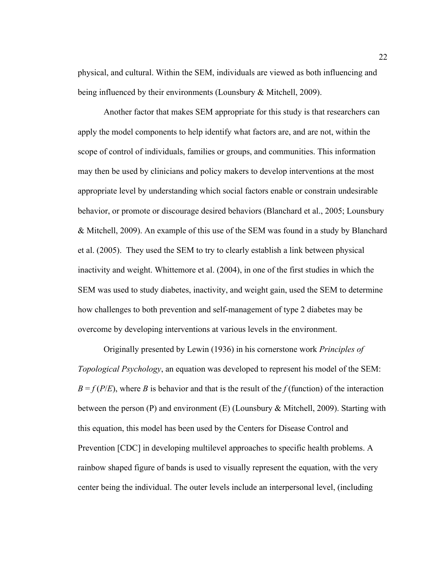physical, and cultural. Within the SEM, individuals are viewed as both influencing and being influenced by their environments (Lounsbury & Mitchell, 2009).

Another factor that makes SEM appropriate for this study is that researchers can apply the model components to help identify what factors are, and are not, within the scope of control of individuals, families or groups, and communities. This information may then be used by clinicians and policy makers to develop interventions at the most appropriate level by understanding which social factors enable or constrain undesirable behavior, or promote or discourage desired behaviors (Blanchard et al., 2005; Lounsbury & Mitchell, 2009). An example of this use of the SEM was found in a study by Blanchard et al. (2005). They used the SEM to try to clearly establish a link between physical inactivity and weight. Whittemore et al. (2004), in one of the first studies in which the SEM was used to study diabetes, inactivity, and weight gain, used the SEM to determine how challenges to both prevention and self-management of type 2 diabetes may be overcome by developing interventions at various levels in the environment.

Originally presented by Lewin (1936) in his cornerstone work *Principles of Topological Psychology*, an equation was developed to represent his model of the SEM:  $B = f(P/E)$ , where *B* is behavior and that is the result of the *f* (function) of the interaction between the person (P) and environment (E) (Lounsbury & Mitchell, 2009). Starting with this equation, this model has been used by the Centers for Disease Control and Prevention [CDC] in developing multilevel approaches to specific health problems. A rainbow shaped figure of bands is used to visually represent the equation, with the very center being the individual. The outer levels include an interpersonal level, (including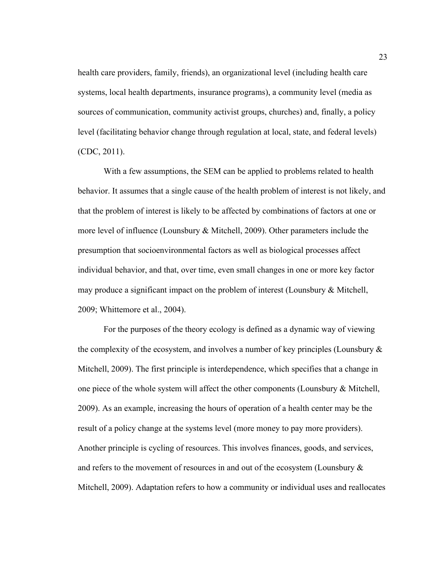health care providers, family, friends), an organizational level (including health care systems, local health departments, insurance programs), a community level (media as sources of communication, community activist groups, churches) and, finally, a policy level (facilitating behavior change through regulation at local, state, and federal levels) (CDC, 2011).

With a few assumptions, the SEM can be applied to problems related to health behavior. It assumes that a single cause of the health problem of interest is not likely, and that the problem of interest is likely to be affected by combinations of factors at one or more level of influence (Lounsbury & Mitchell, 2009). Other parameters include the presumption that socioenvironmental factors as well as biological processes affect individual behavior, and that, over time, even small changes in one or more key factor may produce a significant impact on the problem of interest (Lounsbury & Mitchell, 2009; Whittemore et al., 2004).

For the purposes of the theory ecology is defined as a dynamic way of viewing the complexity of the ecosystem, and involves a number of key principles (Lounsbury  $\&$ Mitchell, 2009). The first principle is interdependence, which specifies that a change in one piece of the whole system will affect the other components (Lounsbury & Mitchell, 2009). As an example, increasing the hours of operation of a health center may be the result of a policy change at the systems level (more money to pay more providers). Another principle is cycling of resources. This involves finances, goods, and services, and refers to the movement of resources in and out of the ecosystem (Lounsbury & Mitchell, 2009). Adaptation refers to how a community or individual uses and reallocates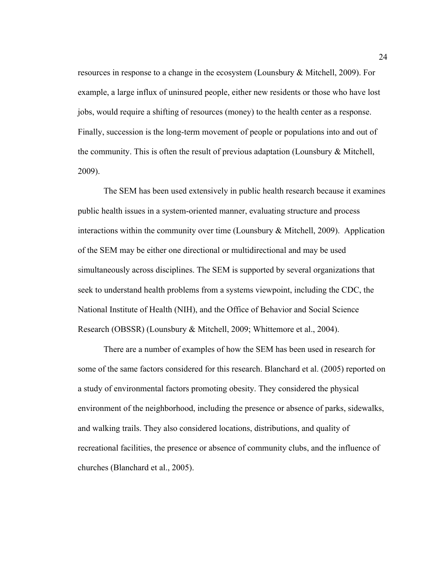resources in response to a change in the ecosystem (Lounsbury & Mitchell, 2009). For example, a large influx of uninsured people, either new residents or those who have lost jobs, would require a shifting of resources (money) to the health center as a response. Finally, succession is the long-term movement of people or populations into and out of the community. This is often the result of previous adaptation (Lounsbury & Mitchell, 2009).

The SEM has been used extensively in public health research because it examines public health issues in a system-oriented manner, evaluating structure and process interactions within the community over time (Lounsbury & Mitchell, 2009). Application of the SEM may be either one directional or multidirectional and may be used simultaneously across disciplines. The SEM is supported by several organizations that seek to understand health problems from a systems viewpoint, including the CDC, the National Institute of Health (NIH), and the Office of Behavior and Social Science Research (OBSSR) (Lounsbury & Mitchell, 2009; Whittemore et al., 2004).

There are a number of examples of how the SEM has been used in research for some of the same factors considered for this research. Blanchard et al. (2005) reported on a study of environmental factors promoting obesity. They considered the physical environment of the neighborhood, including the presence or absence of parks, sidewalks, and walking trails. They also considered locations, distributions, and quality of recreational facilities, the presence or absence of community clubs, and the influence of churches (Blanchard et al., 2005).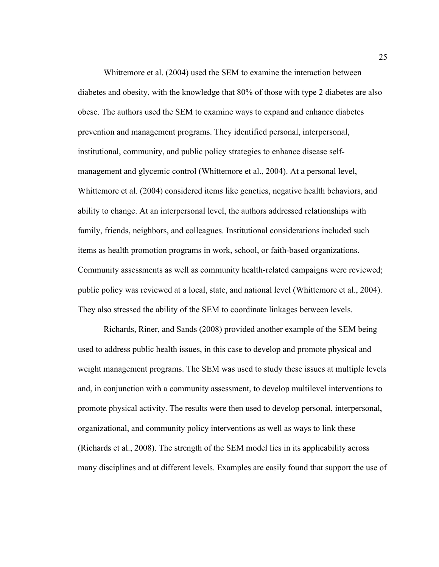Whittemore et al. (2004) used the SEM to examine the interaction between diabetes and obesity, with the knowledge that 80% of those with type 2 diabetes are also obese. The authors used the SEM to examine ways to expand and enhance diabetes prevention and management programs. They identified personal, interpersonal, institutional, community, and public policy strategies to enhance disease selfmanagement and glycemic control (Whittemore et al., 2004). At a personal level, Whittemore et al. (2004) considered items like genetics, negative health behaviors, and ability to change. At an interpersonal level, the authors addressed relationships with family, friends, neighbors, and colleagues. Institutional considerations included such items as health promotion programs in work, school, or faith-based organizations. Community assessments as well as community health-related campaigns were reviewed; public policy was reviewed at a local, state, and national level (Whittemore et al., 2004). They also stressed the ability of the SEM to coordinate linkages between levels.

Richards, Riner, and Sands (2008) provided another example of the SEM being used to address public health issues, in this case to develop and promote physical and weight management programs. The SEM was used to study these issues at multiple levels and, in conjunction with a community assessment, to develop multilevel interventions to promote physical activity. The results were then used to develop personal, interpersonal, organizational, and community policy interventions as well as ways to link these (Richards et al., 2008). The strength of the SEM model lies in its applicability across many disciplines and at different levels. Examples are easily found that support the use of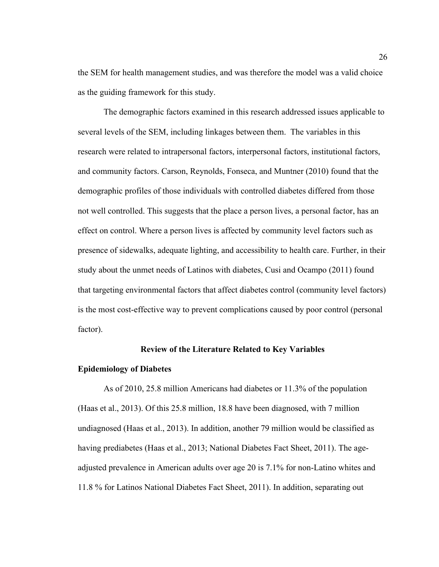the SEM for health management studies, and was therefore the model was a valid choice as the guiding framework for this study.

The demographic factors examined in this research addressed issues applicable to several levels of the SEM, including linkages between them. The variables in this research were related to intrapersonal factors, interpersonal factors, institutional factors, and community factors. Carson, Reynolds, Fonseca, and Muntner (2010) found that the demographic profiles of those individuals with controlled diabetes differed from those not well controlled. This suggests that the place a person lives, a personal factor, has an effect on control. Where a person lives is affected by community level factors such as presence of sidewalks, adequate lighting, and accessibility to health care. Further, in their study about the unmet needs of Latinos with diabetes, Cusi and Ocampo (2011) found that targeting environmental factors that affect diabetes control (community level factors) is the most cost-effective way to prevent complications caused by poor control (personal factor).

### **Review of the Literature Related to Key Variables**

# **Epidemiology of Diabetes**

As of 2010, 25.8 million Americans had diabetes or 11.3% of the population (Haas et al., 2013). Of this 25.8 million, 18.8 have been diagnosed, with 7 million undiagnosed (Haas et al., 2013). In addition, another 79 million would be classified as having prediabetes (Haas et al., 2013; National Diabetes Fact Sheet, 2011). The ageadjusted prevalence in American adults over age 20 is 7.1% for non-Latino whites and 11.8 % for Latinos National Diabetes Fact Sheet, 2011). In addition, separating out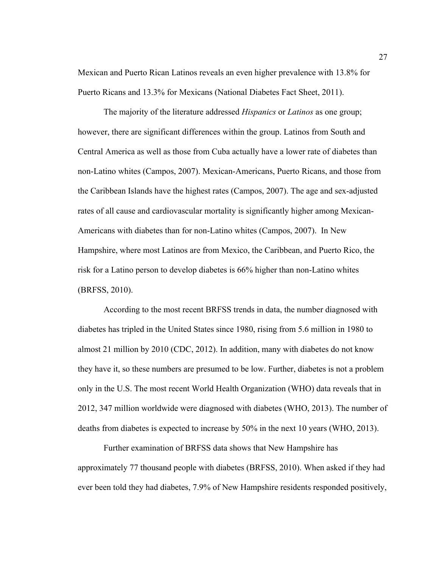Mexican and Puerto Rican Latinos reveals an even higher prevalence with 13.8% for Puerto Ricans and 13.3% for Mexicans (National Diabetes Fact Sheet, 2011).

The majority of the literature addressed *Hispanics* or *Latinos* as one group; however, there are significant differences within the group. Latinos from South and Central America as well as those from Cuba actually have a lower rate of diabetes than non-Latino whites (Campos, 2007). Mexican-Americans, Puerto Ricans, and those from the Caribbean Islands have the highest rates (Campos, 2007). The age and sex-adjusted rates of all cause and cardiovascular mortality is significantly higher among Mexican-Americans with diabetes than for non-Latino whites (Campos, 2007). In New Hampshire, where most Latinos are from Mexico, the Caribbean, and Puerto Rico, the risk for a Latino person to develop diabetes is 66% higher than non-Latino whites (BRFSS, 2010).

According to the most recent BRFSS trends in data, the number diagnosed with diabetes has tripled in the United States since 1980, rising from 5.6 million in 1980 to almost 21 million by 2010 (CDC, 2012). In addition, many with diabetes do not know they have it, so these numbers are presumed to be low. Further, diabetes is not a problem only in the U.S. The most recent World Health Organization (WHO) data reveals that in 2012, 347 million worldwide were diagnosed with diabetes (WHO, 2013). The number of deaths from diabetes is expected to increase by 50% in the next 10 years (WHO, 2013).

Further examination of BRFSS data shows that New Hampshire has approximately 77 thousand people with diabetes (BRFSS, 2010). When asked if they had ever been told they had diabetes, 7.9% of New Hampshire residents responded positively,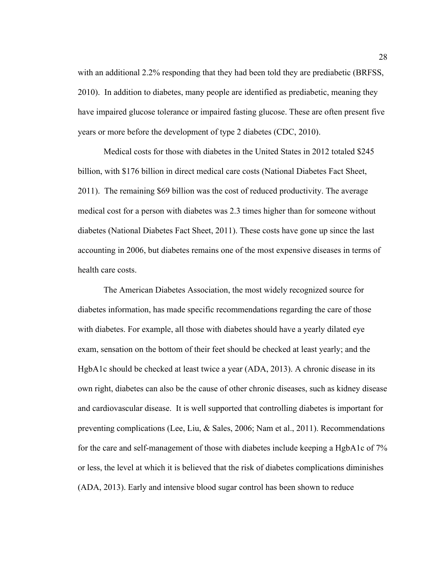with an additional 2.2% responding that they had been told they are prediabetic (BRFSS, 2010). In addition to diabetes, many people are identified as prediabetic, meaning they have impaired glucose tolerance or impaired fasting glucose. These are often present five years or more before the development of type 2 diabetes (CDC, 2010).

Medical costs for those with diabetes in the United States in 2012 totaled \$245 billion, with \$176 billion in direct medical care costs (National Diabetes Fact Sheet, 2011). The remaining \$69 billion was the cost of reduced productivity. The average medical cost for a person with diabetes was 2.3 times higher than for someone without diabetes (National Diabetes Fact Sheet, 2011). These costs have gone up since the last accounting in 2006, but diabetes remains one of the most expensive diseases in terms of health care costs.

The American Diabetes Association, the most widely recognized source for diabetes information, has made specific recommendations regarding the care of those with diabetes. For example, all those with diabetes should have a yearly dilated eye exam, sensation on the bottom of their feet should be checked at least yearly; and the HgbA1c should be checked at least twice a year (ADA, 2013). A chronic disease in its own right, diabetes can also be the cause of other chronic diseases, such as kidney disease and cardiovascular disease. It is well supported that controlling diabetes is important for preventing complications (Lee, Liu, & Sales, 2006; Nam et al., 2011). Recommendations for the care and self-management of those with diabetes include keeping a HgbA1c of 7% or less, the level at which it is believed that the risk of diabetes complications diminishes (ADA, 2013). Early and intensive blood sugar control has been shown to reduce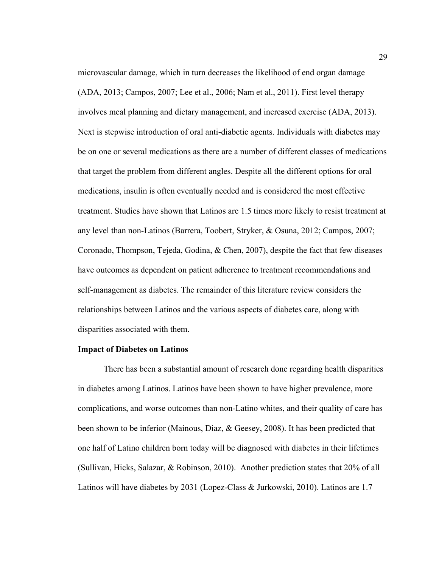microvascular damage, which in turn decreases the likelihood of end organ damage (ADA, 2013; Campos, 2007; Lee et al., 2006; Nam et al., 2011). First level therapy involves meal planning and dietary management, and increased exercise (ADA, 2013). Next is stepwise introduction of oral anti-diabetic agents. Individuals with diabetes may be on one or several medications as there are a number of different classes of medications that target the problem from different angles. Despite all the different options for oral medications, insulin is often eventually needed and is considered the most effective treatment. Studies have shown that Latinos are 1.5 times more likely to resist treatment at any level than non-Latinos (Barrera, Toobert, Stryker, & Osuna, 2012; Campos, 2007; Coronado, Thompson, Tejeda, Godina, & Chen, 2007), despite the fact that few diseases have outcomes as dependent on patient adherence to treatment recommendations and self-management as diabetes. The remainder of this literature review considers the relationships between Latinos and the various aspects of diabetes care, along with disparities associated with them.

#### **Impact of Diabetes on Latinos**

There has been a substantial amount of research done regarding health disparities in diabetes among Latinos. Latinos have been shown to have higher prevalence, more complications, and worse outcomes than non-Latino whites, and their quality of care has been shown to be inferior (Mainous, Diaz, & Geesey, 2008). It has been predicted that one half of Latino children born today will be diagnosed with diabetes in their lifetimes (Sullivan, Hicks, Salazar, & Robinson, 2010). Another prediction states that 20% of all Latinos will have diabetes by 2031 (Lopez-Class & Jurkowski, 2010). Latinos are 1.7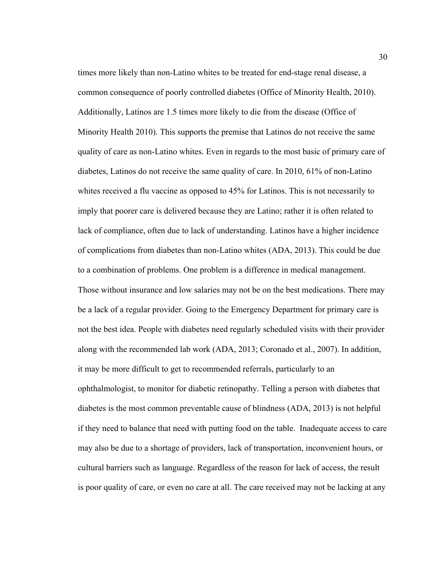times more likely than non-Latino whites to be treated for end-stage renal disease, a common consequence of poorly controlled diabetes (Office of Minority Health, 2010). Additionally, Latinos are 1.5 times more likely to die from the disease (Office of Minority Health 2010). This supports the premise that Latinos do not receive the same quality of care as non-Latino whites. Even in regards to the most basic of primary care of diabetes, Latinos do not receive the same quality of care. In 2010, 61% of non-Latino whites received a flu vaccine as opposed to 45% for Latinos. This is not necessarily to imply that poorer care is delivered because they are Latino; rather it is often related to lack of compliance, often due to lack of understanding. Latinos have a higher incidence of complications from diabetes than non-Latino whites (ADA, 2013). This could be due to a combination of problems. One problem is a difference in medical management. Those without insurance and low salaries may not be on the best medications. There may be a lack of a regular provider. Going to the Emergency Department for primary care is not the best idea. People with diabetes need regularly scheduled visits with their provider along with the recommended lab work (ADA, 2013; Coronado et al., 2007). In addition, it may be more difficult to get to recommended referrals, particularly to an ophthalmologist, to monitor for diabetic retinopathy. Telling a person with diabetes that diabetes is the most common preventable cause of blindness (ADA, 2013) is not helpful if they need to balance that need with putting food on the table. Inadequate access to care may also be due to a shortage of providers, lack of transportation, inconvenient hours, or cultural barriers such as language. Regardless of the reason for lack of access, the result is poor quality of care, or even no care at all. The care received may not be lacking at any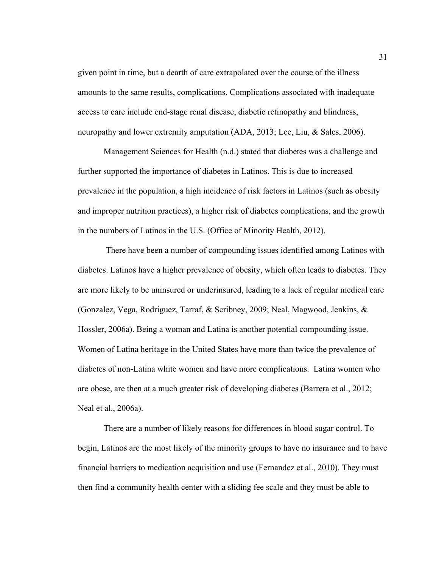given point in time, but a dearth of care extrapolated over the course of the illness amounts to the same results, complications. Complications associated with inadequate access to care include end-stage renal disease, diabetic retinopathy and blindness, neuropathy and lower extremity amputation (ADA, 2013; Lee, Liu, & Sales, 2006).

Management Sciences for Health (n.d.) stated that diabetes was a challenge and further supported the importance of diabetes in Latinos. This is due to increased prevalence in the population, a high incidence of risk factors in Latinos (such as obesity and improper nutrition practices), a higher risk of diabetes complications, and the growth in the numbers of Latinos in the U.S. (Office of Minority Health, 2012).

There have been a number of compounding issues identified among Latinos with diabetes. Latinos have a higher prevalence of obesity, which often leads to diabetes. They are more likely to be uninsured or underinsured, leading to a lack of regular medical care (Gonzalez, Vega, Rodriguez, Tarraf, & Scribney, 2009; Neal, Magwood, Jenkins, & Hossler, 2006a). Being a woman and Latina is another potential compounding issue. Women of Latina heritage in the United States have more than twice the prevalence of diabetes of non-Latina white women and have more complications. Latina women who are obese, are then at a much greater risk of developing diabetes (Barrera et al., 2012; Neal et al., 2006a).

There are a number of likely reasons for differences in blood sugar control. To begin, Latinos are the most likely of the minority groups to have no insurance and to have financial barriers to medication acquisition and use (Fernandez et al., 2010). They must then find a community health center with a sliding fee scale and they must be able to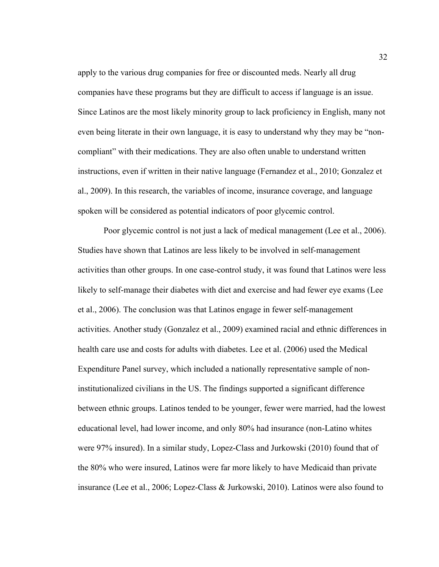apply to the various drug companies for free or discounted meds. Nearly all drug companies have these programs but they are difficult to access if language is an issue. Since Latinos are the most likely minority group to lack proficiency in English, many not even being literate in their own language, it is easy to understand why they may be "noncompliant" with their medications. They are also often unable to understand written instructions, even if written in their native language (Fernandez et al., 2010; Gonzalez et al., 2009). In this research, the variables of income, insurance coverage, and language spoken will be considered as potential indicators of poor glycemic control.

Poor glycemic control is not just a lack of medical management (Lee et al., 2006). Studies have shown that Latinos are less likely to be involved in self-management activities than other groups. In one case-control study, it was found that Latinos were less likely to self-manage their diabetes with diet and exercise and had fewer eye exams (Lee et al., 2006). The conclusion was that Latinos engage in fewer self-management activities. Another study (Gonzalez et al., 2009) examined racial and ethnic differences in health care use and costs for adults with diabetes. Lee et al. (2006) used the Medical Expenditure Panel survey, which included a nationally representative sample of noninstitutionalized civilians in the US. The findings supported a significant difference between ethnic groups. Latinos tended to be younger, fewer were married, had the lowest educational level, had lower income, and only 80% had insurance (non-Latino whites were 97% insured). In a similar study, Lopez-Class and Jurkowski (2010) found that of the 80% who were insured, Latinos were far more likely to have Medicaid than private insurance (Lee et al., 2006; Lopez-Class & Jurkowski, 2010). Latinos were also found to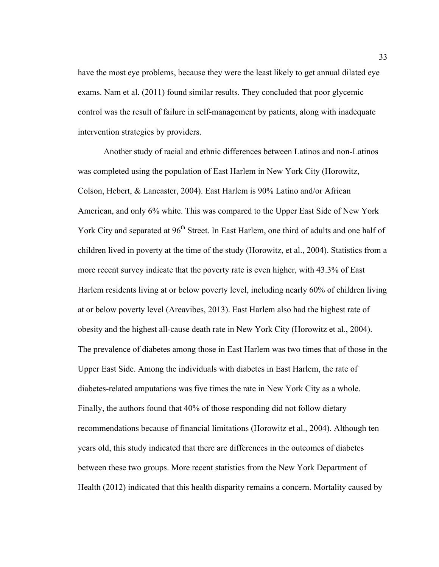have the most eye problems, because they were the least likely to get annual dilated eye exams. Nam et al. (2011) found similar results. They concluded that poor glycemic control was the result of failure in self-management by patients, along with inadequate intervention strategies by providers.

Another study of racial and ethnic differences between Latinos and non-Latinos was completed using the population of East Harlem in New York City (Horowitz, Colson, Hebert, & Lancaster, 2004). East Harlem is 90% Latino and/or African American, and only 6% white. This was compared to the Upper East Side of New York York City and separated at 96<sup>th</sup> Street. In East Harlem, one third of adults and one half of children lived in poverty at the time of the study (Horowitz, et al., 2004). Statistics from a more recent survey indicate that the poverty rate is even higher, with 43.3% of East Harlem residents living at or below poverty level, including nearly 60% of children living at or below poverty level (Areavibes, 2013). East Harlem also had the highest rate of obesity and the highest all-cause death rate in New York City (Horowitz et al., 2004). The prevalence of diabetes among those in East Harlem was two times that of those in the Upper East Side. Among the individuals with diabetes in East Harlem, the rate of diabetes-related amputations was five times the rate in New York City as a whole. Finally, the authors found that 40% of those responding did not follow dietary recommendations because of financial limitations (Horowitz et al., 2004). Although ten years old, this study indicated that there are differences in the outcomes of diabetes between these two groups. More recent statistics from the New York Department of Health (2012) indicated that this health disparity remains a concern. Mortality caused by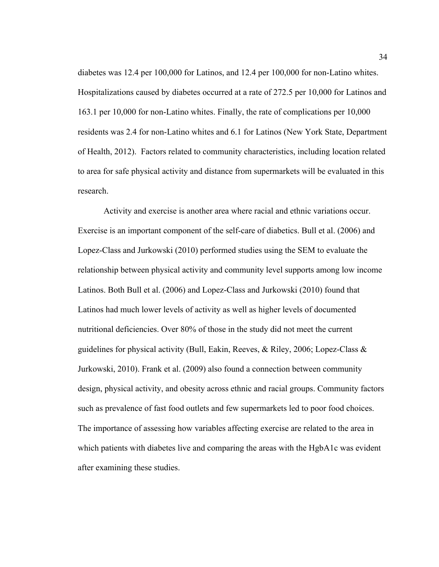diabetes was 12.4 per 100,000 for Latinos, and 12.4 per 100,000 for non-Latino whites. Hospitalizations caused by diabetes occurred at a rate of 272.5 per 10,000 for Latinos and 163.1 per 10,000 for non-Latino whites. Finally, the rate of complications per 10,000 residents was 2.4 for non-Latino whites and 6.1 for Latinos (New York State, Department of Health, 2012). Factors related to community characteristics, including location related to area for safe physical activity and distance from supermarkets will be evaluated in this research.

Activity and exercise is another area where racial and ethnic variations occur. Exercise is an important component of the self-care of diabetics. Bull et al. (2006) and Lopez-Class and Jurkowski (2010) performed studies using the SEM to evaluate the relationship between physical activity and community level supports among low income Latinos. Both Bull et al. (2006) and Lopez-Class and Jurkowski (2010) found that Latinos had much lower levels of activity as well as higher levels of documented nutritional deficiencies. Over 80% of those in the study did not meet the current guidelines for physical activity (Bull, Eakin, Reeves, & Riley, 2006; Lopez-Class & Jurkowski, 2010). Frank et al. (2009) also found a connection between community design, physical activity, and obesity across ethnic and racial groups. Community factors such as prevalence of fast food outlets and few supermarkets led to poor food choices. The importance of assessing how variables affecting exercise are related to the area in which patients with diabetes live and comparing the areas with the HgbA1c was evident after examining these studies.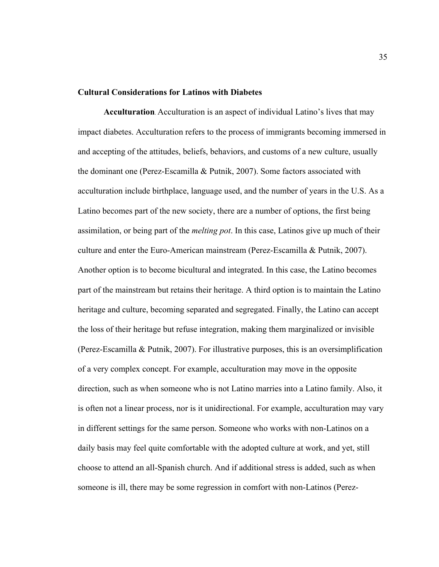# **Cultural Considerations for Latinos with Diabetes**

**Acculturation**. Acculturation is an aspect of individual Latino's lives that may impact diabetes. Acculturation refers to the process of immigrants becoming immersed in and accepting of the attitudes, beliefs, behaviors, and customs of a new culture, usually the dominant one (Perez-Escamilla & Putnik, 2007). Some factors associated with acculturation include birthplace, language used, and the number of years in the U.S. As a Latino becomes part of the new society, there are a number of options, the first being assimilation, or being part of the *melting pot*. In this case, Latinos give up much of their culture and enter the Euro-American mainstream (Perez-Escamilla & Putnik, 2007). Another option is to become bicultural and integrated. In this case, the Latino becomes part of the mainstream but retains their heritage. A third option is to maintain the Latino heritage and culture, becoming separated and segregated. Finally, the Latino can accept the loss of their heritage but refuse integration, making them marginalized or invisible (Perez-Escamilla & Putnik, 2007). For illustrative purposes, this is an oversimplification of a very complex concept. For example, acculturation may move in the opposite direction, such as when someone who is not Latino marries into a Latino family. Also, it is often not a linear process, nor is it unidirectional. For example, acculturation may vary in different settings for the same person. Someone who works with non-Latinos on a daily basis may feel quite comfortable with the adopted culture at work, and yet, still choose to attend an all-Spanish church. And if additional stress is added, such as when someone is ill, there may be some regression in comfort with non-Latinos (Perez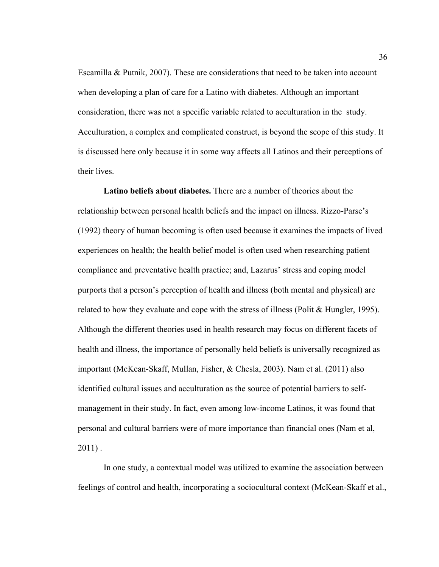Escamilla & Putnik, 2007). These are considerations that need to be taken into account when developing a plan of care for a Latino with diabetes. Although an important consideration, there was not a specific variable related to acculturation in the study. Acculturation, a complex and complicated construct, is beyond the scope of this study. It is discussed here only because it in some way affects all Latinos and their perceptions of their lives.

**Latino beliefs about diabetes.** There are a number of theories about the relationship between personal health beliefs and the impact on illness. Rizzo-Parse's (1992) theory of human becoming is often used because it examines the impacts of lived experiences on health; the health belief model is often used when researching patient compliance and preventative health practice; and, Lazarus' stress and coping model purports that a person's perception of health and illness (both mental and physical) are related to how they evaluate and cope with the stress of illness (Polit  $& Hungler, 1995$ ). Although the different theories used in health research may focus on different facets of health and illness, the importance of personally held beliefs is universally recognized as important (McKean-Skaff, Mullan, Fisher, & Chesla, 2003). Nam et al. (2011) also identified cultural issues and acculturation as the source of potential barriers to selfmanagement in their study. In fact, even among low-income Latinos, it was found that personal and cultural barriers were of more importance than financial ones (Nam et al,  $2011$ ).

In one study, a contextual model was utilized to examine the association between feelings of control and health, incorporating a sociocultural context (McKean-Skaff et al.,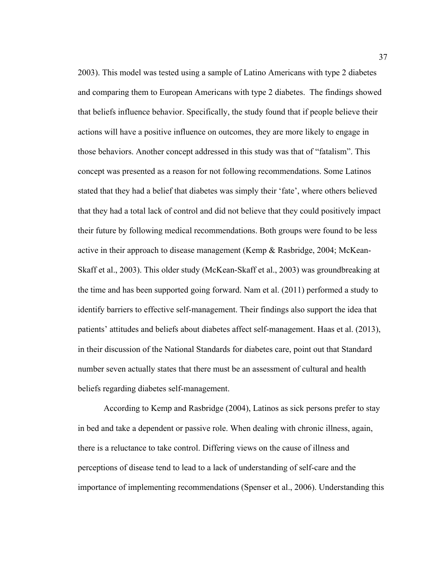2003). This model was tested using a sample of Latino Americans with type 2 diabetes and comparing them to European Americans with type 2 diabetes. The findings showed that beliefs influence behavior. Specifically, the study found that if people believe their actions will have a positive influence on outcomes, they are more likely to engage in those behaviors. Another concept addressed in this study was that of "fatalism". This concept was presented as a reason for not following recommendations. Some Latinos stated that they had a belief that diabetes was simply their 'fate', where others believed that they had a total lack of control and did not believe that they could positively impact their future by following medical recommendations. Both groups were found to be less active in their approach to disease management (Kemp & Rasbridge, 2004; McKean-Skaff et al., 2003). This older study (McKean-Skaff et al., 2003) was groundbreaking at the time and has been supported going forward. Nam et al. (2011) performed a study to identify barriers to effective self-management. Their findings also support the idea that patients' attitudes and beliefs about diabetes affect self-management. Haas et al. (2013), in their discussion of the National Standards for diabetes care, point out that Standard number seven actually states that there must be an assessment of cultural and health beliefs regarding diabetes self-management.

According to Kemp and Rasbridge (2004), Latinos as sick persons prefer to stay in bed and take a dependent or passive role. When dealing with chronic illness, again, there is a reluctance to take control. Differing views on the cause of illness and perceptions of disease tend to lead to a lack of understanding of self-care and the importance of implementing recommendations (Spenser et al., 2006). Understanding this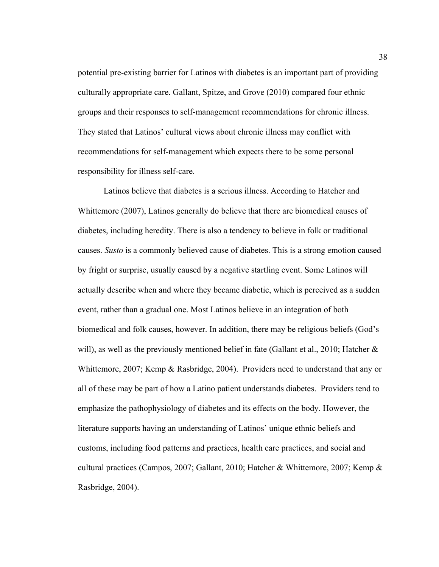potential pre-existing barrier for Latinos with diabetes is an important part of providing culturally appropriate care. Gallant, Spitze, and Grove (2010) compared four ethnic groups and their responses to self-management recommendations for chronic illness. They stated that Latinos' cultural views about chronic illness may conflict with recommendations for self-management which expects there to be some personal responsibility for illness self-care.

Latinos believe that diabetes is a serious illness. According to Hatcher and Whittemore (2007), Latinos generally do believe that there are biomedical causes of diabetes, including heredity. There is also a tendency to believe in folk or traditional causes. *Susto* is a commonly believed cause of diabetes. This is a strong emotion caused by fright or surprise, usually caused by a negative startling event. Some Latinos will actually describe when and where they became diabetic, which is perceived as a sudden event, rather than a gradual one. Most Latinos believe in an integration of both biomedical and folk causes, however. In addition, there may be religious beliefs (God's will), as well as the previously mentioned belief in fate (Gallant et al., 2010; Hatcher  $\&$ Whittemore, 2007; Kemp & Rasbridge, 2004). Providers need to understand that any or all of these may be part of how a Latino patient understands diabetes. Providers tend to emphasize the pathophysiology of diabetes and its effects on the body. However, the literature supports having an understanding of Latinos' unique ethnic beliefs and customs, including food patterns and practices, health care practices, and social and cultural practices (Campos, 2007; Gallant, 2010; Hatcher & Whittemore, 2007; Kemp & Rasbridge, 2004).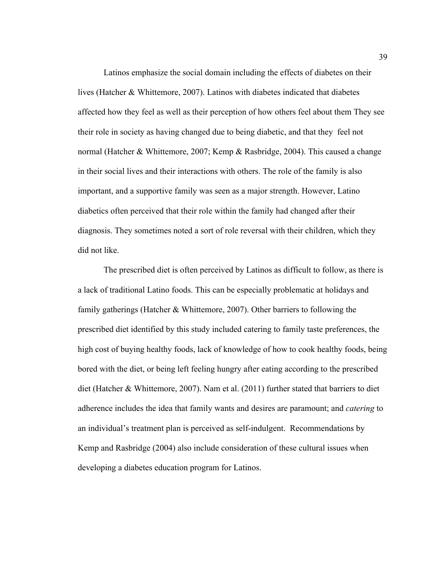Latinos emphasize the social domain including the effects of diabetes on their lives (Hatcher & Whittemore, 2007). Latinos with diabetes indicated that diabetes affected how they feel as well as their perception of how others feel about them They see their role in society as having changed due to being diabetic, and that they feel not normal (Hatcher & Whittemore, 2007; Kemp & Rasbridge, 2004). This caused a change in their social lives and their interactions with others. The role of the family is also important, and a supportive family was seen as a major strength. However, Latino diabetics often perceived that their role within the family had changed after their diagnosis. They sometimes noted a sort of role reversal with their children, which they did not like.

The prescribed diet is often perceived by Latinos as difficult to follow, as there is a lack of traditional Latino foods. This can be especially problematic at holidays and family gatherings (Hatcher & Whittemore, 2007). Other barriers to following the prescribed diet identified by this study included catering to family taste preferences, the high cost of buying healthy foods, lack of knowledge of how to cook healthy foods, being bored with the diet, or being left feeling hungry after eating according to the prescribed diet (Hatcher & Whittemore, 2007). Nam et al. (2011) further stated that barriers to diet adherence includes the idea that family wants and desires are paramount; and *catering* to an individual's treatment plan is perceived as self-indulgent. Recommendations by Kemp and Rasbridge (2004) also include consideration of these cultural issues when developing a diabetes education program for Latinos.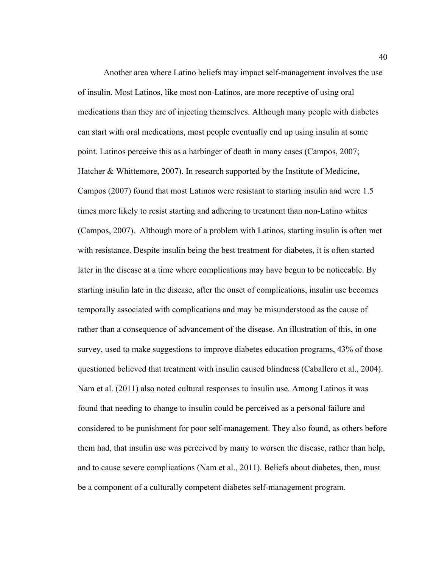Another area where Latino beliefs may impact self-management involves the use of insulin. Most Latinos, like most non-Latinos, are more receptive of using oral medications than they are of injecting themselves. Although many people with diabetes can start with oral medications, most people eventually end up using insulin at some point. Latinos perceive this as a harbinger of death in many cases (Campos, 2007; Hatcher & Whittemore, 2007). In research supported by the Institute of Medicine, Campos (2007) found that most Latinos were resistant to starting insulin and were 1.5 times more likely to resist starting and adhering to treatment than non-Latino whites (Campos, 2007). Although more of a problem with Latinos, starting insulin is often met with resistance. Despite insulin being the best treatment for diabetes, it is often started later in the disease at a time where complications may have begun to be noticeable. By starting insulin late in the disease, after the onset of complications, insulin use becomes temporally associated with complications and may be misunderstood as the cause of rather than a consequence of advancement of the disease. An illustration of this, in one survey, used to make suggestions to improve diabetes education programs, 43% of those questioned believed that treatment with insulin caused blindness (Caballero et al., 2004). Nam et al. (2011) also noted cultural responses to insulin use. Among Latinos it was found that needing to change to insulin could be perceived as a personal failure and considered to be punishment for poor self-management. They also found, as others before them had, that insulin use was perceived by many to worsen the disease, rather than help, and to cause severe complications (Nam et al., 2011). Beliefs about diabetes, then, must be a component of a culturally competent diabetes self-management program.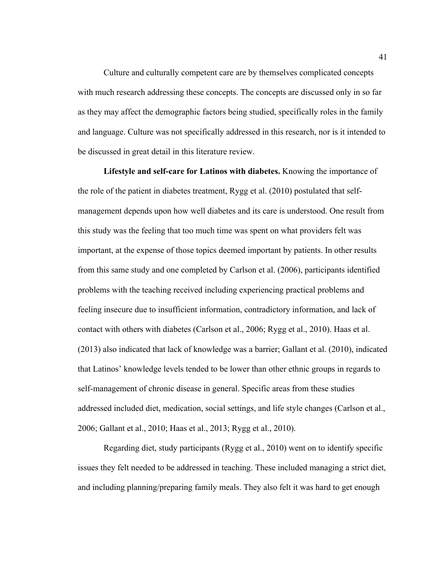Culture and culturally competent care are by themselves complicated concepts with much research addressing these concepts. The concepts are discussed only in so far as they may affect the demographic factors being studied, specifically roles in the family and language. Culture was not specifically addressed in this research, nor is it intended to be discussed in great detail in this literature review.

**Lifestyle and self-care for Latinos with diabetes.** Knowing the importance of the role of the patient in diabetes treatment, Rygg et al. (2010) postulated that selfmanagement depends upon how well diabetes and its care is understood. One result from this study was the feeling that too much time was spent on what providers felt was important, at the expense of those topics deemed important by patients. In other results from this same study and one completed by Carlson et al. (2006), participants identified problems with the teaching received including experiencing practical problems and feeling insecure due to insufficient information, contradictory information, and lack of contact with others with diabetes (Carlson et al., 2006; Rygg et al., 2010). Haas et al. (2013) also indicated that lack of knowledge was a barrier; Gallant et al. (2010), indicated that Latinos' knowledge levels tended to be lower than other ethnic groups in regards to self-management of chronic disease in general. Specific areas from these studies addressed included diet, medication, social settings, and life style changes (Carlson et al., 2006; Gallant et al., 2010; Haas et al., 2013; Rygg et al., 2010).

Regarding diet, study participants (Rygg et al., 2010) went on to identify specific issues they felt needed to be addressed in teaching. These included managing a strict diet, and including planning/preparing family meals. They also felt it was hard to get enough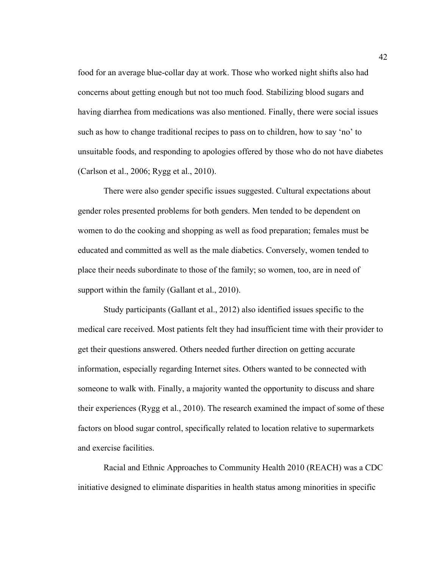food for an average blue-collar day at work. Those who worked night shifts also had concerns about getting enough but not too much food. Stabilizing blood sugars and having diarrhea from medications was also mentioned. Finally, there were social issues such as how to change traditional recipes to pass on to children, how to say 'no' to unsuitable foods, and responding to apologies offered by those who do not have diabetes (Carlson et al., 2006; Rygg et al., 2010).

There were also gender specific issues suggested. Cultural expectations about gender roles presented problems for both genders. Men tended to be dependent on women to do the cooking and shopping as well as food preparation; females must be educated and committed as well as the male diabetics. Conversely, women tended to place their needs subordinate to those of the family; so women, too, are in need of support within the family (Gallant et al., 2010).

Study participants (Gallant et al., 2012) also identified issues specific to the medical care received. Most patients felt they had insufficient time with their provider to get their questions answered. Others needed further direction on getting accurate information, especially regarding Internet sites. Others wanted to be connected with someone to walk with. Finally, a majority wanted the opportunity to discuss and share their experiences (Rygg et al., 2010). The research examined the impact of some of these factors on blood sugar control, specifically related to location relative to supermarkets and exercise facilities.

Racial and Ethnic Approaches to Community Health 2010 (REACH) was a CDC initiative designed to eliminate disparities in health status among minorities in specific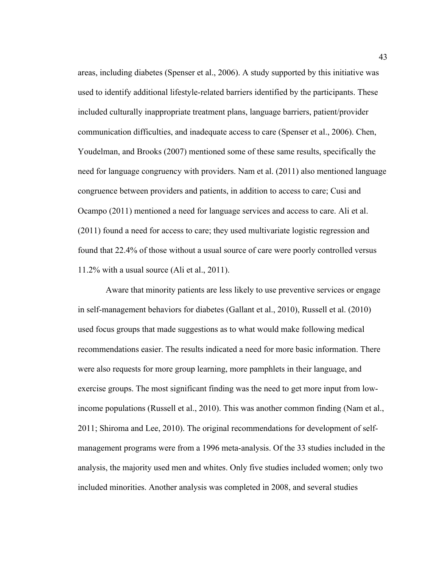areas, including diabetes (Spenser et al., 2006). A study supported by this initiative was used to identify additional lifestyle-related barriers identified by the participants. These included culturally inappropriate treatment plans, language barriers, patient/provider communication difficulties, and inadequate access to care (Spenser et al., 2006). Chen, Youdelman, and Brooks (2007) mentioned some of these same results, specifically the need for language congruency with providers. Nam et al. (2011) also mentioned language congruence between providers and patients, in addition to access to care; Cusi and Ocampo (2011) mentioned a need for language services and access to care. Ali et al. (2011) found a need for access to care; they used multivariate logistic regression and found that 22.4% of those without a usual source of care were poorly controlled versus 11.2% with a usual source (Ali et al., 2011).

Aware that minority patients are less likely to use preventive services or engage in self-management behaviors for diabetes (Gallant et al., 2010), Russell et al. (2010) used focus groups that made suggestions as to what would make following medical recommendations easier. The results indicated a need for more basic information. There were also requests for more group learning, more pamphlets in their language, and exercise groups. The most significant finding was the need to get more input from lowincome populations (Russell et al., 2010). This was another common finding (Nam et al., 2011; Shiroma and Lee, 2010). The original recommendations for development of selfmanagement programs were from a 1996 meta-analysis. Of the 33 studies included in the analysis, the majority used men and whites. Only five studies included women; only two included minorities. Another analysis was completed in 2008, and several studies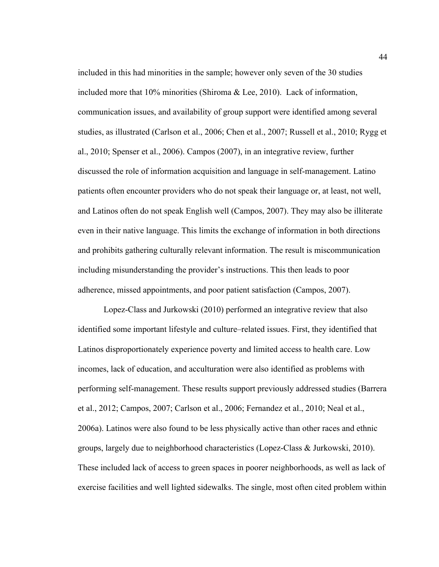included in this had minorities in the sample; however only seven of the 30 studies included more that 10% minorities (Shiroma & Lee, 2010). Lack of information, communication issues, and availability of group support were identified among several studies, as illustrated (Carlson et al., 2006; Chen et al., 2007; Russell et al., 2010; Rygg et al., 2010; Spenser et al., 2006). Campos (2007), in an integrative review, further discussed the role of information acquisition and language in self-management. Latino patients often encounter providers who do not speak their language or, at least, not well, and Latinos often do not speak English well (Campos, 2007). They may also be illiterate even in their native language. This limits the exchange of information in both directions and prohibits gathering culturally relevant information. The result is miscommunication including misunderstanding the provider's instructions. This then leads to poor adherence, missed appointments, and poor patient satisfaction (Campos, 2007).

Lopez-Class and Jurkowski (2010) performed an integrative review that also identified some important lifestyle and culture–related issues. First, they identified that Latinos disproportionately experience poverty and limited access to health care. Low incomes, lack of education, and acculturation were also identified as problems with performing self-management. These results support previously addressed studies (Barrera et al., 2012; Campos, 2007; Carlson et al., 2006; Fernandez et al., 2010; Neal et al., 2006a). Latinos were also found to be less physically active than other races and ethnic groups, largely due to neighborhood characteristics (Lopez-Class & Jurkowski, 2010). These included lack of access to green spaces in poorer neighborhoods, as well as lack of exercise facilities and well lighted sidewalks. The single, most often cited problem within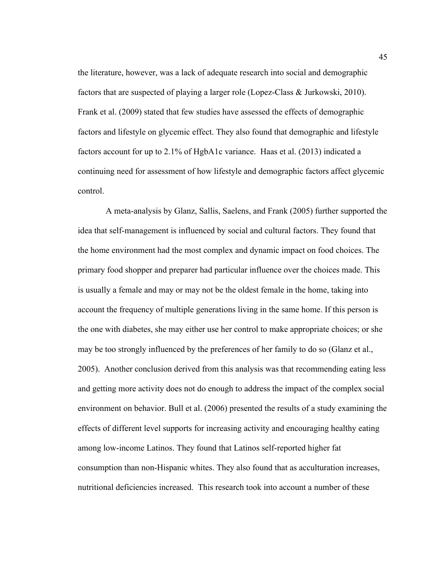the literature, however, was a lack of adequate research into social and demographic factors that are suspected of playing a larger role (Lopez-Class & Jurkowski, 2010). Frank et al. (2009) stated that few studies have assessed the effects of demographic factors and lifestyle on glycemic effect. They also found that demographic and lifestyle factors account for up to 2.1% of HgbA1c variance. Haas et al. (2013) indicated a continuing need for assessment of how lifestyle and demographic factors affect glycemic control.

A meta-analysis by Glanz, Sallis, Saelens, and Frank (2005) further supported the idea that self-management is influenced by social and cultural factors. They found that the home environment had the most complex and dynamic impact on food choices. The primary food shopper and preparer had particular influence over the choices made. This is usually a female and may or may not be the oldest female in the home, taking into account the frequency of multiple generations living in the same home. If this person is the one with diabetes, she may either use her control to make appropriate choices; or she may be too strongly influenced by the preferences of her family to do so (Glanz et al., 2005). Another conclusion derived from this analysis was that recommending eating less and getting more activity does not do enough to address the impact of the complex social environment on behavior. Bull et al. (2006) presented the results of a study examining the effects of different level supports for increasing activity and encouraging healthy eating among low-income Latinos. They found that Latinos self-reported higher fat consumption than non-Hispanic whites. They also found that as acculturation increases, nutritional deficiencies increased. This research took into account a number of these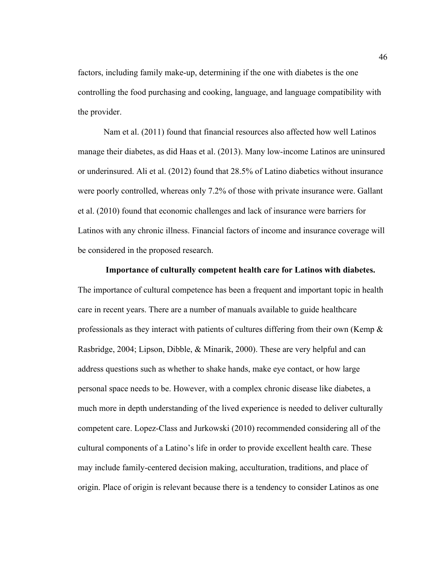factors, including family make-up, determining if the one with diabetes is the one controlling the food purchasing and cooking, language, and language compatibility with the provider.

Nam et al. (2011) found that financial resources also affected how well Latinos manage their diabetes, as did Haas et al. (2013). Many low-income Latinos are uninsured or underinsured. Ali et al. (2012) found that 28.5% of Latino diabetics without insurance were poorly controlled, whereas only 7.2% of those with private insurance were. Gallant et al. (2010) found that economic challenges and lack of insurance were barriers for Latinos with any chronic illness. Financial factors of income and insurance coverage will be considered in the proposed research.

### **Importance of culturally competent health care for Latinos with diabetes.**

The importance of cultural competence has been a frequent and important topic in health care in recent years. There are a number of manuals available to guide healthcare professionals as they interact with patients of cultures differing from their own (Kemp & Rasbridge, 2004; Lipson, Dibble, & Minarik, 2000). These are very helpful and can address questions such as whether to shake hands, make eye contact, or how large personal space needs to be. However, with a complex chronic disease like diabetes, a much more in depth understanding of the lived experience is needed to deliver culturally competent care. Lopez-Class and Jurkowski (2010) recommended considering all of the cultural components of a Latino's life in order to provide excellent health care. These may include family-centered decision making, acculturation, traditions, and place of origin. Place of origin is relevant because there is a tendency to consider Latinos as one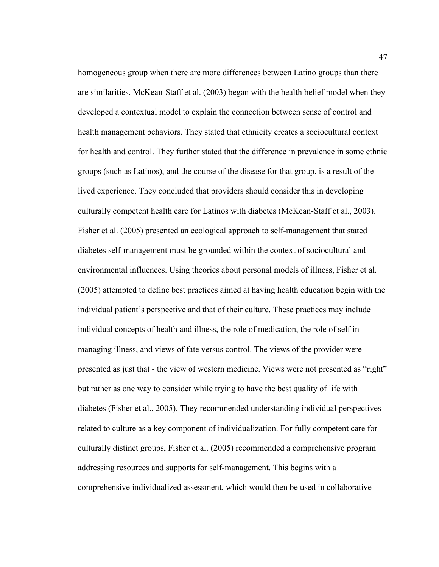homogeneous group when there are more differences between Latino groups than there are similarities. McKean-Staff et al. (2003) began with the health belief model when they developed a contextual model to explain the connection between sense of control and health management behaviors. They stated that ethnicity creates a sociocultural context for health and control. They further stated that the difference in prevalence in some ethnic groups (such as Latinos), and the course of the disease for that group, is a result of the lived experience. They concluded that providers should consider this in developing culturally competent health care for Latinos with diabetes (McKean-Staff et al., 2003). Fisher et al. (2005) presented an ecological approach to self-management that stated diabetes self-management must be grounded within the context of sociocultural and environmental influences. Using theories about personal models of illness, Fisher et al. (2005) attempted to define best practices aimed at having health education begin with the individual patient's perspective and that of their culture. These practices may include individual concepts of health and illness, the role of medication, the role of self in managing illness, and views of fate versus control. The views of the provider were presented as just that - the view of western medicine. Views were not presented as "right" but rather as one way to consider while trying to have the best quality of life with diabetes (Fisher et al., 2005). They recommended understanding individual perspectives related to culture as a key component of individualization. For fully competent care for culturally distinct groups, Fisher et al. (2005) recommended a comprehensive program addressing resources and supports for self-management. This begins with a comprehensive individualized assessment, which would then be used in collaborative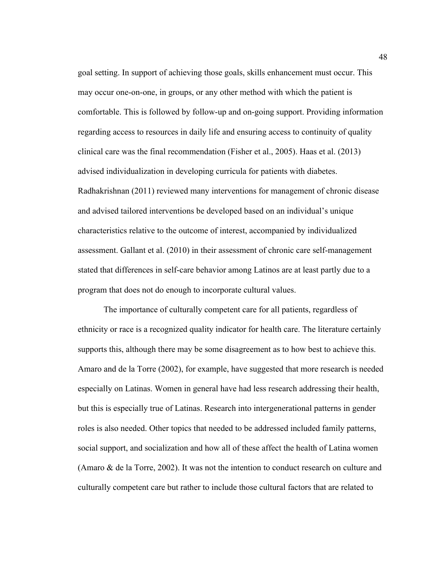goal setting. In support of achieving those goals, skills enhancement must occur. This may occur one-on-one, in groups, or any other method with which the patient is comfortable. This is followed by follow-up and on-going support. Providing information regarding access to resources in daily life and ensuring access to continuity of quality clinical care was the final recommendation (Fisher et al., 2005). Haas et al. (2013) advised individualization in developing curricula for patients with diabetes. Radhakrishnan (2011) reviewed many interventions for management of chronic disease and advised tailored interventions be developed based on an individual's unique characteristics relative to the outcome of interest, accompanied by individualized assessment. Gallant et al. (2010) in their assessment of chronic care self-management stated that differences in self-care behavior among Latinos are at least partly due to a program that does not do enough to incorporate cultural values.

The importance of culturally competent care for all patients, regardless of ethnicity or race is a recognized quality indicator for health care. The literature certainly supports this, although there may be some disagreement as to how best to achieve this. Amaro and de la Torre (2002), for example, have suggested that more research is needed especially on Latinas. Women in general have had less research addressing their health, but this is especially true of Latinas. Research into intergenerational patterns in gender roles is also needed. Other topics that needed to be addressed included family patterns, social support, and socialization and how all of these affect the health of Latina women (Amaro & de la Torre, 2002). It was not the intention to conduct research on culture and culturally competent care but rather to include those cultural factors that are related to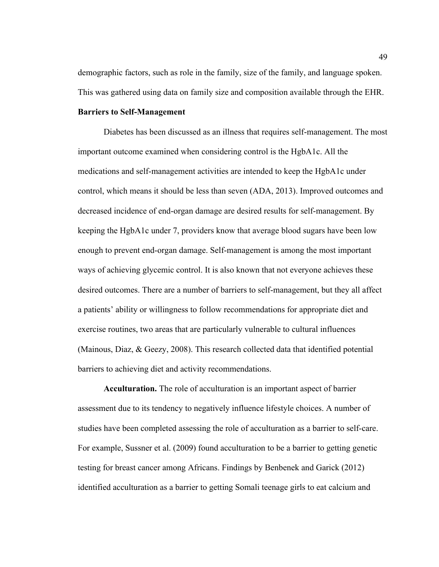demographic factors, such as role in the family, size of the family, and language spoken. This was gathered using data on family size and composition available through the EHR.

# **Barriers to Self-Management**

Diabetes has been discussed as an illness that requires self-management. The most important outcome examined when considering control is the HgbA1c. All the medications and self-management activities are intended to keep the HgbA1c under control, which means it should be less than seven (ADA, 2013). Improved outcomes and decreased incidence of end-organ damage are desired results for self-management. By keeping the HgbA1c under 7, providers know that average blood sugars have been low enough to prevent end-organ damage. Self-management is among the most important ways of achieving glycemic control. It is also known that not everyone achieves these desired outcomes. There are a number of barriers to self-management, but they all affect a patients' ability or willingness to follow recommendations for appropriate diet and exercise routines, two areas that are particularly vulnerable to cultural influences (Mainous, Diaz, & Geezy, 2008). This research collected data that identified potential barriers to achieving diet and activity recommendations.

**Acculturation.** The role of acculturation is an important aspect of barrier assessment due to its tendency to negatively influence lifestyle choices. A number of studies have been completed assessing the role of acculturation as a barrier to self-care. For example, Sussner et al. (2009) found acculturation to be a barrier to getting genetic testing for breast cancer among Africans. Findings by Benbenek and Garick (2012) identified acculturation as a barrier to getting Somali teenage girls to eat calcium and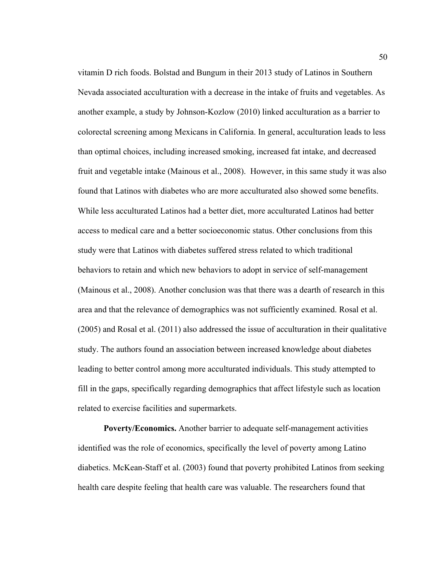vitamin D rich foods. Bolstad and Bungum in their 2013 study of Latinos in Southern Nevada associated acculturation with a decrease in the intake of fruits and vegetables. As another example, a study by Johnson-Kozlow (2010) linked acculturation as a barrier to colorectal screening among Mexicans in California. In general, acculturation leads to less than optimal choices, including increased smoking, increased fat intake, and decreased fruit and vegetable intake (Mainous et al., 2008). However, in this same study it was also found that Latinos with diabetes who are more acculturated also showed some benefits. While less acculturated Latinos had a better diet, more acculturated Latinos had better access to medical care and a better socioeconomic status. Other conclusions from this study were that Latinos with diabetes suffered stress related to which traditional behaviors to retain and which new behaviors to adopt in service of self-management (Mainous et al., 2008). Another conclusion was that there was a dearth of research in this area and that the relevance of demographics was not sufficiently examined. Rosal et al. (2005) and Rosal et al. (2011) also addressed the issue of acculturation in their qualitative study. The authors found an association between increased knowledge about diabetes leading to better control among more acculturated individuals. This study attempted to fill in the gaps, specifically regarding demographics that affect lifestyle such as location related to exercise facilities and supermarkets.

**Poverty/Economics.** Another barrier to adequate self-management activities identified was the role of economics, specifically the level of poverty among Latino diabetics. McKean-Staff et al. (2003) found that poverty prohibited Latinos from seeking health care despite feeling that health care was valuable. The researchers found that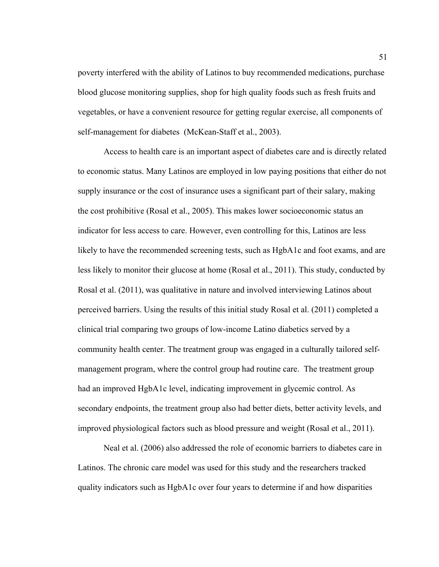poverty interfered with the ability of Latinos to buy recommended medications, purchase blood glucose monitoring supplies, shop for high quality foods such as fresh fruits and vegetables, or have a convenient resource for getting regular exercise, all components of self-management for diabetes (McKean-Staff et al., 2003).

Access to health care is an important aspect of diabetes care and is directly related to economic status. Many Latinos are employed in low paying positions that either do not supply insurance or the cost of insurance uses a significant part of their salary, making the cost prohibitive (Rosal et al., 2005). This makes lower socioeconomic status an indicator for less access to care. However, even controlling for this, Latinos are less likely to have the recommended screening tests, such as HgbA1c and foot exams, and are less likely to monitor their glucose at home (Rosal et al., 2011). This study, conducted by Rosal et al. (2011), was qualitative in nature and involved interviewing Latinos about perceived barriers. Using the results of this initial study Rosal et al. (2011) completed a clinical trial comparing two groups of low-income Latino diabetics served by a community health center. The treatment group was engaged in a culturally tailored selfmanagement program, where the control group had routine care. The treatment group had an improved HgbA1c level, indicating improvement in glycemic control. As secondary endpoints, the treatment group also had better diets, better activity levels, and improved physiological factors such as blood pressure and weight (Rosal et al., 2011).

Neal et al. (2006) also addressed the role of economic barriers to diabetes care in Latinos. The chronic care model was used for this study and the researchers tracked quality indicators such as HgbA1c over four years to determine if and how disparities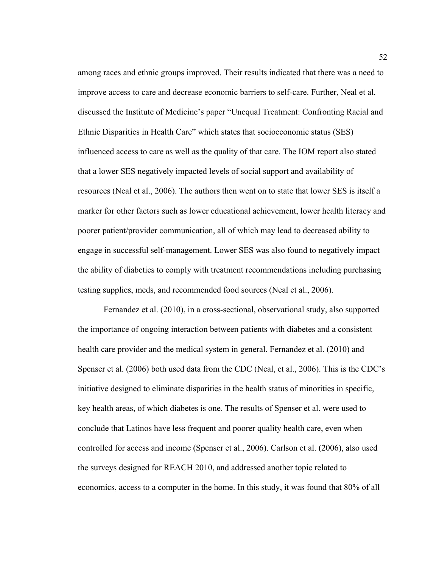among races and ethnic groups improved. Their results indicated that there was a need to improve access to care and decrease economic barriers to self-care. Further, Neal et al. discussed the Institute of Medicine's paper "Unequal Treatment: Confronting Racial and Ethnic Disparities in Health Care" which states that socioeconomic status (SES) influenced access to care as well as the quality of that care. The IOM report also stated that a lower SES negatively impacted levels of social support and availability of resources (Neal et al., 2006). The authors then went on to state that lower SES is itself a marker for other factors such as lower educational achievement, lower health literacy and poorer patient/provider communication, all of which may lead to decreased ability to engage in successful self-management. Lower SES was also found to negatively impact the ability of diabetics to comply with treatment recommendations including purchasing testing supplies, meds, and recommended food sources (Neal et al., 2006).

Fernandez et al. (2010), in a cross-sectional, observational study, also supported the importance of ongoing interaction between patients with diabetes and a consistent health care provider and the medical system in general. Fernandez et al. (2010) and Spenser et al. (2006) both used data from the CDC (Neal, et al., 2006). This is the CDC's initiative designed to eliminate disparities in the health status of minorities in specific, key health areas, of which diabetes is one. The results of Spenser et al. were used to conclude that Latinos have less frequent and poorer quality health care, even when controlled for access and income (Spenser et al., 2006). Carlson et al. (2006), also used the surveys designed for REACH 2010, and addressed another topic related to economics, access to a computer in the home. In this study, it was found that 80% of all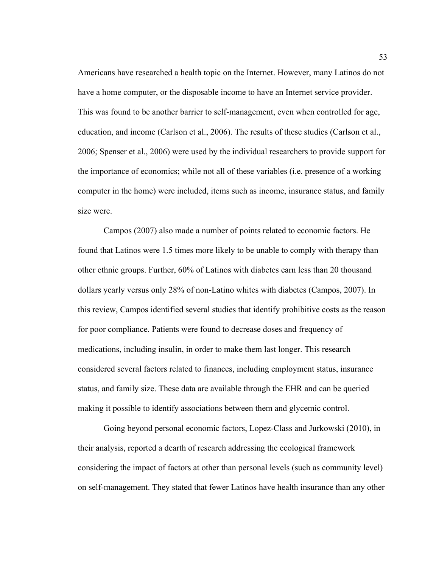Americans have researched a health topic on the Internet. However, many Latinos do not have a home computer, or the disposable income to have an Internet service provider. This was found to be another barrier to self-management, even when controlled for age, education, and income (Carlson et al., 2006). The results of these studies (Carlson et al., 2006; Spenser et al., 2006) were used by the individual researchers to provide support for the importance of economics; while not all of these variables (i.e. presence of a working computer in the home) were included, items such as income, insurance status, and family size were.

Campos (2007) also made a number of points related to economic factors. He found that Latinos were 1.5 times more likely to be unable to comply with therapy than other ethnic groups. Further, 60% of Latinos with diabetes earn less than 20 thousand dollars yearly versus only 28% of non-Latino whites with diabetes (Campos, 2007). In this review, Campos identified several studies that identify prohibitive costs as the reason for poor compliance. Patients were found to decrease doses and frequency of medications, including insulin, in order to make them last longer. This research considered several factors related to finances, including employment status, insurance status, and family size. These data are available through the EHR and can be queried making it possible to identify associations between them and glycemic control.

Going beyond personal economic factors, Lopez-Class and Jurkowski (2010), in their analysis, reported a dearth of research addressing the ecological framework considering the impact of factors at other than personal levels (such as community level) on self-management. They stated that fewer Latinos have health insurance than any other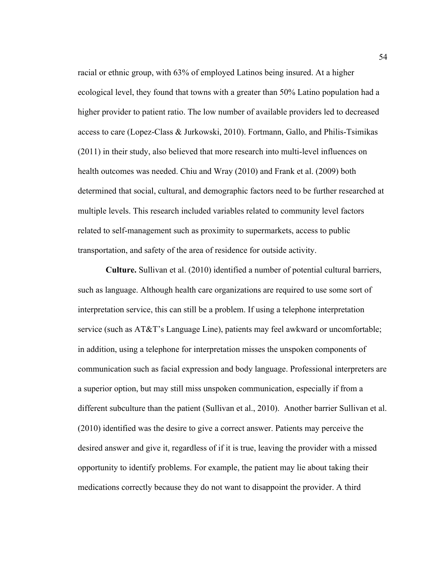racial or ethnic group, with 63% of employed Latinos being insured. At a higher ecological level, they found that towns with a greater than 50% Latino population had a higher provider to patient ratio. The low number of available providers led to decreased access to care (Lopez-Class & Jurkowski, 2010). Fortmann, Gallo, and Philis-Tsimikas (2011) in their study, also believed that more research into multi-level influences on health outcomes was needed. Chiu and Wray (2010) and Frank et al. (2009) both determined that social, cultural, and demographic factors need to be further researched at multiple levels. This research included variables related to community level factors related to self-management such as proximity to supermarkets, access to public transportation, and safety of the area of residence for outside activity.

**Culture.** Sullivan et al. (2010) identified a number of potential cultural barriers, such as language. Although health care organizations are required to use some sort of interpretation service, this can still be a problem. If using a telephone interpretation service (such as AT&T's Language Line), patients may feel awkward or uncomfortable; in addition, using a telephone for interpretation misses the unspoken components of communication such as facial expression and body language. Professional interpreters are a superior option, but may still miss unspoken communication, especially if from a different subculture than the patient (Sullivan et al., 2010). Another barrier Sullivan et al. (2010) identified was the desire to give a correct answer. Patients may perceive the desired answer and give it, regardless of if it is true, leaving the provider with a missed opportunity to identify problems. For example, the patient may lie about taking their medications correctly because they do not want to disappoint the provider. A third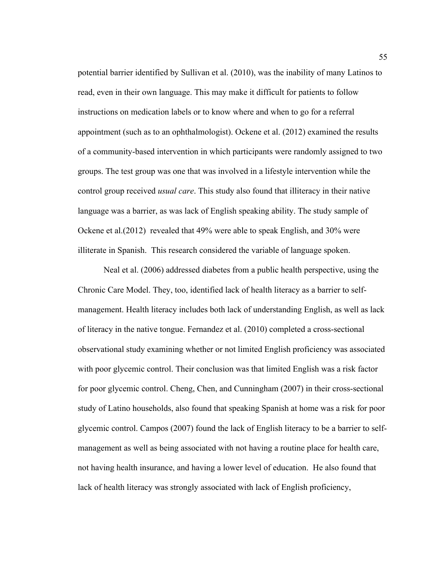potential barrier identified by Sullivan et al. (2010), was the inability of many Latinos to read, even in their own language. This may make it difficult for patients to follow instructions on medication labels or to know where and when to go for a referral appointment (such as to an ophthalmologist). Ockene et al. (2012) examined the results of a community-based intervention in which participants were randomly assigned to two groups. The test group was one that was involved in a lifestyle intervention while the control group received *usual care*. This study also found that illiteracy in their native language was a barrier, as was lack of English speaking ability. The study sample of Ockene et al.(2012) revealed that 49% were able to speak English, and 30% were illiterate in Spanish. This research considered the variable of language spoken.

Neal et al. (2006) addressed diabetes from a public health perspective, using the Chronic Care Model. They, too, identified lack of health literacy as a barrier to selfmanagement. Health literacy includes both lack of understanding English, as well as lack of literacy in the native tongue. Fernandez et al. (2010) completed a cross-sectional observational study examining whether or not limited English proficiency was associated with poor glycemic control. Their conclusion was that limited English was a risk factor for poor glycemic control. Cheng, Chen, and Cunningham (2007) in their cross-sectional study of Latino households, also found that speaking Spanish at home was a risk for poor glycemic control. Campos (2007) found the lack of English literacy to be a barrier to selfmanagement as well as being associated with not having a routine place for health care, not having health insurance, and having a lower level of education. He also found that lack of health literacy was strongly associated with lack of English proficiency,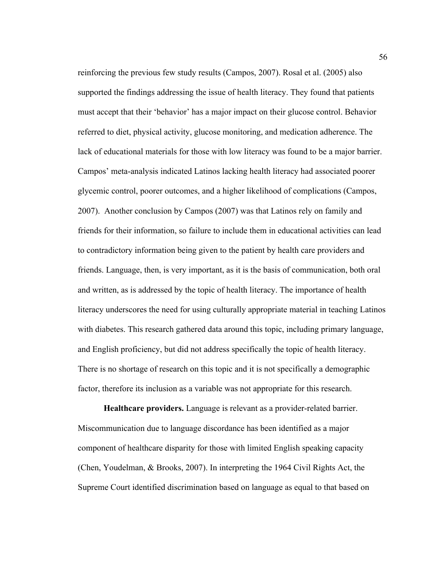reinforcing the previous few study results (Campos, 2007). Rosal et al. (2005) also supported the findings addressing the issue of health literacy. They found that patients must accept that their 'behavior' has a major impact on their glucose control. Behavior referred to diet, physical activity, glucose monitoring, and medication adherence. The lack of educational materials for those with low literacy was found to be a major barrier. Campos' meta-analysis indicated Latinos lacking health literacy had associated poorer glycemic control, poorer outcomes, and a higher likelihood of complications (Campos, 2007). Another conclusion by Campos (2007) was that Latinos rely on family and friends for their information, so failure to include them in educational activities can lead to contradictory information being given to the patient by health care providers and friends. Language, then, is very important, as it is the basis of communication, both oral and written, as is addressed by the topic of health literacy. The importance of health literacy underscores the need for using culturally appropriate material in teaching Latinos with diabetes. This research gathered data around this topic, including primary language, and English proficiency, but did not address specifically the topic of health literacy. There is no shortage of research on this topic and it is not specifically a demographic factor, therefore its inclusion as a variable was not appropriate for this research.

**Healthcare providers.** Language is relevant as a provider-related barrier. Miscommunication due to language discordance has been identified as a major component of healthcare disparity for those with limited English speaking capacity (Chen, Youdelman, & Brooks, 2007). In interpreting the 1964 Civil Rights Act, the Supreme Court identified discrimination based on language as equal to that based on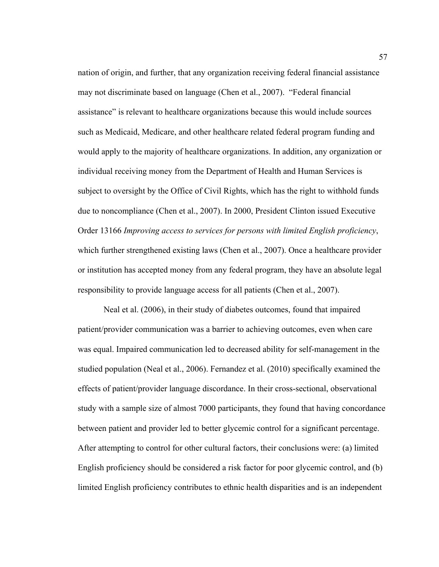nation of origin, and further, that any organization receiving federal financial assistance may not discriminate based on language (Chen et al., 2007). "Federal financial assistance" is relevant to healthcare organizations because this would include sources such as Medicaid, Medicare, and other healthcare related federal program funding and would apply to the majority of healthcare organizations. In addition, any organization or individual receiving money from the Department of Health and Human Services is subject to oversight by the Office of Civil Rights, which has the right to withhold funds due to noncompliance (Chen et al., 2007). In 2000, President Clinton issued Executive Order 13166 *Improving access to services for persons with limited English proficiency*, which further strengthened existing laws (Chen et al., 2007). Once a healthcare provider or institution has accepted money from any federal program, they have an absolute legal responsibility to provide language access for all patients (Chen et al., 2007).

Neal et al. (2006), in their study of diabetes outcomes, found that impaired patient/provider communication was a barrier to achieving outcomes, even when care was equal. Impaired communication led to decreased ability for self-management in the studied population (Neal et al., 2006). Fernandez et al. (2010) specifically examined the effects of patient/provider language discordance. In their cross-sectional, observational study with a sample size of almost 7000 participants, they found that having concordance between patient and provider led to better glycemic control for a significant percentage. After attempting to control for other cultural factors, their conclusions were: (a) limited English proficiency should be considered a risk factor for poor glycemic control, and (b) limited English proficiency contributes to ethnic health disparities and is an independent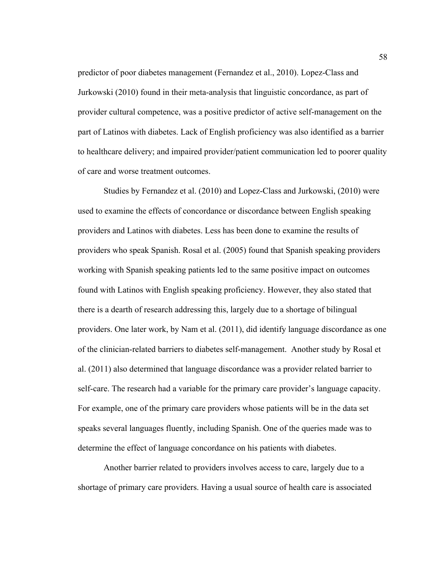predictor of poor diabetes management (Fernandez et al., 2010). Lopez-Class and Jurkowski (2010) found in their meta-analysis that linguistic concordance, as part of provider cultural competence, was a positive predictor of active self-management on the part of Latinos with diabetes. Lack of English proficiency was also identified as a barrier to healthcare delivery; and impaired provider/patient communication led to poorer quality of care and worse treatment outcomes.

Studies by Fernandez et al. (2010) and Lopez-Class and Jurkowski, (2010) were used to examine the effects of concordance or discordance between English speaking providers and Latinos with diabetes. Less has been done to examine the results of providers who speak Spanish. Rosal et al. (2005) found that Spanish speaking providers working with Spanish speaking patients led to the same positive impact on outcomes found with Latinos with English speaking proficiency. However, they also stated that there is a dearth of research addressing this, largely due to a shortage of bilingual providers. One later work, by Nam et al. (2011), did identify language discordance as one of the clinician-related barriers to diabetes self-management. Another study by Rosal et al. (2011) also determined that language discordance was a provider related barrier to self-care. The research had a variable for the primary care provider's language capacity. For example, one of the primary care providers whose patients will be in the data set speaks several languages fluently, including Spanish. One of the queries made was to determine the effect of language concordance on his patients with diabetes.

Another barrier related to providers involves access to care, largely due to a shortage of primary care providers. Having a usual source of health care is associated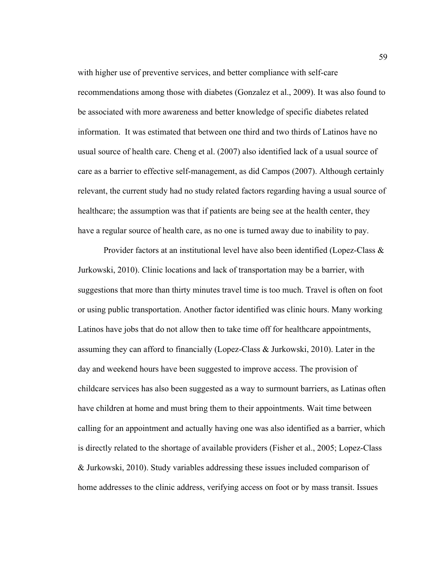with higher use of preventive services, and better compliance with self-care recommendations among those with diabetes (Gonzalez et al., 2009). It was also found to be associated with more awareness and better knowledge of specific diabetes related information. It was estimated that between one third and two thirds of Latinos have no usual source of health care. Cheng et al. (2007) also identified lack of a usual source of care as a barrier to effective self-management, as did Campos (2007). Although certainly relevant, the current study had no study related factors regarding having a usual source of healthcare; the assumption was that if patients are being see at the health center, they have a regular source of health care, as no one is turned away due to inability to pay.

Provider factors at an institutional level have also been identified (Lopez-Class  $\&$ Jurkowski, 2010). Clinic locations and lack of transportation may be a barrier, with suggestions that more than thirty minutes travel time is too much. Travel is often on foot or using public transportation. Another factor identified was clinic hours. Many working Latinos have jobs that do not allow then to take time off for healthcare appointments, assuming they can afford to financially (Lopez-Class & Jurkowski, 2010). Later in the day and weekend hours have been suggested to improve access. The provision of childcare services has also been suggested as a way to surmount barriers, as Latinas often have children at home and must bring them to their appointments. Wait time between calling for an appointment and actually having one was also identified as a barrier, which is directly related to the shortage of available providers (Fisher et al., 2005; Lopez-Class & Jurkowski, 2010). Study variables addressing these issues included comparison of home addresses to the clinic address, verifying access on foot or by mass transit. Issues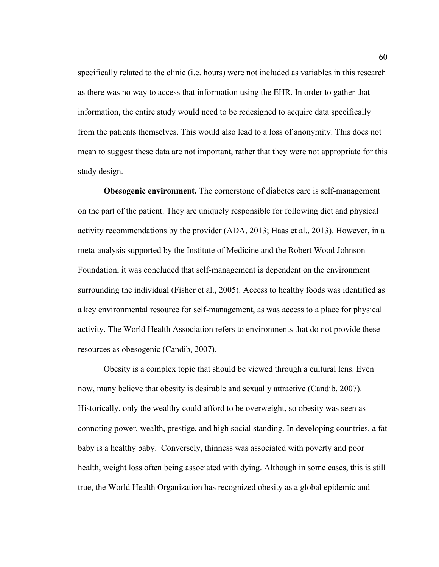specifically related to the clinic (i.e. hours) were not included as variables in this research as there was no way to access that information using the EHR. In order to gather that information, the entire study would need to be redesigned to acquire data specifically from the patients themselves. This would also lead to a loss of anonymity. This does not mean to suggest these data are not important, rather that they were not appropriate for this study design.

**Obesogenic environment.** The cornerstone of diabetes care is self-management on the part of the patient. They are uniquely responsible for following diet and physical activity recommendations by the provider (ADA, 2013; Haas et al., 2013). However, in a meta-analysis supported by the Institute of Medicine and the Robert Wood Johnson Foundation, it was concluded that self-management is dependent on the environment surrounding the individual (Fisher et al., 2005). Access to healthy foods was identified as a key environmental resource for self-management, as was access to a place for physical activity. The World Health Association refers to environments that do not provide these resources as obesogenic (Candib, 2007).

Obesity is a complex topic that should be viewed through a cultural lens. Even now, many believe that obesity is desirable and sexually attractive (Candib, 2007). Historically, only the wealthy could afford to be overweight, so obesity was seen as connoting power, wealth, prestige, and high social standing. In developing countries, a fat baby is a healthy baby. Conversely, thinness was associated with poverty and poor health, weight loss often being associated with dying. Although in some cases, this is still true, the World Health Organization has recognized obesity as a global epidemic and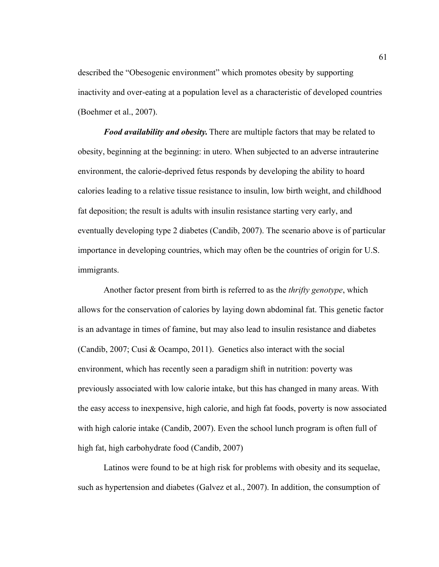described the "Obesogenic environment" which promotes obesity by supporting inactivity and over-eating at a population level as a characteristic of developed countries (Boehmer et al., 2007).

*Food availability and obesity.* There are multiple factors that may be related to obesity, beginning at the beginning: in utero. When subjected to an adverse intrauterine environment, the calorie-deprived fetus responds by developing the ability to hoard calories leading to a relative tissue resistance to insulin, low birth weight, and childhood fat deposition; the result is adults with insulin resistance starting very early, and eventually developing type 2 diabetes (Candib, 2007). The scenario above is of particular importance in developing countries, which may often be the countries of origin for U.S. immigrants.

Another factor present from birth is referred to as the *thrifty genotype*, which allows for the conservation of calories by laying down abdominal fat. This genetic factor is an advantage in times of famine, but may also lead to insulin resistance and diabetes (Candib, 2007; Cusi & Ocampo, 2011). Genetics also interact with the social environment, which has recently seen a paradigm shift in nutrition: poverty was previously associated with low calorie intake, but this has changed in many areas. With the easy access to inexpensive, high calorie, and high fat foods, poverty is now associated with high calorie intake (Candib, 2007). Even the school lunch program is often full of high fat, high carbohydrate food (Candib, 2007)

Latinos were found to be at high risk for problems with obesity and its sequelae, such as hypertension and diabetes (Galvez et al., 2007). In addition, the consumption of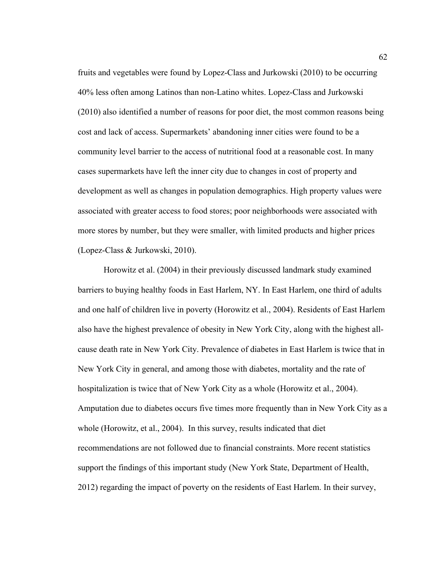fruits and vegetables were found by Lopez-Class and Jurkowski (2010) to be occurring 40% less often among Latinos than non-Latino whites. Lopez-Class and Jurkowski (2010) also identified a number of reasons for poor diet, the most common reasons being cost and lack of access. Supermarkets' abandoning inner cities were found to be a community level barrier to the access of nutritional food at a reasonable cost. In many cases supermarkets have left the inner city due to changes in cost of property and development as well as changes in population demographics. High property values were associated with greater access to food stores; poor neighborhoods were associated with more stores by number, but they were smaller, with limited products and higher prices (Lopez-Class & Jurkowski, 2010).

Horowitz et al. (2004) in their previously discussed landmark study examined barriers to buying healthy foods in East Harlem, NY. In East Harlem, one third of adults and one half of children live in poverty (Horowitz et al., 2004). Residents of East Harlem also have the highest prevalence of obesity in New York City, along with the highest allcause death rate in New York City. Prevalence of diabetes in East Harlem is twice that in New York City in general, and among those with diabetes, mortality and the rate of hospitalization is twice that of New York City as a whole (Horowitz et al., 2004). Amputation due to diabetes occurs five times more frequently than in New York City as a whole (Horowitz, et al., 2004). In this survey, results indicated that diet recommendations are not followed due to financial constraints. More recent statistics support the findings of this important study (New York State, Department of Health, 2012) regarding the impact of poverty on the residents of East Harlem. In their survey,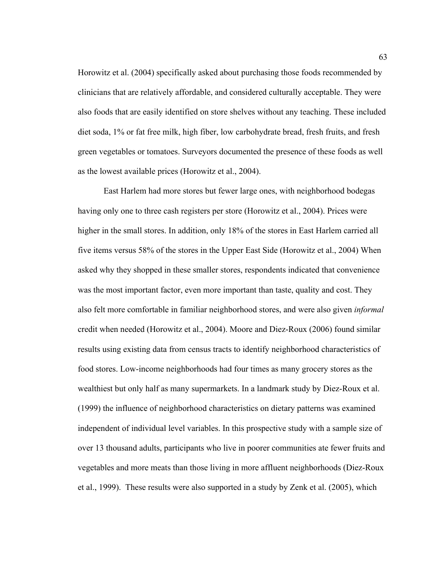Horowitz et al. (2004) specifically asked about purchasing those foods recommended by clinicians that are relatively affordable, and considered culturally acceptable. They were also foods that are easily identified on store shelves without any teaching. These included diet soda, 1% or fat free milk, high fiber, low carbohydrate bread, fresh fruits, and fresh green vegetables or tomatoes. Surveyors documented the presence of these foods as well as the lowest available prices (Horowitz et al., 2004).

East Harlem had more stores but fewer large ones, with neighborhood bodegas having only one to three cash registers per store (Horowitz et al., 2004). Prices were higher in the small stores. In addition, only 18% of the stores in East Harlem carried all five items versus 58% of the stores in the Upper East Side (Horowitz et al., 2004) When asked why they shopped in these smaller stores, respondents indicated that convenience was the most important factor, even more important than taste, quality and cost. They also felt more comfortable in familiar neighborhood stores, and were also given *informal*  credit when needed (Horowitz et al., 2004). Moore and Diez-Roux (2006) found similar results using existing data from census tracts to identify neighborhood characteristics of food stores. Low-income neighborhoods had four times as many grocery stores as the wealthiest but only half as many supermarkets. In a landmark study by Diez-Roux et al. (1999) the influence of neighborhood characteristics on dietary patterns was examined independent of individual level variables. In this prospective study with a sample size of over 13 thousand adults, participants who live in poorer communities ate fewer fruits and vegetables and more meats than those living in more affluent neighborhoods (Diez-Roux et al., 1999). These results were also supported in a study by Zenk et al. (2005), which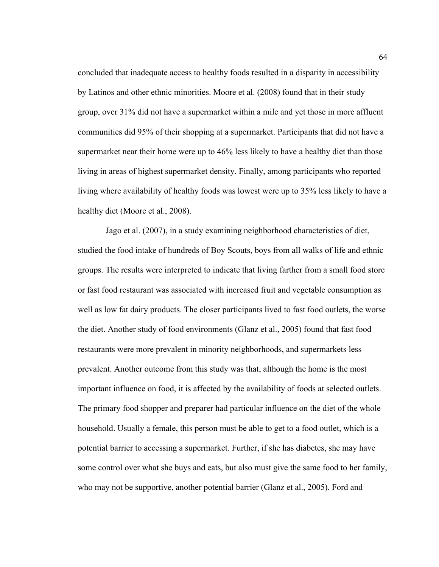concluded that inadequate access to healthy foods resulted in a disparity in accessibility by Latinos and other ethnic minorities. Moore et al. (2008) found that in their study group, over 31% did not have a supermarket within a mile and yet those in more affluent communities did 95% of their shopping at a supermarket. Participants that did not have a supermarket near their home were up to 46% less likely to have a healthy diet than those living in areas of highest supermarket density. Finally, among participants who reported living where availability of healthy foods was lowest were up to 35% less likely to have a healthy diet (Moore et al., 2008).

Jago et al. (2007), in a study examining neighborhood characteristics of diet, studied the food intake of hundreds of Boy Scouts, boys from all walks of life and ethnic groups. The results were interpreted to indicate that living farther from a small food store or fast food restaurant was associated with increased fruit and vegetable consumption as well as low fat dairy products. The closer participants lived to fast food outlets, the worse the diet. Another study of food environments (Glanz et al., 2005) found that fast food restaurants were more prevalent in minority neighborhoods, and supermarkets less prevalent. Another outcome from this study was that, although the home is the most important influence on food, it is affected by the availability of foods at selected outlets. The primary food shopper and preparer had particular influence on the diet of the whole household. Usually a female, this person must be able to get to a food outlet, which is a potential barrier to accessing a supermarket. Further, if she has diabetes, she may have some control over what she buys and eats, but also must give the same food to her family, who may not be supportive, another potential barrier (Glanz et al., 2005). Ford and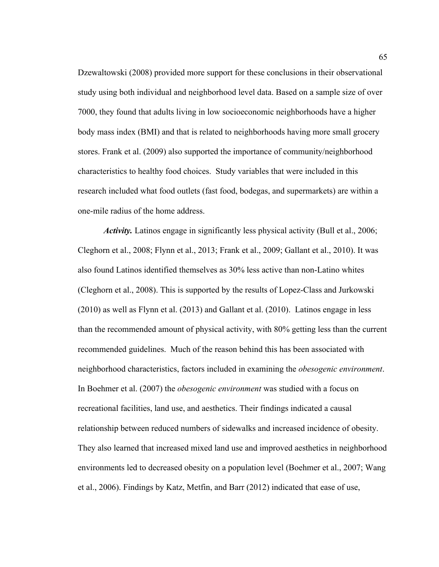Dzewaltowski (2008) provided more support for these conclusions in their observational study using both individual and neighborhood level data. Based on a sample size of over 7000, they found that adults living in low socioeconomic neighborhoods have a higher body mass index (BMI) and that is related to neighborhoods having more small grocery stores. Frank et al. (2009) also supported the importance of community/neighborhood characteristics to healthy food choices. Study variables that were included in this research included what food outlets (fast food, bodegas, and supermarkets) are within a one-mile radius of the home address.

*Activity.* Latinos engage in significantly less physical activity (Bull et al., 2006; Cleghorn et al., 2008; Flynn et al., 2013; Frank et al., 2009; Gallant et al., 2010). It was also found Latinos identified themselves as 30% less active than non-Latino whites (Cleghorn et al., 2008). This is supported by the results of Lopez-Class and Jurkowski (2010) as well as Flynn et al. (2013) and Gallant et al. (2010). Latinos engage in less than the recommended amount of physical activity, with 80% getting less than the current recommended guidelines. Much of the reason behind this has been associated with neighborhood characteristics, factors included in examining the *obesogenic environment*. In Boehmer et al. (2007) the *obesogenic environment* was studied with a focus on recreational facilities, land use, and aesthetics. Their findings indicated a causal relationship between reduced numbers of sidewalks and increased incidence of obesity. They also learned that increased mixed land use and improved aesthetics in neighborhood environments led to decreased obesity on a population level (Boehmer et al., 2007; Wang et al., 2006). Findings by Katz, Metfin, and Barr (2012) indicated that ease of use,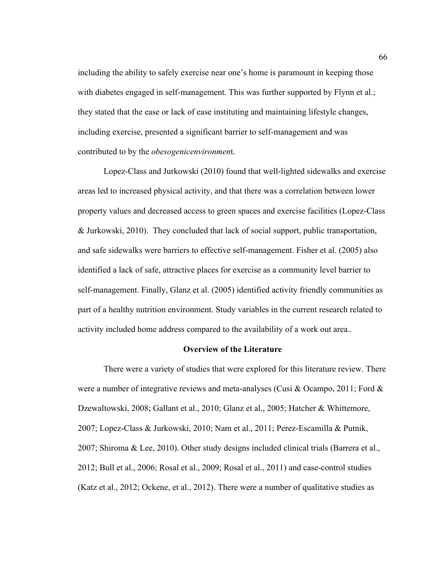including the ability to safely exercise near one's home is paramount in keeping those with diabetes engaged in self-management. This was further supported by Flynn et al.; they stated that the ease or lack of ease instituting and maintaining lifestyle changes, including exercise, presented a significant barrier to self-management and was contributed to by the *obesogenicenvironmen*t.

Lopez-Class and Jurkowski (2010) found that well-lighted sidewalks and exercise areas led to increased physical activity, and that there was a correlation between lower property values and decreased access to green spaces and exercise facilities (Lopez-Class & Jurkowski, 2010). They concluded that lack of social support, public transportation, and safe sidewalks were barriers to effective self-management. Fisher et al. (2005) also identified a lack of safe, attractive places for exercise as a community level barrier to self-management. Finally, Glanz et al. (2005) identified activity friendly communities as part of a healthy nutrition environment. Study variables in the current research related to activity included home address compared to the availability of a work out area..

## **Overview of the Literature**

There were a variety of studies that were explored for this literature review. There were a number of integrative reviews and meta-analyses (Cusi & Ocampo, 2011; Ford & Dzewaltowski, 2008; Gallant et al., 2010; Glanz et al., 2005; Hatcher & Whittemore, 2007; Lopez-Class & Jurkowski, 2010; Nam et al., 2011; Perez-Escamilla & Putnik, 2007; Shiroma & Lee, 2010). Other study designs included clinical trials (Barrera et al., 2012; Bull et al., 2006; Rosal et al., 2009; Rosal et al., 2011) and case-control studies (Katz et al., 2012; Ockene, et al., 2012). There were a number of qualitative studies as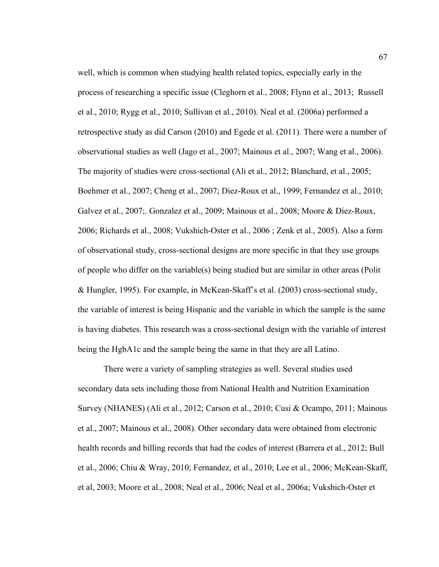well, which is common when studying health related topics, especially early in the process of researching a specific issue (Cleghorn et al., 2008; Flynn et al., 2013; Russell et al., 2010; Rygg et al., 2010; Sullivan et al., 2010). Neal et al. (2006a) performed a retrospective study as did Carson (2010) and Egede et al. (2011). There were a number of observational studies as well (Jago et al., 2007; Mainous et al., 2007; Wang et al., 2006). The majority of studies were cross-sectional (Ali et al., 2012; Blanchard, et al., 2005; Boehmer et al., 2007; Cheng et al., 2007; Diez-Roux et al., 1999; Fernandez et al., 2010; Galvez et al., 2007;. Gonzalez et al., 2009; Mainous et al., 2008; Moore & Diez-Roux, 2006; Richards et al., 2008; Vukshich-Oster et al., 2006 ; Zenk et al., 2005). Also a form of observational study, cross-sectional designs are more specific in that they use groups of people who differ on the variable(s) being studied but are similar in other areas (Polit & Hungler, 1995). For example, in McKean-Skaff's et al. (2003) cross-sectional study, the variable of interest is being Hispanic and the variable in which the sample is the same is having diabetes. This research was a cross-sectional design with the variable of interest being the HgbA1c and the sample being the same in that they are all Latino.

There were a variety of sampling strategies as well. Several studies used secondary data sets including those from National Health and Nutrition Examination Survey (NHANES) (Ali et al., 2012; Carson et al., 2010; Cusi & Ocampo, 2011; Mainous et al., 2007; Mainous et al., 2008). Other secondary data were obtained from electronic health records and billing records that had the codes of interest (Barrera et al., 2012; Bull et al., 2006; Chiu & Wray, 2010; Fernandez, et al., 2010; Lee et al., 2006; McKean-Skaff, et al, 2003; Moore et al., 2008; Neal et al., 2006; Neal et al., 2006a; Vukshich-Oster et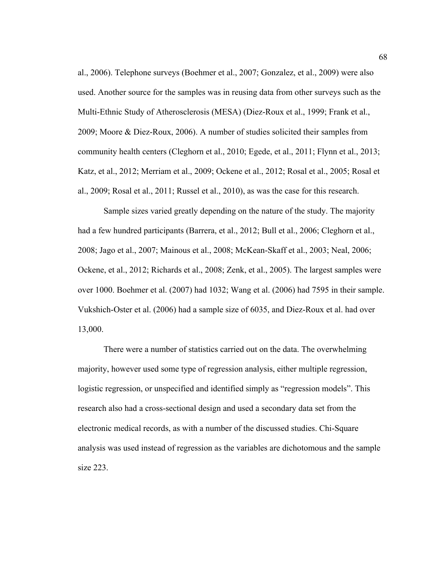al., 2006). Telephone surveys (Boehmer et al., 2007; Gonzalez, et al., 2009) were also used. Another source for the samples was in reusing data from other surveys such as the Multi-Ethnic Study of Atherosclerosis (MESA) (Diez-Roux et al., 1999; Frank et al., 2009; Moore & Diez-Roux, 2006). A number of studies solicited their samples from community health centers (Cleghorn et al., 2010; Egede, et al., 2011; Flynn et al., 2013; Katz, et al., 2012; Merriam et al., 2009; Ockene et al., 2012; Rosal et al., 2005; Rosal et al., 2009; Rosal et al., 2011; Russel et al., 2010), as was the case for this research.

Sample sizes varied greatly depending on the nature of the study. The majority had a few hundred participants (Barrera, et al., 2012; Bull et al., 2006; Cleghorn et al., 2008; Jago et al., 2007; Mainous et al., 2008; McKean-Skaff et al., 2003; Neal, 2006; Ockene, et al., 2012; Richards et al., 2008; Zenk, et al., 2005). The largest samples were over 1000. Boehmer et al. (2007) had 1032; Wang et al. (2006) had 7595 in their sample. Vukshich-Oster et al. (2006) had a sample size of 6035, and Diez-Roux et al. had over 13,000.

There were a number of statistics carried out on the data. The overwhelming majority, however used some type of regression analysis, either multiple regression, logistic regression, or unspecified and identified simply as "regression models". This research also had a cross-sectional design and used a secondary data set from the electronic medical records, as with a number of the discussed studies. Chi-Square analysis was used instead of regression as the variables are dichotomous and the sample size 223.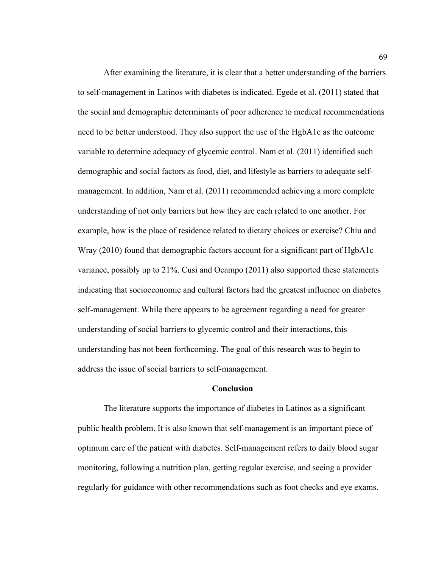After examining the literature, it is clear that a better understanding of the barriers to self-management in Latinos with diabetes is indicated. Egede et al. (2011) stated that the social and demographic determinants of poor adherence to medical recommendations need to be better understood. They also support the use of the HgbA1c as the outcome variable to determine adequacy of glycemic control. Nam et al. (2011) identified such demographic and social factors as food, diet, and lifestyle as barriers to adequate selfmanagement. In addition, Nam et al. (2011) recommended achieving a more complete understanding of not only barriers but how they are each related to one another. For example, how is the place of residence related to dietary choices or exercise? Chiu and Wray (2010) found that demographic factors account for a significant part of HgbA1c variance, possibly up to 21%. Cusi and Ocampo (2011) also supported these statements indicating that socioeconomic and cultural factors had the greatest influence on diabetes self-management. While there appears to be agreement regarding a need for greater understanding of social barriers to glycemic control and their interactions, this understanding has not been forthcoming. The goal of this research was to begin to address the issue of social barriers to self-management.

### **Conclusion**

The literature supports the importance of diabetes in Latinos as a significant public health problem. It is also known that self-management is an important piece of optimum care of the patient with diabetes. Self-management refers to daily blood sugar monitoring, following a nutrition plan, getting regular exercise, and seeing a provider regularly for guidance with other recommendations such as foot checks and eye exams.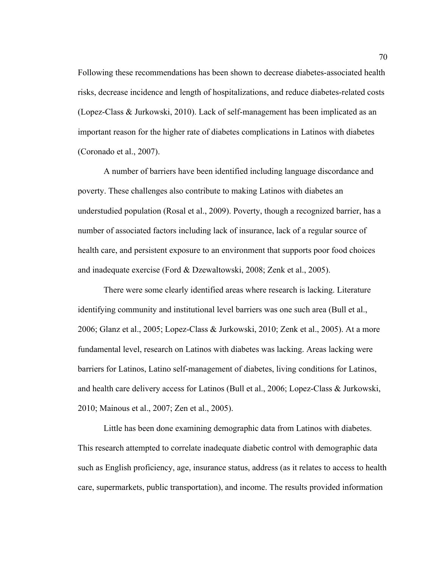Following these recommendations has been shown to decrease diabetes-associated health risks, decrease incidence and length of hospitalizations, and reduce diabetes-related costs (Lopez-Class & Jurkowski, 2010). Lack of self-management has been implicated as an important reason for the higher rate of diabetes complications in Latinos with diabetes (Coronado et al., 2007).

A number of barriers have been identified including language discordance and poverty. These challenges also contribute to making Latinos with diabetes an understudied population (Rosal et al., 2009). Poverty, though a recognized barrier, has a number of associated factors including lack of insurance, lack of a regular source of health care, and persistent exposure to an environment that supports poor food choices and inadequate exercise (Ford & Dzewaltowski, 2008; Zenk et al., 2005).

There were some clearly identified areas where research is lacking. Literature identifying community and institutional level barriers was one such area (Bull et al., 2006; Glanz et al., 2005; Lopez-Class & Jurkowski, 2010; Zenk et al., 2005). At a more fundamental level, research on Latinos with diabetes was lacking. Areas lacking were barriers for Latinos, Latino self-management of diabetes, living conditions for Latinos, and health care delivery access for Latinos (Bull et al., 2006; Lopez-Class & Jurkowski, 2010; Mainous et al., 2007; Zen et al., 2005).

Little has been done examining demographic data from Latinos with diabetes. This research attempted to correlate inadequate diabetic control with demographic data such as English proficiency, age, insurance status, address (as it relates to access to health care, supermarkets, public transportation), and income. The results provided information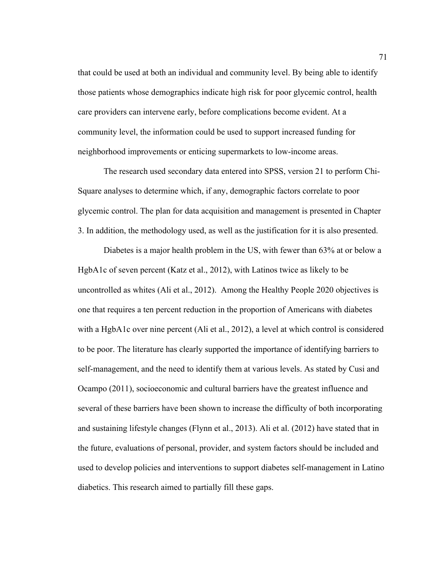that could be used at both an individual and community level. By being able to identify those patients whose demographics indicate high risk for poor glycemic control, health care providers can intervene early, before complications become evident. At a community level, the information could be used to support increased funding for neighborhood improvements or enticing supermarkets to low-income areas.

The research used secondary data entered into SPSS, version 21 to perform Chi-Square analyses to determine which, if any, demographic factors correlate to poor glycemic control. The plan for data acquisition and management is presented in Chapter 3. In addition, the methodology used, as well as the justification for it is also presented.

Diabetes is a major health problem in the US, with fewer than 63% at or below a HgbA1c of seven percent (Katz et al., 2012), with Latinos twice as likely to be uncontrolled as whites (Ali et al., 2012). Among the Healthy People 2020 objectives is one that requires a ten percent reduction in the proportion of Americans with diabetes with a HgbA1c over nine percent (Ali et al., 2012), a level at which control is considered to be poor. The literature has clearly supported the importance of identifying barriers to self-management, and the need to identify them at various levels. As stated by Cusi and Ocampo (2011), socioeconomic and cultural barriers have the greatest influence and several of these barriers have been shown to increase the difficulty of both incorporating and sustaining lifestyle changes (Flynn et al., 2013). Ali et al. (2012) have stated that in the future, evaluations of personal, provider, and system factors should be included and used to develop policies and interventions to support diabetes self-management in Latino diabetics. This research aimed to partially fill these gaps.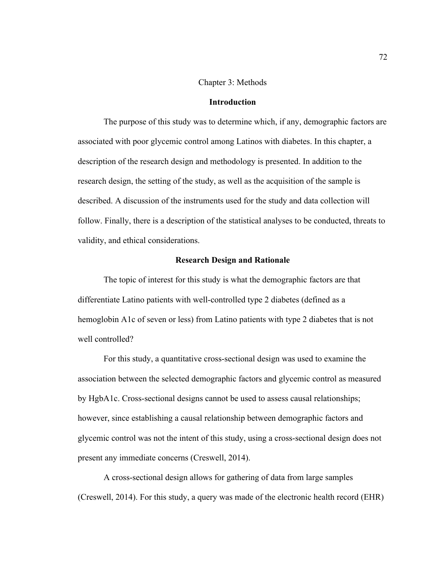### Chapter 3: Methods

### **Introduction**

The purpose of this study was to determine which, if any, demographic factors are associated with poor glycemic control among Latinos with diabetes. In this chapter, a description of the research design and methodology is presented. In addition to the research design, the setting of the study, as well as the acquisition of the sample is described. A discussion of the instruments used for the study and data collection will follow. Finally, there is a description of the statistical analyses to be conducted, threats to validity, and ethical considerations.

## **Research Design and Rationale**

The topic of interest for this study is what the demographic factors are that differentiate Latino patients with well-controlled type 2 diabetes (defined as a hemoglobin A1c of seven or less) from Latino patients with type 2 diabetes that is not well controlled?

For this study, a quantitative cross-sectional design was used to examine the association between the selected demographic factors and glycemic control as measured by HgbA1c. Cross-sectional designs cannot be used to assess causal relationships; however, since establishing a causal relationship between demographic factors and glycemic control was not the intent of this study, using a cross-sectional design does not present any immediate concerns (Creswell, 2014).

A cross-sectional design allows for gathering of data from large samples (Creswell, 2014). For this study, a query was made of the electronic health record (EHR)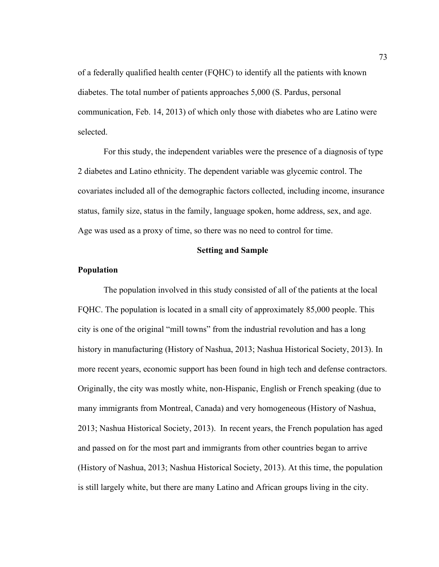of a federally qualified health center (FQHC) to identify all the patients with known diabetes. The total number of patients approaches 5,000 (S. Pardus, personal communication, Feb. 14, 2013) of which only those with diabetes who are Latino were selected.

For this study, the independent variables were the presence of a diagnosis of type 2 diabetes and Latino ethnicity. The dependent variable was glycemic control. The covariates included all of the demographic factors collected, including income, insurance status, family size, status in the family, language spoken, home address, sex, and age. Age was used as a proxy of time, so there was no need to control for time.

# **Setting and Sample**

### **Population**

The population involved in this study consisted of all of the patients at the local FQHC. The population is located in a small city of approximately 85,000 people. This city is one of the original "mill towns" from the industrial revolution and has a long history in manufacturing (History of Nashua, 2013; Nashua Historical Society, 2013). In more recent years, economic support has been found in high tech and defense contractors. Originally, the city was mostly white, non-Hispanic, English or French speaking (due to many immigrants from Montreal, Canada) and very homogeneous (History of Nashua, 2013; Nashua Historical Society, 2013). In recent years, the French population has aged and passed on for the most part and immigrants from other countries began to arrive (History of Nashua, 2013; Nashua Historical Society, 2013). At this time, the population is still largely white, but there are many Latino and African groups living in the city.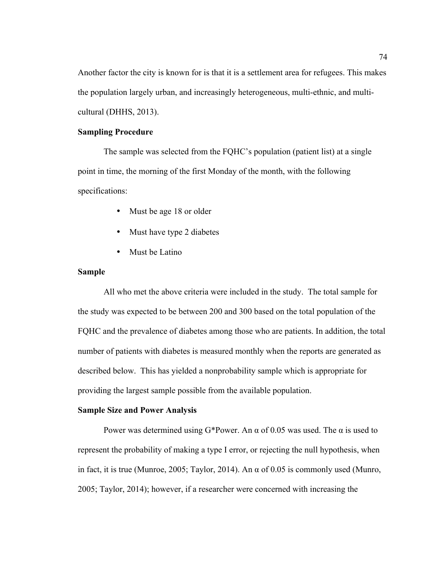Another factor the city is known for is that it is a settlement area for refugees. This makes the population largely urban, and increasingly heterogeneous, multi-ethnic, and multicultural (DHHS, 2013).

# **Sampling Procedure**

The sample was selected from the FQHC's population (patient list) at a single point in time, the morning of the first Monday of the month, with the following specifications:

- Must be age 18 or older
- Must have type 2 diabetes
- Must be Latino

# **Sample**

All who met the above criteria were included in the study. The total sample for the study was expected to be between 200 and 300 based on the total population of the FQHC and the prevalence of diabetes among those who are patients. In addition, the total number of patients with diabetes is measured monthly when the reports are generated as described below. This has yielded a nonprobability sample which is appropriate for providing the largest sample possible from the available population.

### **Sample Size and Power Analysis**

Power was determined using G\*Power. An  $\alpha$  of 0.05 was used. The  $\alpha$  is used to represent the probability of making a type I error, or rejecting the null hypothesis, when in fact, it is true (Munroe, 2005; Taylor, 2014). An  $\alpha$  of 0.05 is commonly used (Munro, 2005; Taylor, 2014); however, if a researcher were concerned with increasing the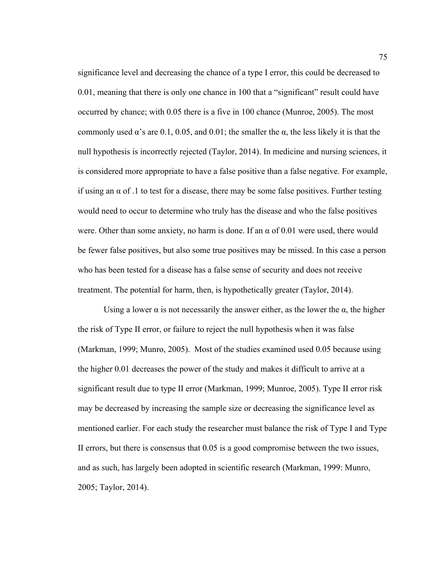significance level and decreasing the chance of a type I error, this could be decreased to 0.01, meaning that there is only one chance in 100 that a "significant" result could have occurred by chance; with 0.05 there is a five in 100 chance (Munroe, 2005). The most commonly used  $\alpha$ 's are 0.1, 0.05, and 0.01; the smaller the  $\alpha$ , the less likely it is that the null hypothesis is incorrectly rejected (Taylor, 2014). In medicine and nursing sciences, it is considered more appropriate to have a false positive than a false negative. For example, if using an  $\alpha$  of .1 to test for a disease, there may be some false positives. Further testing would need to occur to determine who truly has the disease and who the false positives were. Other than some anxiety, no harm is done. If an  $\alpha$  of 0.01 were used, there would be fewer false positives, but also some true positives may be missed. In this case a person who has been tested for a disease has a false sense of security and does not receive treatment. The potential for harm, then, is hypothetically greater (Taylor, 2014).

Using a lower  $\alpha$  is not necessarily the answer either, as the lower the  $\alpha$ , the higher the risk of Type II error, or failure to reject the null hypothesis when it was false (Markman, 1999; Munro, 2005). Most of the studies examined used 0.05 because using the higher 0.01 decreases the power of the study and makes it difficult to arrive at a significant result due to type II error (Markman, 1999; Munroe, 2005). Type II error risk may be decreased by increasing the sample size or decreasing the significance level as mentioned earlier. For each study the researcher must balance the risk of Type I and Type II errors, but there is consensus that 0.05 is a good compromise between the two issues, and as such, has largely been adopted in scientific research (Markman, 1999: Munro, 2005; Taylor, 2014).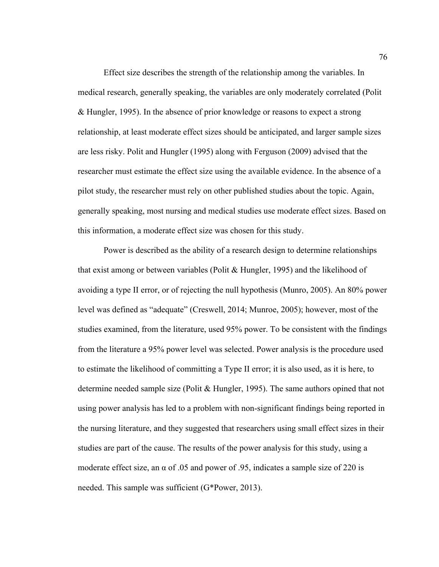Effect size describes the strength of the relationship among the variables. In medical research, generally speaking, the variables are only moderately correlated (Polit & Hungler, 1995). In the absence of prior knowledge or reasons to expect a strong relationship, at least moderate effect sizes should be anticipated, and larger sample sizes are less risky. Polit and Hungler (1995) along with Ferguson (2009) advised that the researcher must estimate the effect size using the available evidence. In the absence of a pilot study, the researcher must rely on other published studies about the topic. Again, generally speaking, most nursing and medical studies use moderate effect sizes. Based on this information, a moderate effect size was chosen for this study.

Power is described as the ability of a research design to determine relationships that exist among or between variables (Polit & Hungler, 1995) and the likelihood of avoiding a type II error, or of rejecting the null hypothesis (Munro, 2005). An 80% power level was defined as "adequate" (Creswell, 2014; Munroe, 2005); however, most of the studies examined, from the literature, used 95% power. To be consistent with the findings from the literature a 95% power level was selected. Power analysis is the procedure used to estimate the likelihood of committing a Type II error; it is also used, as it is here, to determine needed sample size (Polit & Hungler, 1995). The same authors opined that not using power analysis has led to a problem with non-significant findings being reported in the nursing literature, and they suggested that researchers using small effect sizes in their studies are part of the cause. The results of the power analysis for this study, using a moderate effect size, an  $\alpha$  of .05 and power of .95, indicates a sample size of 220 is needed. This sample was sufficient (G\*Power, 2013).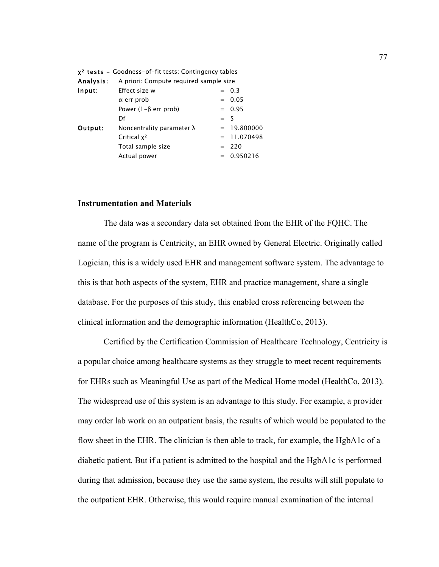|           | $x2$ tests - Goodness-of-fit tests: Contingency tables |       |               |  |  |
|-----------|--------------------------------------------------------|-------|---------------|--|--|
| Analysis: | A priori: Compute required sample size                 |       |               |  |  |
| Input:    | Effect size w                                          |       | $= 0.3$       |  |  |
|           | $\alpha$ err prob                                      |       | $= 0.05$      |  |  |
|           | Power $(1-\beta$ err prob)                             |       | $= 0.95$      |  |  |
|           | Df                                                     | $= 5$ |               |  |  |
| Output:   | Noncentrality parameter $\lambda$                      |       | $= 19.800000$ |  |  |
|           | Critical $x^2$                                         |       | $= 11.070498$ |  |  |
|           | Total sample size                                      |       | $= 220$       |  |  |
|           | Actual power                                           |       | $= 0.950216$  |  |  |
|           |                                                        |       |               |  |  |

### **Instrumentation and Materials**

The data was a secondary data set obtained from the EHR of the FQHC. The name of the program is Centricity, an EHR owned by General Electric. Originally called Logician, this is a widely used EHR and management software system. The advantage to this is that both aspects of the system, EHR and practice management, share a single database. For the purposes of this study, this enabled cross referencing between the clinical information and the demographic information (HealthCo, 2013).

Certified by the Certification Commission of Healthcare Technology, Centricity is a popular choice among healthcare systems as they struggle to meet recent requirements for EHRs such as Meaningful Use as part of the Medical Home model (HealthCo, 2013). The widespread use of this system is an advantage to this study. For example, a provider may order lab work on an outpatient basis, the results of which would be populated to the flow sheet in the EHR. The clinician is then able to track, for example, the HgbA1c of a diabetic patient. But if a patient is admitted to the hospital and the HgbA1c is performed during that admission, because they use the same system, the results will still populate to the outpatient EHR. Otherwise, this would require manual examination of the internal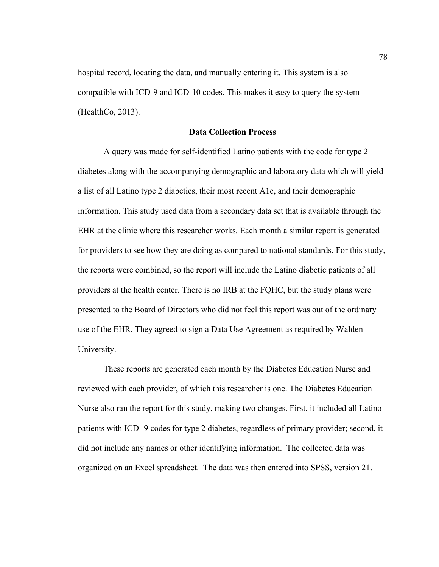hospital record, locating the data, and manually entering it. This system is also compatible with ICD-9 and ICD-10 codes. This makes it easy to query the system (HealthCo, 2013).

# **Data Collection Process**

A query was made for self-identified Latino patients with the code for type 2 diabetes along with the accompanying demographic and laboratory data which will yield a list of all Latino type 2 diabetics, their most recent A1c, and their demographic information. This study used data from a secondary data set that is available through the EHR at the clinic where this researcher works. Each month a similar report is generated for providers to see how they are doing as compared to national standards. For this study, the reports were combined, so the report will include the Latino diabetic patients of all providers at the health center. There is no IRB at the FQHC, but the study plans were presented to the Board of Directors who did not feel this report was out of the ordinary use of the EHR. They agreed to sign a Data Use Agreement as required by Walden University.

These reports are generated each month by the Diabetes Education Nurse and reviewed with each provider, of which this researcher is one. The Diabetes Education Nurse also ran the report for this study, making two changes. First, it included all Latino patients with ICD- 9 codes for type 2 diabetes, regardless of primary provider; second, it did not include any names or other identifying information. The collected data was organized on an Excel spreadsheet. The data was then entered into SPSS, version 21.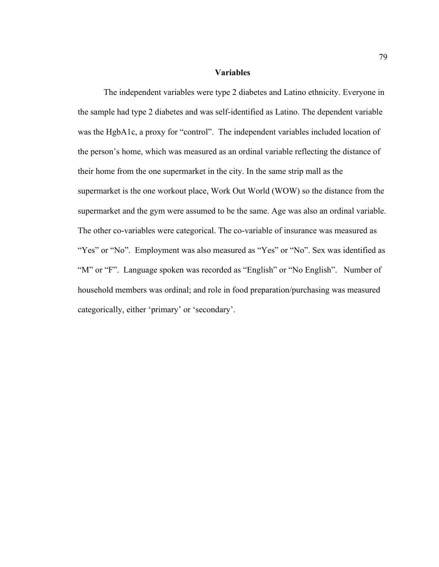# **Variables**

The independent variables were type 2 diabetes and Latino ethnicity. Everyone in the sample had type 2 diabetes and was self-identified as Latino. The dependent variable was the HgbA1c, a proxy for "control". The independent variables included location of the person's home, which was measured as an ordinal variable reflecting the distance of their home from the one supermarket in the city. In the same strip mall as the supermarket is the one workout place, Work Out World (WOW) so the distance from the supermarket and the gym were assumed to be the same. Age was also an ordinal variable. The other co-variables were categorical. The co-variable of insurance was measured as "Yes" or "No". Employment was also measured as "Yes" or "No". Sex was identified as "M" or "F". Language spoken was recorded as "English" or "No English". Number of household members was ordinal; and role in food preparation/purchasing was measured categorically, either 'primary' or 'secondary'.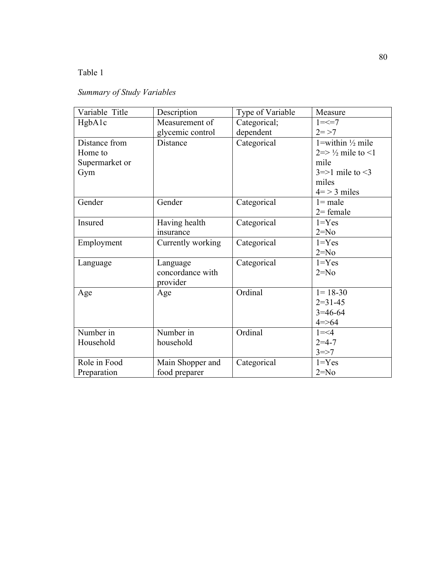# Table 1

# *Summary of Study Variables*

| Variable Title | Description       | Type of Variable | Measure                                |
|----------------|-------------------|------------------|----------------------------------------|
| HgbA1c         | Measurement of    | Categorical;     | $1 = < 7$                              |
|                | glycemic control  | dependent        | $2 = > 7$                              |
| Distance from  | Distance          | Categorical      | 1=within $\frac{1}{2}$ mile            |
| Home to        |                   |                  | $2 \Rightarrow \frac{1}{2}$ mile to <1 |
| Supermarket or |                   |                  | mile                                   |
| Gym            |                   |                  | $3 \Rightarrow 1$ mile to $\leq 3$     |
|                |                   |                  | miles                                  |
|                |                   |                  | $4 = 3$ miles                          |
| Gender         | Gender            | Categorical      | $l = male$                             |
|                |                   |                  | $2$ = female                           |
| Insured        | Having health     | Categorical      | $1 = Yes$                              |
|                | insurance         |                  | $2=N0$                                 |
| Employment     | Currently working | Categorical      | $1 = Yes$                              |
|                |                   |                  | $2=N0$                                 |
| Language       | Language          | Categorical      | $1 = Yes$                              |
|                | concordance with  |                  | $2=N0$                                 |
|                | provider          |                  |                                        |
| Age            | Age               | Ordinal          | $1 = 18 - 30$                          |
|                |                   |                  | $2=31-45$                              |
|                |                   |                  | $3=46-64$                              |
|                |                   |                  | $4 = > 64$                             |
| Number in      | Number in         | Ordinal          | $1 = 4$                                |
| Household      | household         |                  | $2 = 4 - 7$                            |
|                |                   |                  | $3 = > 7$                              |
| Role in Food   | Main Shopper and  | Categorical      | $1 = Yes$                              |
| Preparation    | food preparer     |                  | $2 = No$                               |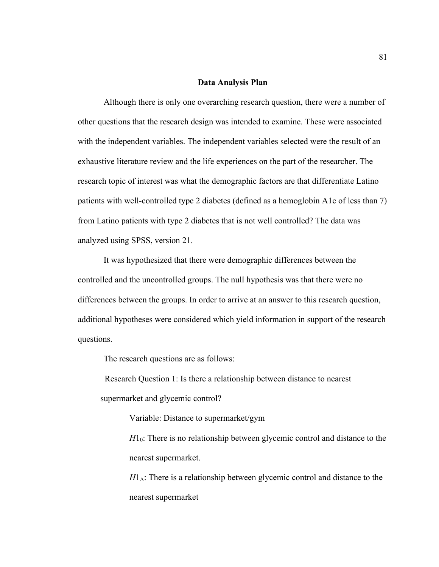### **Data Analysis Plan**

Although there is only one overarching research question, there were a number of other questions that the research design was intended to examine. These were associated with the independent variables. The independent variables selected were the result of an exhaustive literature review and the life experiences on the part of the researcher. The research topic of interest was what the demographic factors are that differentiate Latino patients with well-controlled type 2 diabetes (defined as a hemoglobin A1c of less than 7) from Latino patients with type 2 diabetes that is not well controlled? The data was analyzed using SPSS, version 21.

It was hypothesized that there were demographic differences between the controlled and the uncontrolled groups. The null hypothesis was that there were no differences between the groups. In order to arrive at an answer to this research question, additional hypotheses were considered which yield information in support of the research questions.

The research questions are as follows:

 Research Question 1: Is there a relationship between distance to nearest supermarket and glycemic control?

Variable: Distance to supermarket/gym

 $H_0$ : There is no relationship between glycemic control and distance to the nearest supermarket.

 $H1_A$ : There is a relationship between glycemic control and distance to the nearest supermarket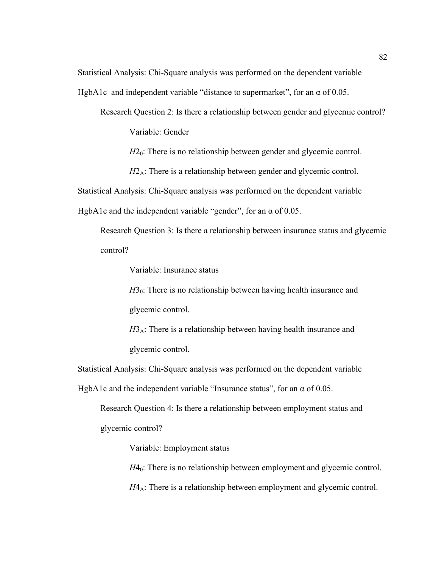Statistical Analysis: Chi-Square analysis was performed on the dependent variable

HgbA1c and independent variable "distance to supermarket", for an  $\alpha$  of 0.05.

Research Question 2: Is there a relationship between gender and glycemic control?

Variable: Gender

*H*2<sub>0</sub>: There is no relationship between gender and glycemic control.

*H*2<sub>A</sub>: There is a relationship between gender and glycemic control.

Statistical Analysis: Chi-Square analysis was performed on the dependent variable

HgbA1c and the independent variable "gender", for an  $\alpha$  of 0.05.

Research Question 3: Is there a relationship between insurance status and glycemic control?

Variable: Insurance status

 $H_0$ : There is no relationship between having health insurance and glycemic control.

 $H3_A$ : There is a relationship between having health insurance and glycemic control.

Statistical Analysis: Chi-Square analysis was performed on the dependent variable HgbA1c and the independent variable "Insurance status", for an  $\alpha$  of 0.05.

Research Question 4: Is there a relationship between employment status and

glycemic control?

Variable: Employment status

*H*4<sub>0</sub>: There is no relationship between employment and glycemic control.  $H4_A$ : There is a relationship between employment and glycemic control.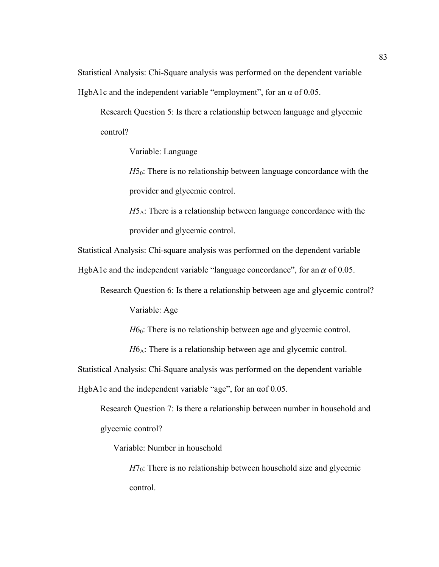Statistical Analysis: Chi-Square analysis was performed on the dependent variable HgbA1c and the independent variable "employment", for an  $\alpha$  of 0.05.

Research Question 5: Is there a relationship between language and glycemic control?

Variable: Language

*H*5<sub>0</sub>: There is no relationship between language concordance with the provider and glycemic control.

*H*5<sub>A</sub>: There is a relationship between language concordance with the provider and glycemic control.

Statistical Analysis: Chi-square analysis was performed on the dependent variable

HgbA1c and the independent variable "language concordance", for an  $\alpha$  of 0.05.

Research Question 6: Is there a relationship between age and glycemic control?

Variable: Age

*H*6<sub>0</sub>: There is no relationship between age and glycemic control.

 $H6_A$ : There is a relationship between age and glycemic control.

Statistical Analysis: Chi-Square analysis was performed on the dependent variable

HgbA1c and the independent variable "age", for an αof 0.05.

Research Question 7: Is there a relationship between number in household and glycemic control?

Variable: Number in household

 $H7_0$ : There is no relationship between household size and glycemic control.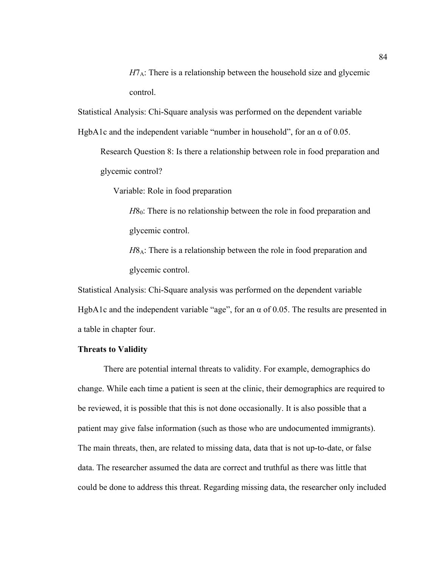$H7_A$ : There is a relationship between the household size and glycemic control.

Statistical Analysis: Chi-Square analysis was performed on the dependent variable

HgbA1c and the independent variable "number in household", for an  $\alpha$  of 0.05.

Research Question 8: Is there a relationship between role in food preparation and glycemic control?

Variable: Role in food preparation

*H*8<sub>0</sub>: There is no relationship between the role in food preparation and glycemic control.

*H*8<sub>A</sub>: There is a relationship between the role in food preparation and glycemic control.

Statistical Analysis: Chi-Square analysis was performed on the dependent variable HgbA1c and the independent variable "age", for an  $\alpha$  of 0.05. The results are presented in a table in chapter four.

### **Threats to Validity**

There are potential internal threats to validity. For example, demographics do change. While each time a patient is seen at the clinic, their demographics are required to be reviewed, it is possible that this is not done occasionally. It is also possible that a patient may give false information (such as those who are undocumented immigrants). The main threats, then, are related to missing data, data that is not up-to-date, or false data. The researcher assumed the data are correct and truthful as there was little that could be done to address this threat. Regarding missing data, the researcher only included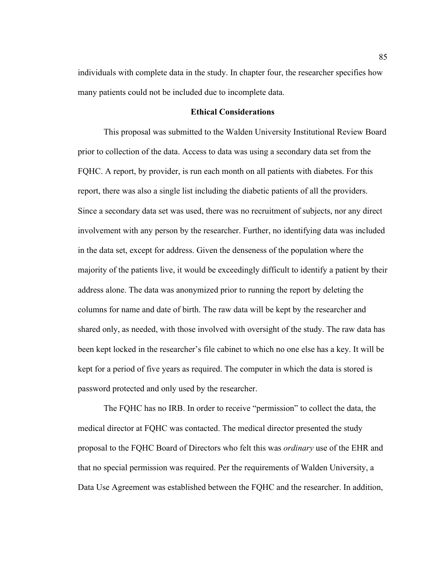individuals with complete data in the study. In chapter four, the researcher specifies how many patients could not be included due to incomplete data.

### **Ethical Considerations**

This proposal was submitted to the Walden University Institutional Review Board prior to collection of the data. Access to data was using a secondary data set from the FQHC. A report, by provider, is run each month on all patients with diabetes. For this report, there was also a single list including the diabetic patients of all the providers. Since a secondary data set was used, there was no recruitment of subjects, nor any direct involvement with any person by the researcher. Further, no identifying data was included in the data set, except for address. Given the denseness of the population where the majority of the patients live, it would be exceedingly difficult to identify a patient by their address alone. The data was anonymized prior to running the report by deleting the columns for name and date of birth. The raw data will be kept by the researcher and shared only, as needed, with those involved with oversight of the study. The raw data has been kept locked in the researcher's file cabinet to which no one else has a key. It will be kept for a period of five years as required. The computer in which the data is stored is password protected and only used by the researcher.

The FQHC has no IRB. In order to receive "permission" to collect the data, the medical director at FQHC was contacted. The medical director presented the study proposal to the FQHC Board of Directors who felt this was *ordinary* use of the EHR and that no special permission was required. Per the requirements of Walden University, a Data Use Agreement was established between the FQHC and the researcher. In addition,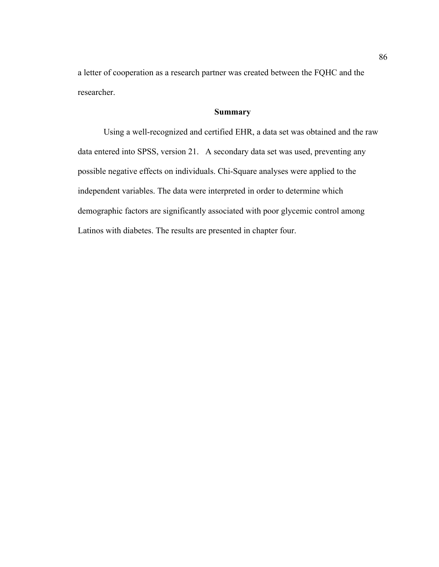a letter of cooperation as a research partner was created between the FQHC and the researcher.

# **Summary**

Using a well-recognized and certified EHR, a data set was obtained and the raw data entered into SPSS, version 21. A secondary data set was used, preventing any possible negative effects on individuals. Chi-Square analyses were applied to the independent variables. The data were interpreted in order to determine which demographic factors are significantly associated with poor glycemic control among Latinos with diabetes. The results are presented in chapter four.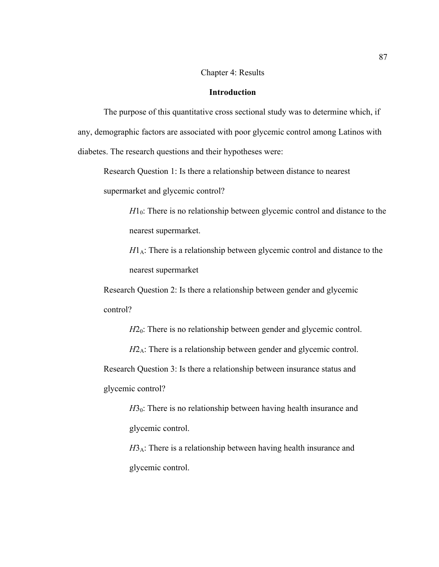# Chapter 4: Results

# **Introduction**

The purpose of this quantitative cross sectional study was to determine which, if any, demographic factors are associated with poor glycemic control among Latinos with diabetes. The research questions and their hypotheses were:

Research Question 1: Is there a relationship between distance to nearest supermarket and glycemic control?

> $H_0$ : There is no relationship between glycemic control and distance to the nearest supermarket.

 $H1_A$ : There is a relationship between glycemic control and distance to the nearest supermarket

Research Question 2: Is there a relationship between gender and glycemic control?

*H*2<sub>0</sub>: There is no relationship between gender and glycemic control.

 $H2_A$ : There is a relationship between gender and glycemic control. Research Question 3: Is there a relationship between insurance status and glycemic control?

 $H_0$ : There is no relationship between having health insurance and glycemic control.

 $H3_A$ : There is a relationship between having health insurance and glycemic control.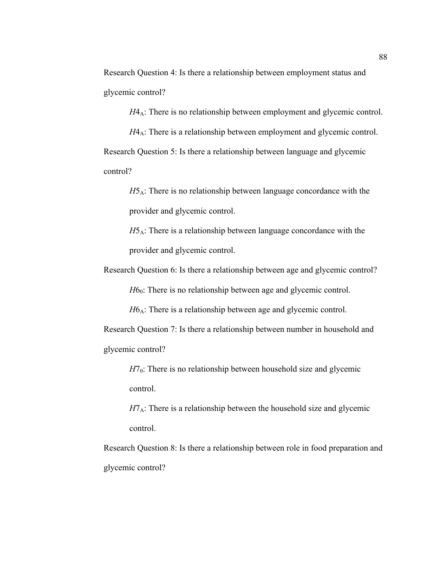Research Question 4: Is there a relationship between employment status and glycemic control?

 $H4_A$ : There is no relationship between employment and glycemic control.

*H*4<sub>A</sub>: There is a relationship between employment and glycemic control. Research Question 5: Is there a relationship between language and glycemic control?

 $H5_A$ : There is no relationship between language concordance with the provider and glycemic control.

*H*5<sub>A</sub>: There is a relationship between language concordance with the provider and glycemic control.

Research Question 6: Is there a relationship between age and glycemic control?

*H*6<sub>0</sub>: There is no relationship between age and glycemic control.

 $H6_A$ : There is a relationship between age and glycemic control.

Research Question 7: Is there a relationship between number in household and glycemic control?

 $H7<sub>0</sub>$ : There is no relationship between household size and glycemic control.

 $H7_A$ : There is a relationship between the household size and glycemic control.

Research Question 8: Is there a relationship between role in food preparation and glycemic control?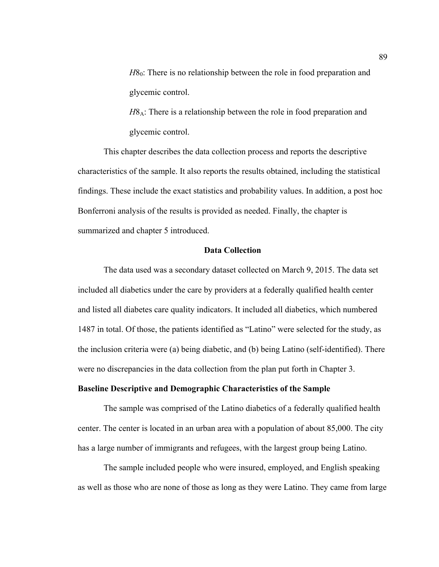*H*8<sub>0</sub>: There is no relationship between the role in food preparation and glycemic control.

*H*8<sub>A</sub>: There is a relationship between the role in food preparation and glycemic control.

This chapter describes the data collection process and reports the descriptive characteristics of the sample. It also reports the results obtained, including the statistical findings. These include the exact statistics and probability values. In addition, a post hoc Bonferroni analysis of the results is provided as needed. Finally, the chapter is summarized and chapter 5 introduced.

# **Data Collection**

The data used was a secondary dataset collected on March 9, 2015. The data set included all diabetics under the care by providers at a federally qualified health center and listed all diabetes care quality indicators. It included all diabetics, which numbered 1487 in total. Of those, the patients identified as "Latino" were selected for the study, as the inclusion criteria were (a) being diabetic, and (b) being Latino (self-identified). There were no discrepancies in the data collection from the plan put forth in Chapter 3.

# **Baseline Descriptive and Demographic Characteristics of the Sample**

The sample was comprised of the Latino diabetics of a federally qualified health center. The center is located in an urban area with a population of about 85,000. The city has a large number of immigrants and refugees, with the largest group being Latino.

The sample included people who were insured, employed, and English speaking as well as those who are none of those as long as they were Latino. They came from large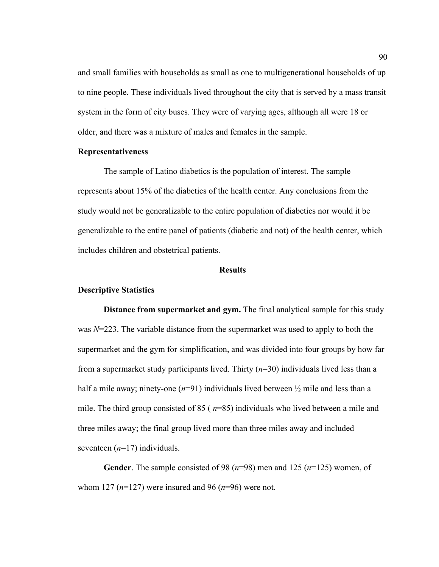and small families with households as small as one to multigenerational households of up to nine people. These individuals lived throughout the city that is served by a mass transit system in the form of city buses. They were of varying ages, although all were 18 or older, and there was a mixture of males and females in the sample.

### **Representativeness**

The sample of Latino diabetics is the population of interest. The sample represents about 15% of the diabetics of the health center. Any conclusions from the study would not be generalizable to the entire population of diabetics nor would it be generalizable to the entire panel of patients (diabetic and not) of the health center, which includes children and obstetrical patients.

# **Results**

### **Descriptive Statistics**

**Distance from supermarket and gym.** The final analytical sample for this study was *N*=223. The variable distance from the supermarket was used to apply to both the supermarket and the gym for simplification, and was divided into four groups by how far from a supermarket study participants lived. Thirty (*n*=30) individuals lived less than a half a mile away; ninety-one  $(n=91)$  individuals lived between  $\frac{1}{2}$  mile and less than a mile. The third group consisted of 85 ( *n*=85) individuals who lived between a mile and three miles away; the final group lived more than three miles away and included seventeen (*n*=17) individuals.

**Gender**. The sample consisted of 98 (*n*=98) men and 125 (*n*=125) women, of whom 127 (*n*=127) were insured and 96 (*n*=96) were not.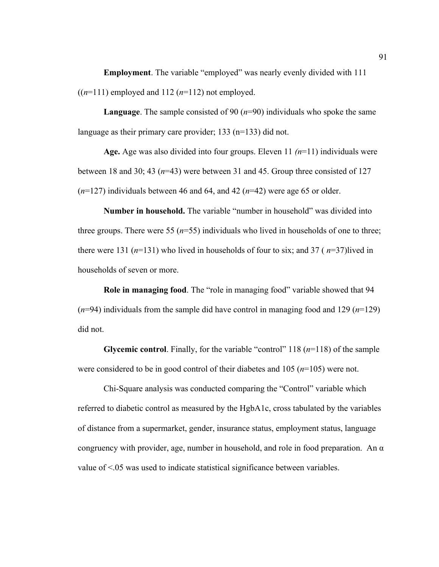**Employment**. The variable "employed" was nearly evenly divided with 111  $((n=111)$  employed and 112  $(n=112)$  not employed.

**Language**. The sample consisted of 90 (*n*=90) individuals who spoke the same language as their primary care provider; 133 (n=133) did not.

**Age.** Age was also divided into four groups. Eleven 11 *(n*=11) individuals were between 18 and 30; 43 (*n*=43) were between 31 and 45. Group three consisted of 127 (*n*=127) individuals between 46 and 64, and 42 (*n*=42) were age 65 or older.

**Number in household.** The variable "number in household" was divided into three groups. There were 55 (*n*=55) individuals who lived in households of one to three; there were 131  $(n=131)$  who lived in households of four to six; and 37  $(n=37)$ lived in households of seven or more.

**Role in managing food**. The "role in managing food" variable showed that 94 (*n*=94) individuals from the sample did have control in managing food and 129 (*n*=129) did not.

**Glycemic control**. Finally, for the variable "control" 118 (*n*=118) of the sample were considered to be in good control of their diabetes and 105 (*n*=105) were not.

Chi-Square analysis was conducted comparing the "Control" variable which referred to diabetic control as measured by the HgbA1c, cross tabulated by the variables of distance from a supermarket, gender, insurance status, employment status, language congruency with provider, age, number in household, and role in food preparation. An  $\alpha$ value of <.05 was used to indicate statistical significance between variables.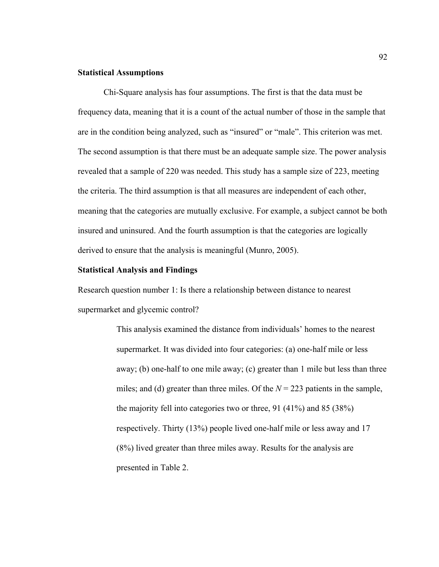# **Statistical Assumptions**

Chi-Square analysis has four assumptions. The first is that the data must be frequency data, meaning that it is a count of the actual number of those in the sample that are in the condition being analyzed, such as "insured" or "male". This criterion was met. The second assumption is that there must be an adequate sample size. The power analysis revealed that a sample of 220 was needed. This study has a sample size of 223, meeting the criteria. The third assumption is that all measures are independent of each other, meaning that the categories are mutually exclusive. For example, a subject cannot be both insured and uninsured. And the fourth assumption is that the categories are logically derived to ensure that the analysis is meaningful (Munro, 2005).

#### **Statistical Analysis and Findings**

Research question number 1: Is there a relationship between distance to nearest supermarket and glycemic control?

> This analysis examined the distance from individuals' homes to the nearest supermarket. It was divided into four categories: (a) one-half mile or less away; (b) one-half to one mile away; (c) greater than 1 mile but less than three miles; and (d) greater than three miles. Of the  $N = 223$  patients in the sample, the majority fell into categories two or three, 91 (41%) and 85 (38%) respectively. Thirty (13%) people lived one-half mile or less away and 17 (8%) lived greater than three miles away. Results for the analysis are presented in Table 2.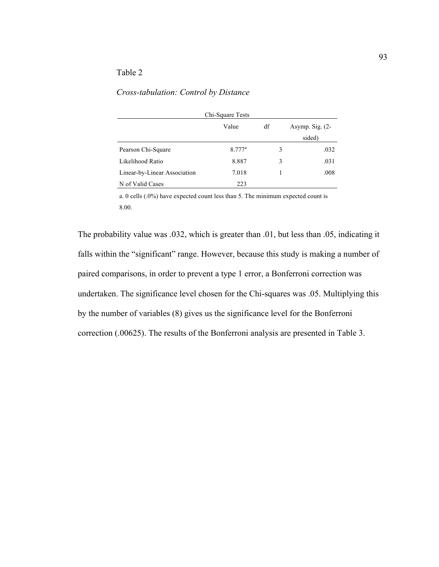# Table 2

# *Cross-tabulation: Control by Distance*

| Chi-Square Tests             |           |    |   |                   |  |  |
|------------------------------|-----------|----|---|-------------------|--|--|
|                              | Value     | df |   | Asymp. Sig. $(2-$ |  |  |
|                              |           |    |   | sided)            |  |  |
| Pearson Chi-Square           | $8.777^a$ |    | 3 | .032              |  |  |
| Likelihood Ratio             | 8.887     |    | 3 | .031              |  |  |
| Linear-by-Linear Association | 7.018     |    |   | .008              |  |  |
| N of Valid Cases             | 223       |    |   |                   |  |  |

a. 0 cells (.0%) have expected count less than 5. The minimum expected count is 8.00.

The probability value was .032, which is greater than .01, but less than .05, indicating it falls within the "significant" range. However, because this study is making a number of paired comparisons, in order to prevent a type 1 error, a Bonferroni correction was undertaken. The significance level chosen for the Chi-squares was .05. Multiplying this by the number of variables (8) gives us the significance level for the Bonferroni correction (.00625). The results of the Bonferroni analysis are presented in Table 3.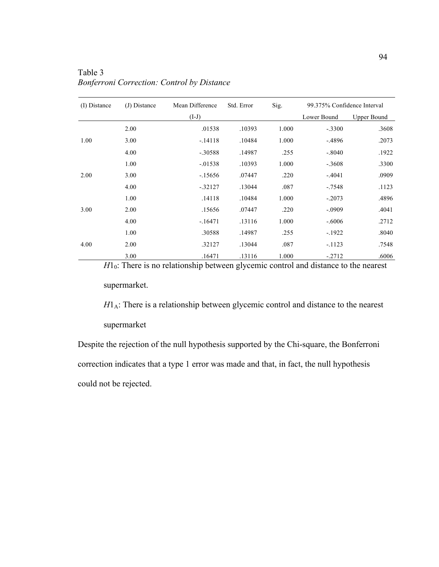| (I) Distance | (J) Distance | Mean Difference | Std. Error | Sig.  | 99.375% Confidence Interval |                    |
|--------------|--------------|-----------------|------------|-------|-----------------------------|--------------------|
|              |              | $(I-J)$         |            |       | Lower Bound                 | <b>Upper Bound</b> |
|              | 2.00         | .01538          | .10393     | 1.000 | $-.3300$                    | .3608              |
| 1.00         | 3.00         | $-.14118$       | .10484     | 1.000 | $-.4896$                    | .2073              |
|              | 4.00         | $-.30588$       | .14987     | .255  | $-.8040$                    | .1922              |
|              | 1.00         | $-0.01538$      | .10393     | 1.000 | $-.3608$                    | .3300              |
| 2.00         | 3.00         | $-15656$        | .07447     | .220  | $-.4041$                    | .0909              |
|              | 4.00         | $-32127$        | .13044     | .087  | $-7548$                     | .1123              |
|              | 1.00         | .14118          | .10484     | 1.000 | $-.2073$                    | .4896              |
| 3.00         | 2.00         | .15656          | .07447     | .220  | $-.0909$                    | .4041              |
|              | 4.00         | $-16471$        | .13116     | 1.000 | $-.6006$                    | .2712              |
|              | 1.00         | .30588          | .14987     | .255  | $-1922$                     | .8040              |
| 4.00         | 2.00         | .32127          | .13044     | .087  | $-.1123$                    | .7548              |
|              | 3.00         | .16471          | .13116     | 1.000 | $-2712$                     | .6006              |

Table 3 *Bonferroni Correction: Control by Distance* 

*H*<sub>10</sub>: There is no relationship between glycemic control and distance to the nearest

supermarket.

 $H1_A$ : There is a relationship between glycemic control and distance to the nearest

supermarket

Despite the rejection of the null hypothesis supported by the Chi-square, the Bonferroni correction indicates that a type 1 error was made and that, in fact, the null hypothesis could not be rejected.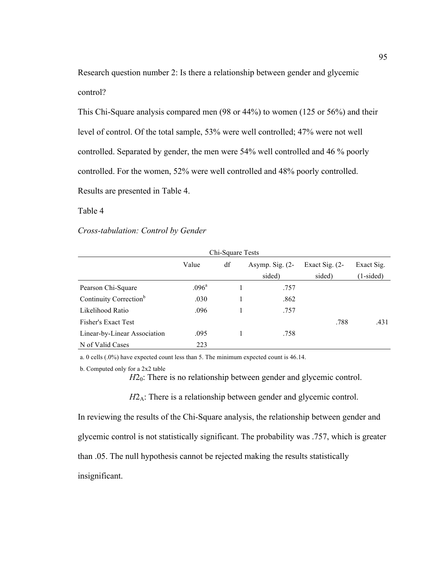Research question number 2: Is there a relationship between gender and glycemic control?

This Chi-Square analysis compared men (98 or 44%) to women (125 or 56%) and their level of control. Of the total sample, 53% were well controlled; 47% were not well controlled. Separated by gender, the men were 54% well controlled and 46 % poorly controlled. For the women, 52% were well controlled and 48% poorly controlled. Results are presented in Table 4.

# Table 4

### *Cross-tabulation: Control by Gender*

| Chi-Square Tests                   |                |    |                   |                  |             |  |  |
|------------------------------------|----------------|----|-------------------|------------------|-------------|--|--|
|                                    | Value          | df | Asymp. Sig. $(2-$ | Exact Sig. $(2-$ | Exact Sig.  |  |  |
|                                    |                |    | sided)            | sided)           | $(1-sided)$ |  |  |
| Pearson Chi-Square                 | $.096^{\rm a}$ |    | .757              |                  |             |  |  |
| Continuity Correction <sup>b</sup> | .030           |    | .862              |                  |             |  |  |
| Likelihood Ratio                   | .096           |    | .757              |                  |             |  |  |
| <b>Fisher's Exact Test</b>         |                |    |                   | .788             | .431        |  |  |
| Linear-by-Linear Association       | .095           |    | .758              |                  |             |  |  |
| N of Valid Cases                   | 223            |    |                   |                  |             |  |  |

a. 0 cells (.0%) have expected count less than 5. The minimum expected count is 46.14.

b. Computed only for a 2x2 table

*H*2<sub>0</sub>: There is no relationship between gender and glycemic control.

*H*2<sub>A</sub>: There is a relationship between gender and glycemic control.

In reviewing the results of the Chi-Square analysis, the relationship between gender and glycemic control is not statistically significant. The probability was .757, which is greater than .05. The null hypothesis cannot be rejected making the results statistically insignificant.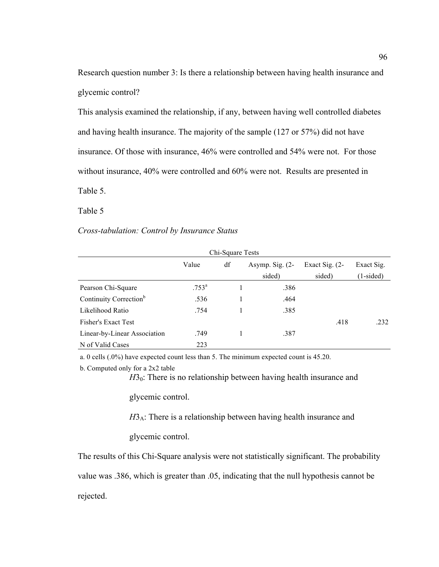Research question number 3: Is there a relationship between having health insurance and glycemic control?

This analysis examined the relationship, if any, between having well controlled diabetes and having health insurance. The majority of the sample (127 or 57%) did not have insurance. Of those with insurance, 46% were controlled and 54% were not. For those without insurance, 40% were controlled and 60% were not. Results are presented in Table 5.

Table 5

## *Cross-tabulation: Control by Insurance Status*

|                                    |                | Chi-Square Tests |                   |                  |             |
|------------------------------------|----------------|------------------|-------------------|------------------|-------------|
|                                    | Value          | df               | Asymp. Sig. $(2-$ | Exact Sig. $(2-$ | Exact Sig.  |
|                                    |                |                  | sided)            | sided)           | $(1-sided)$ |
| Pearson Chi-Square                 | $.753^{\rm a}$ |                  | .386              |                  |             |
| Continuity Correction <sup>b</sup> | .536           |                  | .464              |                  |             |
| Likelihood Ratio                   | .754           |                  | .385              |                  |             |
| <b>Fisher's Exact Test</b>         |                |                  |                   | .418             | .232        |
| Linear-by-Linear Association       | .749           |                  | .387              |                  |             |
| N of Valid Cases                   | 223            |                  |                   |                  |             |

a. 0 cells (.0%) have expected count less than 5. The minimum expected count is 45.20.

b. Computed only for a 2x2 table

 $H_0$ : There is no relationship between having health insurance and

glycemic control.

 $H3_A$ : There is a relationship between having health insurance and

glycemic control.

The results of this Chi-Square analysis were not statistically significant. The probability

value was .386, which is greater than .05, indicating that the null hypothesis cannot be

rejected.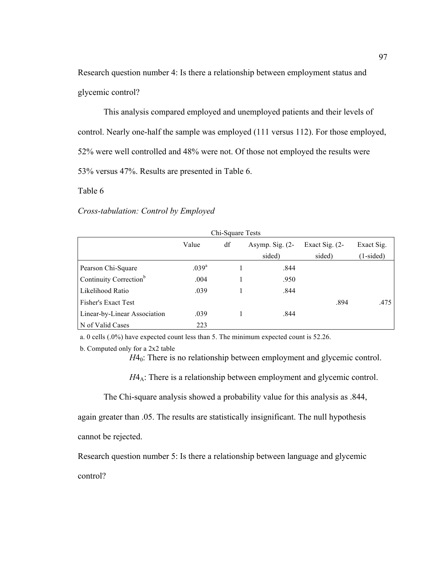Research question number 4: Is there a relationship between employment status and glycemic control?

This analysis compared employed and unemployed patients and their levels of control. Nearly one-half the sample was employed (111 versus 112). For those employed, 52% were well controlled and 48% were not. Of those not employed the results were 53% versus 47%. Results are presented in Table 6.

Table 6

## *Cross-tabulation: Control by Employed*

| Chi-Square Tests                   |                   |    |                   |                  |             |  |
|------------------------------------|-------------------|----|-------------------|------------------|-------------|--|
|                                    | Value             | df | Asymp. Sig. $(2-$ | Exact Sig. $(2-$ | Exact Sig.  |  |
|                                    |                   |    | sided)            | sided)           | $(1-sided)$ |  |
| Pearson Chi-Square                 | .039 <sup>a</sup> |    | .844              |                  |             |  |
| Continuity Correction <sup>b</sup> | .004              |    | .950              |                  |             |  |
| Likelihood Ratio                   | .039              |    | .844              |                  |             |  |
| <b>Fisher's Exact Test</b>         |                   |    |                   | .894             | .475        |  |
| Linear-by-Linear Association       | .039              |    | .844              |                  |             |  |
| N of Valid Cases                   | 223               |    |                   |                  |             |  |

a. 0 cells (.0%) have expected count less than 5. The minimum expected count is 52.26.

```
b. Computed only for a 2x2 table
```
*H*4<sub>0</sub>: There is no relationship between employment and glycemic control.

 $H4_A$ : There is a relationship between employment and glycemic control.

The Chi-square analysis showed a probability value for this analysis as .844, again greater than .05. The results are statistically insignificant. The null hypothesis cannot be rejected.

Research question number 5: Is there a relationship between language and glycemic control?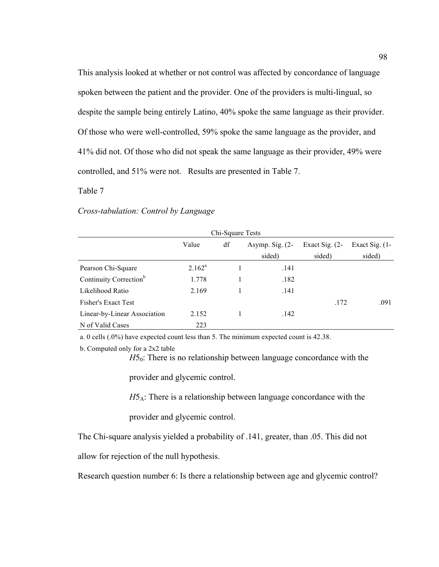This analysis looked at whether or not control was affected by concordance of language spoken between the patient and the provider. One of the providers is multi-lingual, so despite the sample being entirely Latino, 40% spoke the same language as their provider. Of those who were well-controlled, 59% spoke the same language as the provider, and 41% did not. Of those who did not speak the same language as their provider, 49% were controlled, and 51% were not. Results are presented in Table 7.

# Table 7

### *Cross-tabulation: Control by Language*

| Chi-Square Tests                   |           |    |                   |                  |                   |  |
|------------------------------------|-----------|----|-------------------|------------------|-------------------|--|
|                                    | Value     | df | Asymp. Sig. $(2-$ | Exact Sig. $(2-$ | Exact Sig. $(1 -$ |  |
|                                    |           |    | sided)            | sided)           | sided)            |  |
| Pearson Chi-Square                 | $2.162^a$ |    | .141              |                  |                   |  |
| Continuity Correction <sup>b</sup> | 1.778     |    | .182              |                  |                   |  |
| Likelihood Ratio                   | 2.169     |    | .141              |                  |                   |  |
| <b>Fisher's Exact Test</b>         |           |    |                   | .172             | .091              |  |
| Linear-by-Linear Association       | 2.152     |    | .142              |                  |                   |  |
| N of Valid Cases                   | 223       |    |                   |                  |                   |  |

a. 0 cells (.0%) have expected count less than 5. The minimum expected count is 42.38.

 $H5<sub>0</sub>$ : There is no relationship between language concordance with the

provider and glycemic control.

*H*5<sub>A</sub>: There is a relationship between language concordance with the

provider and glycemic control.

The Chi-square analysis yielded a probability of .141, greater, than .05. This did not

allow for rejection of the null hypothesis.

Research question number 6: Is there a relationship between age and glycemic control?

b. Computed only for a 2x2 table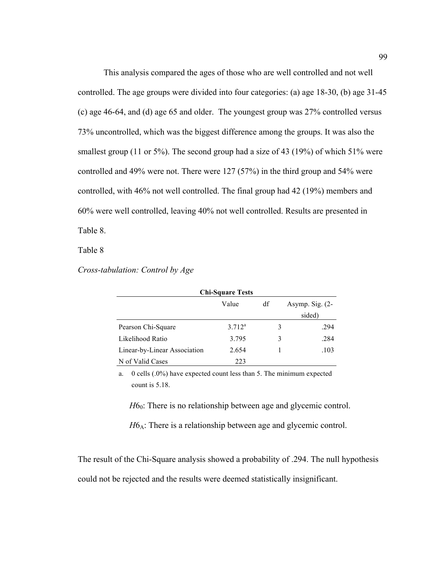This analysis compared the ages of those who are well controlled and not well controlled. The age groups were divided into four categories: (a) age 18-30, (b) age 31-45 (c) age 46-64, and (d) age 65 and older. The youngest group was 27% controlled versus 73% uncontrolled, which was the biggest difference among the groups. It was also the smallest group (11 or 5%). The second group had a size of 43 (19%) of which 51% were controlled and 49% were not. There were 127 (57%) in the third group and 54% were controlled, with 46% not well controlled. The final group had 42 (19%) members and 60% were well controlled, leaving 40% not well controlled. Results are presented in Table 8.

Table 8

*Cross-tabulation: Control by Age*

| <b>Chi-Square Tests</b>      |             |    |                   |  |  |  |
|------------------------------|-------------|----|-------------------|--|--|--|
|                              | Value       | df | Asymp. Sig. $(2-$ |  |  |  |
|                              |             |    | sided)            |  |  |  |
| Pearson Chi-Square           | $3.712^{a}$ | 3  | .294              |  |  |  |
| Likelihood Ratio             | 3.795       | 3  | .284              |  |  |  |
| Linear-by-Linear Association | 2.654       |    | .103              |  |  |  |
| N of Valid Cases             | 223         |    |                   |  |  |  |

a. 0 cells (.0%) have expected count less than 5. The minimum expected count is 5.18.

*H*6<sub>0</sub>: There is no relationship between age and glycemic control.

 $H6_A$ : There is a relationship between age and glycemic control.

The result of the Chi-Square analysis showed a probability of .294. The null hypothesis could not be rejected and the results were deemed statistically insignificant.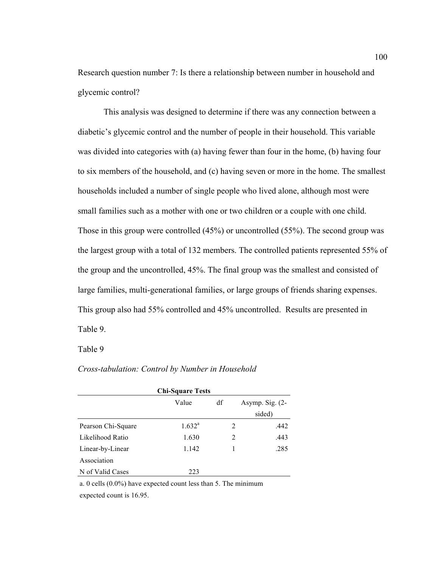Research question number 7: Is there a relationship between number in household and glycemic control?

This analysis was designed to determine if there was any connection between a diabetic's glycemic control and the number of people in their household. This variable was divided into categories with (a) having fewer than four in the home, (b) having four to six members of the household, and (c) having seven or more in the home. The smallest households included a number of single people who lived alone, although most were small families such as a mother with one or two children or a couple with one child. Those in this group were controlled (45%) or uncontrolled (55%). The second group was the largest group with a total of 132 members. The controlled patients represented 55% of the group and the uncontrolled, 45%. The final group was the smallest and consisted of large families, multi-generational families, or large groups of friends sharing expenses. This group also had 55% controlled and 45% uncontrolled. Results are presented in Table 9.

Table 9

## *Cross-tabulation: Control by Number in Household*

| <b>Chi-Square Tests</b> |                 |    |                   |        |  |  |
|-------------------------|-----------------|----|-------------------|--------|--|--|
|                         | Value           | df | Asymp. Sig. $(2-$ |        |  |  |
|                         |                 |    |                   | sided) |  |  |
| Pearson Chi-Square      | $1.632^{\rm a}$ |    | 2                 | .442   |  |  |
| Likelihood Ratio        | 1.630           |    | 2                 | .443   |  |  |
| Linear-by-Linear        | 1.142           |    | 1                 | .285   |  |  |
| Association             |                 |    |                   |        |  |  |
| N of Valid Cases        | 223             |    |                   |        |  |  |

a. 0 cells (0.0%) have expected count less than 5. The minimum

expected count is 16.95.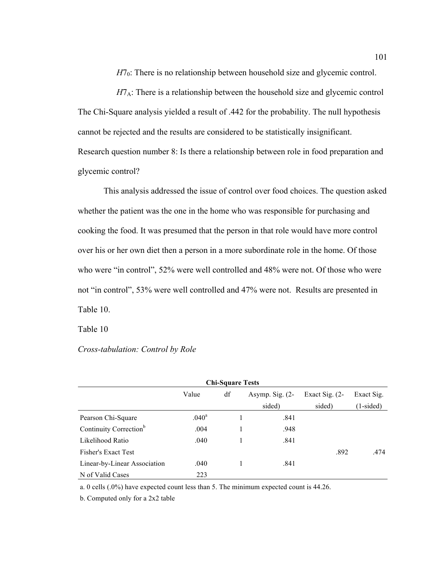*H*7<sub>0</sub>: There is no relationship between household size and glycemic control.

 $H7_A$ : There is a relationship between the household size and glycemic control The Chi-Square analysis yielded a result of .442 for the probability. The null hypothesis cannot be rejected and the results are considered to be statistically insignificant. Research question number 8: Is there a relationship between role in food preparation and glycemic control?

This analysis addressed the issue of control over food choices. The question asked whether the patient was the one in the home who was responsible for purchasing and cooking the food. It was presumed that the person in that role would have more control over his or her own diet then a person in a more subordinate role in the home. Of those who were "in control", 52% were well controlled and 48% were not. Of those who were not "in control", 53% were well controlled and 47% were not. Results are presented in Table 10.

Table 10

### *Cross-tabulation: Control by Role*

| <b>Chi-Square Tests</b>            |                   |    |                                       |        |             |  |
|------------------------------------|-------------------|----|---------------------------------------|--------|-------------|--|
|                                    | Value             | df | Asymp. Sig. $(2-$<br>Exact Sig. $(2-$ |        | Exact Sig.  |  |
|                                    |                   |    | sided)                                | sided) | $(1-sided)$ |  |
| Pearson Chi-Square                 | .040 <sup>a</sup> |    | .841                                  |        |             |  |
| Continuity Correction <sup>b</sup> | .004              |    | .948                                  |        |             |  |
| Likelihood Ratio                   | .040              |    | .841                                  |        |             |  |
| <b>Fisher's Exact Test</b>         |                   |    |                                       | .892   | .474        |  |
| Linear-by-Linear Association       | .040              |    | .841                                  |        |             |  |
| N of Valid Cases                   | 223               |    |                                       |        |             |  |

a. 0 cells (.0%) have expected count less than 5. The minimum expected count is 44.26.

b. Computed only for a 2x2 table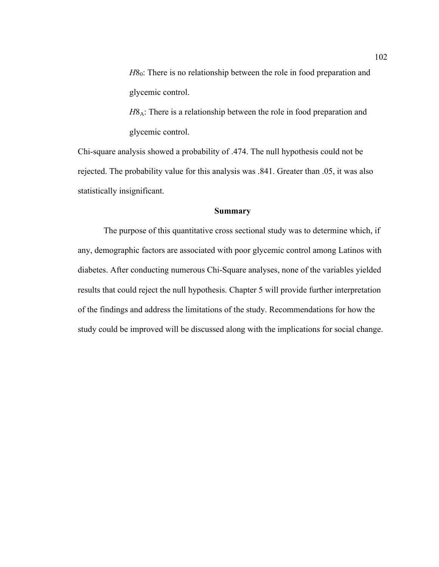*H*8<sub>0</sub>: There is no relationship between the role in food preparation and glycemic control.

*H*8<sub>A</sub>: There is a relationship between the role in food preparation and glycemic control.

Chi-square analysis showed a probability of .474. The null hypothesis could not be rejected. The probability value for this analysis was .841. Greater than .05, it was also statistically insignificant.

## **Summary**

The purpose of this quantitative cross sectional study was to determine which, if any, demographic factors are associated with poor glycemic control among Latinos with diabetes. After conducting numerous Chi-Square analyses, none of the variables yielded results that could reject the null hypothesis. Chapter 5 will provide further interpretation of the findings and address the limitations of the study. Recommendations for how the study could be improved will be discussed along with the implications for social change.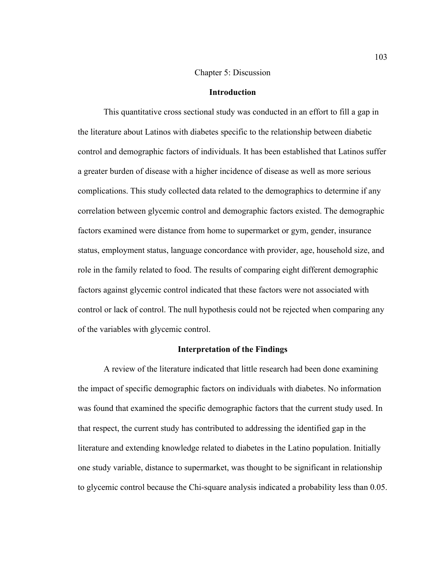### Chapter 5: Discussion

## **Introduction**

This quantitative cross sectional study was conducted in an effort to fill a gap in the literature about Latinos with diabetes specific to the relationship between diabetic control and demographic factors of individuals. It has been established that Latinos suffer a greater burden of disease with a higher incidence of disease as well as more serious complications. This study collected data related to the demographics to determine if any correlation between glycemic control and demographic factors existed. The demographic factors examined were distance from home to supermarket or gym, gender, insurance status, employment status, language concordance with provider, age, household size, and role in the family related to food. The results of comparing eight different demographic factors against glycemic control indicated that these factors were not associated with control or lack of control. The null hypothesis could not be rejected when comparing any of the variables with glycemic control.

#### **Interpretation of the Findings**

A review of the literature indicated that little research had been done examining the impact of specific demographic factors on individuals with diabetes. No information was found that examined the specific demographic factors that the current study used. In that respect, the current study has contributed to addressing the identified gap in the literature and extending knowledge related to diabetes in the Latino population. Initially one study variable, distance to supermarket, was thought to be significant in relationship to glycemic control because the Chi-square analysis indicated a probability less than 0.05.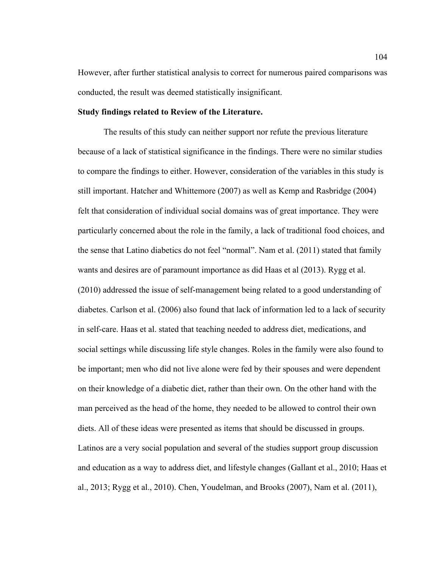However, after further statistical analysis to correct for numerous paired comparisons was conducted, the result was deemed statistically insignificant.

### **Study findings related to Review of the Literature.**

The results of this study can neither support nor refute the previous literature because of a lack of statistical significance in the findings. There were no similar studies to compare the findings to either. However, consideration of the variables in this study is still important. Hatcher and Whittemore (2007) as well as Kemp and Rasbridge (2004) felt that consideration of individual social domains was of great importance. They were particularly concerned about the role in the family, a lack of traditional food choices, and the sense that Latino diabetics do not feel "normal". Nam et al. (2011) stated that family wants and desires are of paramount importance as did Haas et al (2013). Rygg et al. (2010) addressed the issue of self-management being related to a good understanding of diabetes. Carlson et al. (2006) also found that lack of information led to a lack of security in self-care. Haas et al. stated that teaching needed to address diet, medications, and social settings while discussing life style changes. Roles in the family were also found to be important; men who did not live alone were fed by their spouses and were dependent on their knowledge of a diabetic diet, rather than their own. On the other hand with the man perceived as the head of the home, they needed to be allowed to control their own diets. All of these ideas were presented as items that should be discussed in groups. Latinos are a very social population and several of the studies support group discussion and education as a way to address diet, and lifestyle changes (Gallant et al., 2010; Haas et al., 2013; Rygg et al., 2010). Chen, Youdelman, and Brooks (2007), Nam et al. (2011),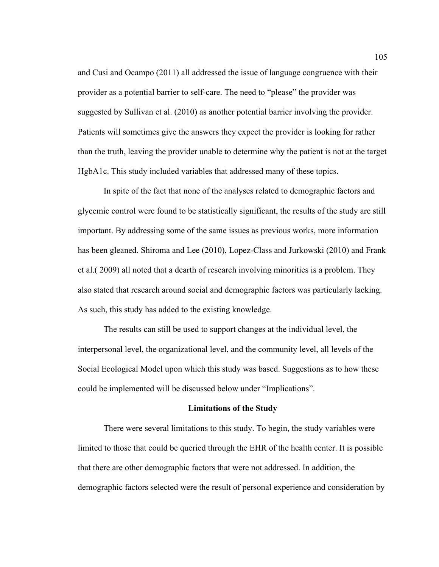and Cusi and Ocampo (2011) all addressed the issue of language congruence with their provider as a potential barrier to self-care. The need to "please" the provider was suggested by Sullivan et al. (2010) as another potential barrier involving the provider. Patients will sometimes give the answers they expect the provider is looking for rather than the truth, leaving the provider unable to determine why the patient is not at the target HgbA1c. This study included variables that addressed many of these topics.

In spite of the fact that none of the analyses related to demographic factors and glycemic control were found to be statistically significant, the results of the study are still important. By addressing some of the same issues as previous works, more information has been gleaned. Shiroma and Lee (2010), Lopez-Class and Jurkowski (2010) and Frank et al.( 2009) all noted that a dearth of research involving minorities is a problem. They also stated that research around social and demographic factors was particularly lacking. As such, this study has added to the existing knowledge.

The results can still be used to support changes at the individual level, the interpersonal level, the organizational level, and the community level, all levels of the Social Ecological Model upon which this study was based. Suggestions as to how these could be implemented will be discussed below under "Implications".

#### **Limitations of the Study**

There were several limitations to this study. To begin, the study variables were limited to those that could be queried through the EHR of the health center. It is possible that there are other demographic factors that were not addressed. In addition, the demographic factors selected were the result of personal experience and consideration by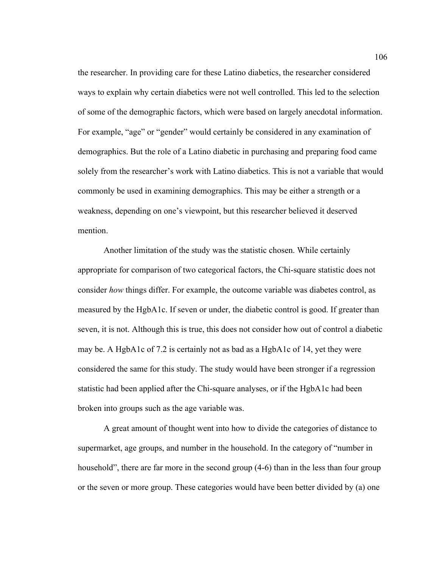the researcher. In providing care for these Latino diabetics, the researcher considered ways to explain why certain diabetics were not well controlled. This led to the selection of some of the demographic factors, which were based on largely anecdotal information. For example, "age" or "gender" would certainly be considered in any examination of demographics. But the role of a Latino diabetic in purchasing and preparing food came solely from the researcher's work with Latino diabetics. This is not a variable that would commonly be used in examining demographics. This may be either a strength or a weakness, depending on one's viewpoint, but this researcher believed it deserved mention.

Another limitation of the study was the statistic chosen. While certainly appropriate for comparison of two categorical factors, the Chi-square statistic does not consider *how* things differ. For example, the outcome variable was diabetes control, as measured by the HgbA1c. If seven or under, the diabetic control is good. If greater than seven, it is not. Although this is true, this does not consider how out of control a diabetic may be. A HgbA1c of 7.2 is certainly not as bad as a HgbA1c of 14, yet they were considered the same for this study. The study would have been stronger if a regression statistic had been applied after the Chi-square analyses, or if the HgbA1c had been broken into groups such as the age variable was.

A great amount of thought went into how to divide the categories of distance to supermarket, age groups, and number in the household. In the category of "number in household", there are far more in the second group  $(4-6)$  than in the less than four group or the seven or more group. These categories would have been better divided by (a) one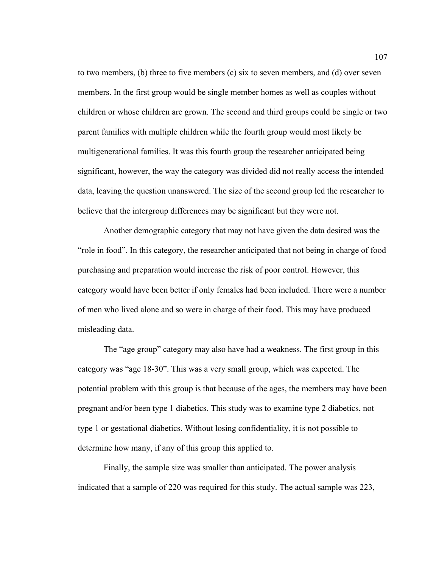to two members, (b) three to five members (c) six to seven members, and (d) over seven members. In the first group would be single member homes as well as couples without children or whose children are grown. The second and third groups could be single or two parent families with multiple children while the fourth group would most likely be multigenerational families. It was this fourth group the researcher anticipated being significant, however, the way the category was divided did not really access the intended data, leaving the question unanswered. The size of the second group led the researcher to believe that the intergroup differences may be significant but they were not.

Another demographic category that may not have given the data desired was the "role in food". In this category, the researcher anticipated that not being in charge of food purchasing and preparation would increase the risk of poor control. However, this category would have been better if only females had been included. There were a number of men who lived alone and so were in charge of their food. This may have produced misleading data.

The "age group" category may also have had a weakness. The first group in this category was "age 18-30". This was a very small group, which was expected. The potential problem with this group is that because of the ages, the members may have been pregnant and/or been type 1 diabetics. This study was to examine type 2 diabetics, not type 1 or gestational diabetics. Without losing confidentiality, it is not possible to determine how many, if any of this group this applied to.

Finally, the sample size was smaller than anticipated. The power analysis indicated that a sample of 220 was required for this study. The actual sample was 223,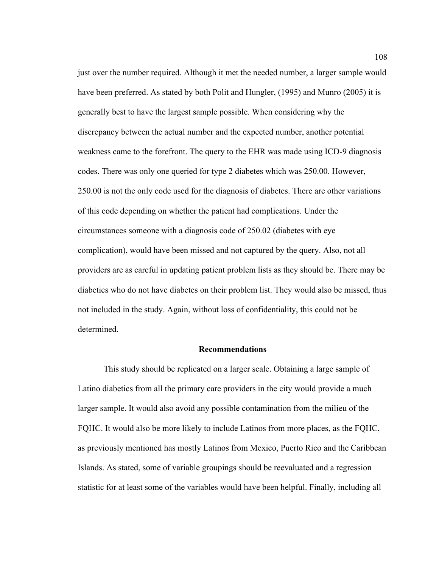just over the number required. Although it met the needed number, a larger sample would have been preferred. As stated by both Polit and Hungler, (1995) and Munro (2005) it is generally best to have the largest sample possible. When considering why the discrepancy between the actual number and the expected number, another potential weakness came to the forefront. The query to the EHR was made using ICD-9 diagnosis codes. There was only one queried for type 2 diabetes which was 250.00. However, 250.00 is not the only code used for the diagnosis of diabetes. There are other variations of this code depending on whether the patient had complications. Under the circumstances someone with a diagnosis code of 250.02 (diabetes with eye complication), would have been missed and not captured by the query. Also, not all providers are as careful in updating patient problem lists as they should be. There may be diabetics who do not have diabetes on their problem list. They would also be missed, thus not included in the study. Again, without loss of confidentiality, this could not be determined.

### **Recommendations**

This study should be replicated on a larger scale. Obtaining a large sample of Latino diabetics from all the primary care providers in the city would provide a much larger sample. It would also avoid any possible contamination from the milieu of the FQHC. It would also be more likely to include Latinos from more places, as the FQHC, as previously mentioned has mostly Latinos from Mexico, Puerto Rico and the Caribbean Islands. As stated, some of variable groupings should be reevaluated and a regression statistic for at least some of the variables would have been helpful. Finally, including all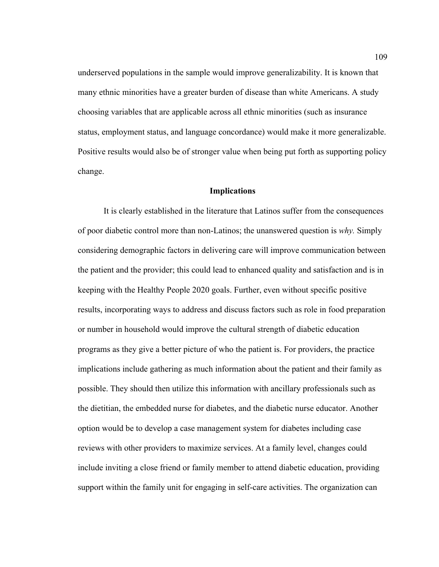underserved populations in the sample would improve generalizability. It is known that many ethnic minorities have a greater burden of disease than white Americans. A study choosing variables that are applicable across all ethnic minorities (such as insurance status, employment status, and language concordance) would make it more generalizable. Positive results would also be of stronger value when being put forth as supporting policy change.

## **Implications**

It is clearly established in the literature that Latinos suffer from the consequences of poor diabetic control more than non-Latinos; the unanswered question is *why.* Simply considering demographic factors in delivering care will improve communication between the patient and the provider; this could lead to enhanced quality and satisfaction and is in keeping with the Healthy People 2020 goals. Further, even without specific positive results, incorporating ways to address and discuss factors such as role in food preparation or number in household would improve the cultural strength of diabetic education programs as they give a better picture of who the patient is. For providers, the practice implications include gathering as much information about the patient and their family as possible. They should then utilize this information with ancillary professionals such as the dietitian, the embedded nurse for diabetes, and the diabetic nurse educator. Another option would be to develop a case management system for diabetes including case reviews with other providers to maximize services. At a family level, changes could include inviting a close friend or family member to attend diabetic education, providing support within the family unit for engaging in self-care activities. The organization can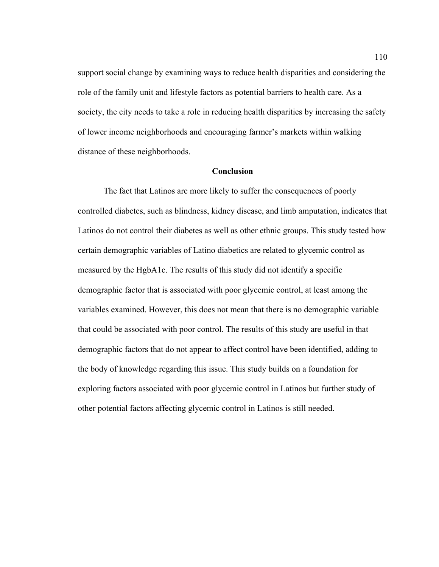support social change by examining ways to reduce health disparities and considering the role of the family unit and lifestyle factors as potential barriers to health care. As a society, the city needs to take a role in reducing health disparities by increasing the safety of lower income neighborhoods and encouraging farmer's markets within walking distance of these neighborhoods.

# **Conclusion**

The fact that Latinos are more likely to suffer the consequences of poorly controlled diabetes, such as blindness, kidney disease, and limb amputation, indicates that Latinos do not control their diabetes as well as other ethnic groups. This study tested how certain demographic variables of Latino diabetics are related to glycemic control as measured by the HgbA1c. The results of this study did not identify a specific demographic factor that is associated with poor glycemic control, at least among the variables examined. However, this does not mean that there is no demographic variable that could be associated with poor control. The results of this study are useful in that demographic factors that do not appear to affect control have been identified, adding to the body of knowledge regarding this issue. This study builds on a foundation for exploring factors associated with poor glycemic control in Latinos but further study of other potential factors affecting glycemic control in Latinos is still needed.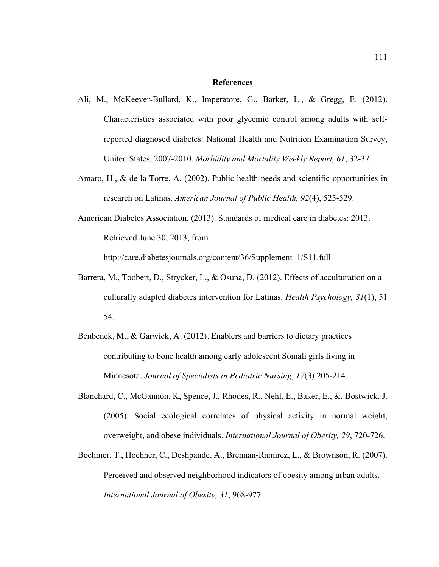## **References**

- Ali, M., McKeever-Bullard, K., Imperatore, G., Barker, L., & Gregg, E. (2012). Characteristics associated with poor glycemic control among adults with selfreported diagnosed diabetes: National Health and Nutrition Examination Survey, United States, 2007-2010. *Morbidity and Mortality Weekly Report, 61*, 32-37.
- Amaro, H., & de la Torre, A. (2002). Public health needs and scientific opportunities in research on Latinas. *American Journal of Public Health, 92*(4), 525-529.
- American Diabetes Association. (2013). Standards of medical care in diabetes: 2013. Retrieved June 30, 2013, from

http://care.diabetesjournals.org/content/36/Supplement\_1/S11.full

- Barrera, M., Toobert, D., Strycker, L., & Osuna, D. (2012). Effects of acculturation on a culturally adapted diabetes intervention for Latinas. *Health Psychology, 31*(1), 51 54.
- Benbenek, M., & Garwick, A. (2012). Enablers and barriers to dietary practices contributing to bone health among early adolescent Somali girls living in Minnesota. *Journal of Specialists in Pediatric Nursing, 17*(3) 205-214.
- Blanchard, C., McGannon, K, Spence, J., Rhodes, R., Nehl, E., Baker, E., &, Bostwick, J. (2005). Social ecological correlates of physical activity in normal weight, overweight, and obese individuals. *International Journal of Obesity, 29*, 720-726.
- Boehmer, T., Hoehner, C., Deshpande, A., Brennan-Ramirez, L., & Brownson, R. (2007). Perceived and observed neighborhood indicators of obesity among urban adults. *International Journal of Obesity, 31*, 968-977.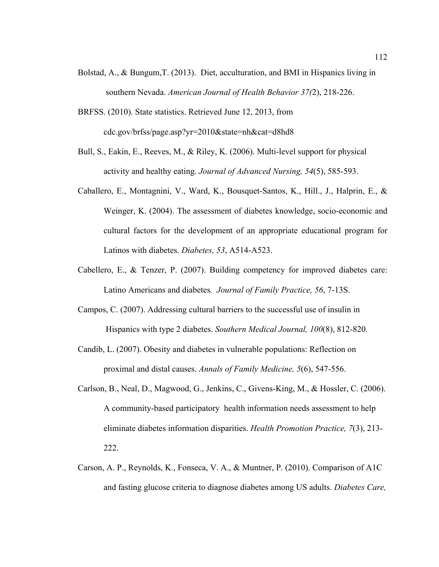- Bolstad, A., & Bungum,T. (2013). Diet, acculturation, and BMI in Hispanics living in southern Nevada. *American Journal of Health Behavior 37(*2), 218-226.
- BRFSS. (2010). State statistics. Retrieved June 12, 2013, from cdc.gov/brfss/page.asp?yr=2010&state=nh&cat=d8hd8
- Bull, S., Eakin, E., Reeves, M., & Riley, K. (2006). Multi-level support for physical activity and healthy eating. *Journal of Advanced Nursing, 54*(5), 585-593.
- Caballero, E., Montagnini, V., Ward, K., Bousquet-Santos, K., Hill., J., Halprin, E., & Weinger, K. (2004). The assessment of diabetes knowledge, socio-economic and cultural factors for the development of an appropriate educational program for Latinos with diabetes. *Diabetes, 53*, A514-A523.
- Cabellero, E., & Tenzer, P. (2007). Building competency for improved diabetes care: Latino Americans and diabetes*. Journal of Family Practice, 56*, 7-13S.
- Campos, C. (2007). Addressing cultural barriers to the successful use of insulin in Hispanics with type 2 diabetes. *Southern Medical Journal, 100*(8), 812-820.
- Candib, L. (2007). Obesity and diabetes in vulnerable populations: Reflection on proximal and distal causes. *Annals of Family Medicine, 5*(6), 547-556.
- Carlson, B., Neal, D., Magwood, G., Jenkins, C., Givens-King, M., & Hossler, C. (2006). A community-based participatory health information needs assessment to help eliminate diabetes information disparities. *Health Promotion Practice, 7*(3), 213- 222.
- Carson, A. P., Reynolds, K., Fonseca, V. A., & Muntner, P. (2010). Comparison of A1C and fasting glucose criteria to diagnose diabetes among US adults. *Diabetes Care,*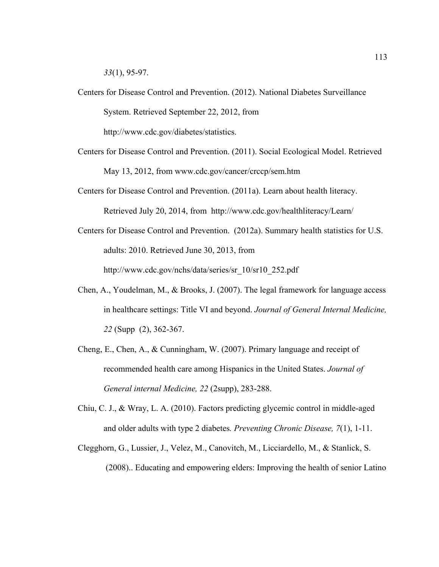*33*(1), 95-97.

Centers for Disease Control and Prevention. (2012). National Diabetes Surveillance System. Retrieved September 22, 2012, from http://www.cdc.gov/diabetes/statistics.

Centers for Disease Control and Prevention. (2011). Social Ecological Model. Retrieved May 13, 2012, from www.cdc.gov/cancer/crccp/sem.htm

Centers for Disease Control and Prevention. (2011a). Learn about health literacy. Retrieved July 20, 2014, from http://www.cdc.gov/healthliteracy/Learn/

- Centers for Disease Control and Prevention. (2012a). Summary health statistics for U.S. adults: 2010. Retrieved June 30, 2013, from http://www.cdc.gov/nchs/data/series/sr\_10/sr10\_252.pdf
- Chen, A., Youdelman, M., & Brooks, J. (2007). The legal framework for language access in healthcare settings: Title VI and beyond. *Journal of General Internal Medicine, 22* (Supp (2), 362-367.
- Cheng, E., Chen, A., & Cunningham, W. (2007). Primary language and receipt of recommended health care among Hispanics in the United States. *Journal of General internal Medicine, 22* (2supp), 283-288.
- Chiu, C. J., & Wray, L. A. (2010). Factors predicting glycemic control in middle-aged and older adults with type 2 diabetes*. Preventing Chronic Disease, 7*(1), 1-11.
- Clegghorn, G., Lussier, J., Velez, M., Canovitch, M., Licciardello, M., & Stanlick, S. (2008).. Educating and empowering elders: Improving the health of senior Latino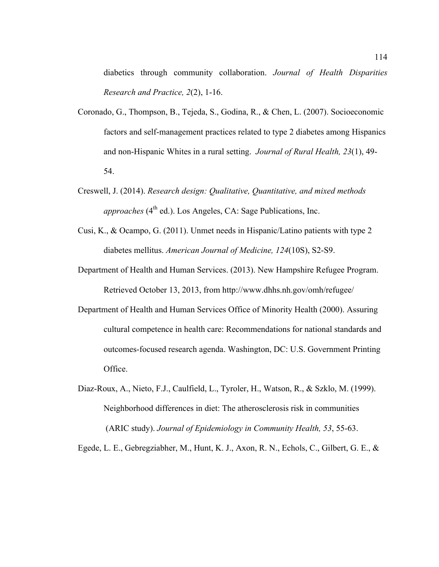diabetics through community collaboration. *Journal of Health Disparities Research and Practice, 2*(2), 1-16.

- Coronado, G., Thompson, B., Tejeda, S., Godina, R., & Chen, L. (2007). Socioeconomic factors and self-management practices related to type 2 diabetes among Hispanics and non-Hispanic Whites in a rural setting. *Journal of Rural Health, 23*(1), 49- 54.
- Creswell, J. (2014). *Research design: Qualitative, Quantitative, and mixed methods approaches* (4<sup>th</sup> ed.). Los Angeles, CA: Sage Publications, Inc.
- Cusi, K., & Ocampo, G. (2011). Unmet needs in Hispanic/Latino patients with type 2 diabetes mellitus. *American Journal of Medicine, 124*(10S), S2-S9.
- Department of Health and Human Services. (2013). New Hampshire Refugee Program. Retrieved October 13, 2013, from http://www.dhhs.nh.gov/omh/refugee/
- Department of Health and Human Services Office of Minority Health (2000). Assuring cultural competence in health care: Recommendations for national standards and outcomes-focused research agenda. Washington, DC: U.S. Government Printing Office.
- Diaz-Roux, A., Nieto, F.J., Caulfield, L., Tyroler, H., Watson, R., & Szklo, M. (1999). Neighborhood differences in diet: The atherosclerosis risk in communities (ARIC study). *Journal of Epidemiology in Community Health, 53*, 55-63.

Egede, L. E., Gebregziabher, M., Hunt, K. J., Axon, R. N., Echols, C., Gilbert, G. E., &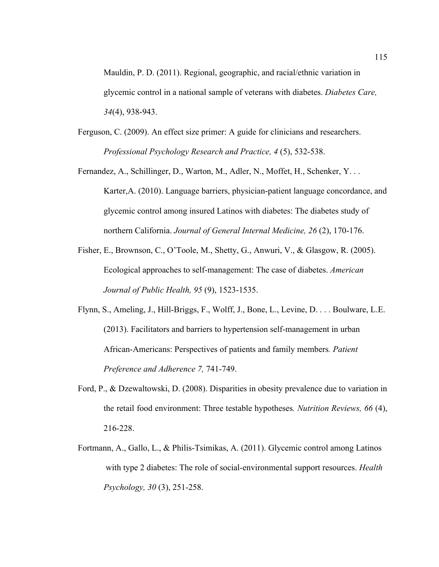Mauldin, P. D. (2011). Regional, geographic, and racial/ethnic variation in glycemic control in a national sample of veterans with diabetes. *Diabetes Care, 34*(4), 938-943.

- Ferguson, C. (2009). An effect size primer: A guide for clinicians and researchers. *Professional Psychology Research and Practice, 4* (5), 532-538.
- Fernandez, A., Schillinger, D., Warton, M., Adler, N., Moffet, H., Schenker, Y. . . Karter,A. (2010). Language barriers, physician-patient language concordance, and glycemic control among insured Latinos with diabetes: The diabetes study of northern California. *Journal of General Internal Medicine, 26* (2), 170-176.
- Fisher, E., Brownson, C., O'Toole, M., Shetty, G., Anwuri, V., & Glasgow, R. (2005). Ecological approaches to self-management: The case of diabetes. *American Journal of Public Health, 95* (9), 1523-1535.
- Flynn, S., Ameling, J., Hill-Briggs, F., Wolff, J., Bone, L., Levine, D. . . . Boulware, L.E. (2013). Facilitators and barriers to hypertension self-management in urban African-Americans: Perspectives of patients and family members*. Patient Preference and Adherence 7,* 741-749.
- Ford, P., & Dzewaltowski, D. (2008). Disparities in obesity prevalence due to variation in the retail food environment: Three testable hypotheses*. Nutrition Reviews, 66* (4), 216-228.
- Fortmann, A., Gallo, L., & Philis-Tsimikas, A. (2011). Glycemic control among Latinos with type 2 diabetes: The role of social-environmental support resources. *Health Psychology, 30* (3), 251-258.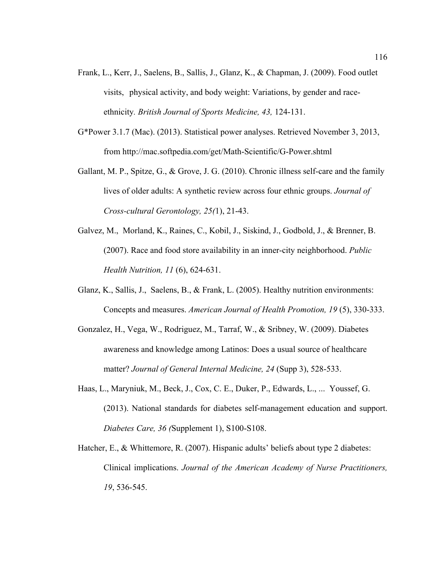- Frank, L., Kerr, J., Saelens, B., Sallis, J., Glanz, K., & Chapman, J. (2009). Food outlet visits, physical activity, and body weight: Variations, by gender and raceethnicity*. British Journal of Sports Medicine, 43,* 124-131.
- G\*Power 3.1.7 (Mac). (2013). Statistical power analyses. Retrieved November 3, 2013, from http://mac.softpedia.com/get/Math-Scientific/G-Power.shtml
- Gallant, M. P., Spitze, G., & Grove, J. G. (2010). Chronic illness self-care and the family lives of older adults: A synthetic review across four ethnic groups. *Journal of Cross-cultural Gerontology, 25(*1), 21-43.
- Galvez, M., Morland, K., Raines, C., Kobil, J., Siskind, J., Godbold, J., & Brenner, B. (2007). Race and food store availability in an inner-city neighborhood. *Public Health Nutrition, 11* (6), 624-631.
- Glanz, K., Sallis, J., Saelens, B., & Frank, L. (2005). Healthy nutrition environments: Concepts and measures. *American Journal of Health Promotion, 19* (5), 330-333.
- Gonzalez, H., Vega, W., Rodriguez, M., Tarraf, W., & Sribney, W. (2009). Diabetes awareness and knowledge among Latinos: Does a usual source of healthcare matter? *Journal of General Internal Medicine, 24* (Supp 3), 528-533.
- Haas, L., Maryniuk, M., Beck, J., Cox, C. E., Duker, P., Edwards, L., ... Youssef, G. (2013). National standards for diabetes self-management education and support. *Diabetes Care, 36 (*Supplement 1), S100-S108.
- Hatcher, E., & Whittemore, R. (2007). Hispanic adults' beliefs about type 2 diabetes: Clinical implications. *Journal of the American Academy of Nurse Practitioners, 19*, 536-545.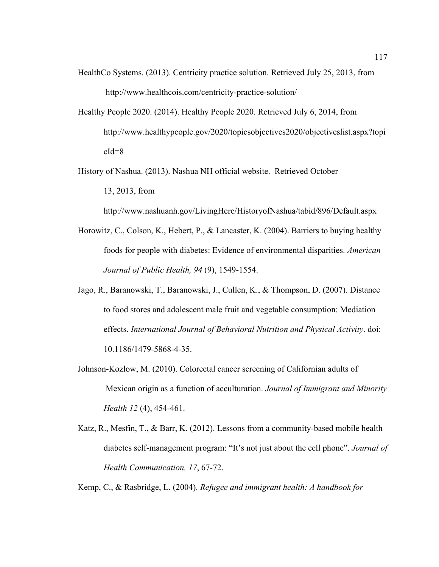- HealthCo Systems. (2013). Centricity practice solution. Retrieved July 25, 2013, from http://www.healthcois.com/centricity-practice-solution/
- Healthy People 2020. (2014). Healthy People 2020. Retrieved July 6, 2014, from http://www.healthypeople.gov/2020/topicsobjectives2020/objectiveslist.aspx?topi  $cId=8$
- History of Nashua. (2013). Nashua NH official website. Retrieved October 13, 2013, from

http://www.nashuanh.gov/LivingHere/HistoryofNashua/tabid/896/Default.aspx

- Horowitz, C., Colson, K., Hebert, P., & Lancaster, K. (2004). Barriers to buying healthy foods for people with diabetes: Evidence of environmental disparities. *American Journal of Public Health, 94* (9), 1549-1554.
- Jago, R., Baranowski, T., Baranowski, J., Cullen, K., & Thompson, D. (2007). Distance to food stores and adolescent male fruit and vegetable consumption: Mediation effects. *International Journal of Behavioral Nutrition and Physical Activity*. doi: 10.1186/1479-5868-4-35.
- Johnson-Kozlow, M. (2010). Colorectal cancer screening of Californian adults of Mexican origin as a function of acculturation. *Journal of Immigrant and Minority Health 12* (4), 454-461.
- Katz, R., Mesfin, T., & Barr, K. (2012). Lessons from a community-based mobile health diabetes self-management program: "It's not just about the cell phone". *Journal of Health Communication, 17*, 67-72.

Kemp, C., & Rasbridge, L. (2004). *Refugee and immigrant health: A handbook for*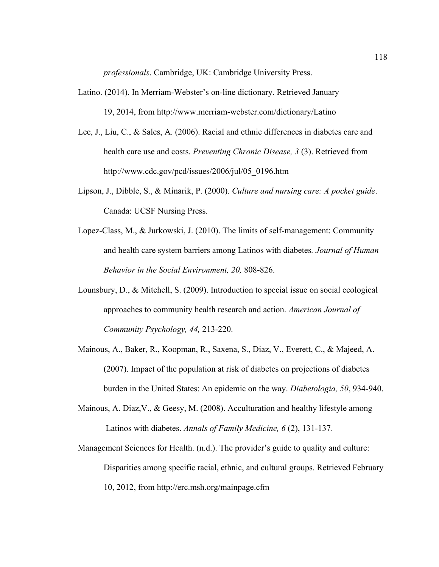*professionals*. Cambridge, UK: Cambridge University Press.

- Latino. (2014). In Merriam-Webster's on-line dictionary. Retrieved January 19, 2014, from http://www.merriam-webster.com/dictionary/Latino
- Lee, J., Liu, C., & Sales, A. (2006). Racial and ethnic differences in diabetes care and health care use and costs. *Preventing Chronic Disease, 3* (3). Retrieved from http://www.cdc.gov/pcd/issues/2006/jul/05\_0196.htm
- Lipson, J., Dibble, S., & Minarik, P. (2000). *Culture and nursing care: A pocket guide*. Canada: UCSF Nursing Press.
- Lopez-Class, M., & Jurkowski, J. (2010). The limits of self-management: Community and health care system barriers among Latinos with diabetes*. Journal of Human Behavior in the Social Environment, 20,* 808-826.
- Lounsbury, D., & Mitchell, S. (2009). Introduction to special issue on social ecological approaches to community health research and action. *American Journal of Community Psychology, 44,* 213-220.
- Mainous, A., Baker, R., Koopman, R., Saxena, S., Diaz, V., Everett, C., & Majeed, A. (2007). Impact of the population at risk of diabetes on projections of diabetes burden in the United States: An epidemic on the way. *Diabetologia, 50*, 934-940.
- Mainous, A. Diaz,V., & Geesy, M. (2008). Acculturation and healthy lifestyle among Latinos with diabetes. *Annals of Family Medicine, 6* (2), 131-137.
- Management Sciences for Health. (n.d.). The provider's guide to quality and culture: Disparities among specific racial, ethnic, and cultural groups. Retrieved February 10, 2012, from http://erc.msh.org/mainpage.cfm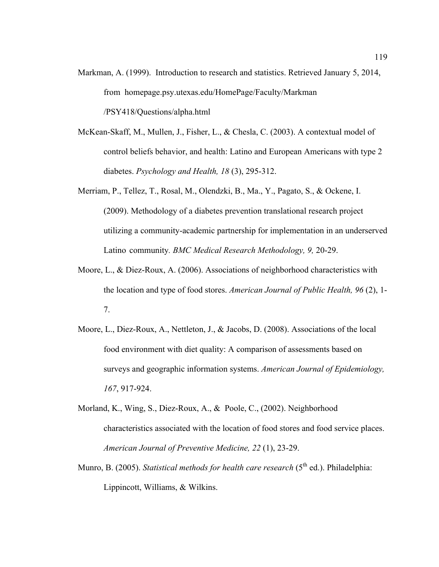- Markman, A. (1999). Introduction to research and statistics. Retrieved January 5, 2014, from homepage.psy.utexas.edu/HomePage/Faculty/Markman /PSY418/Questions/alpha.html
- McKean-Skaff, M., Mullen, J., Fisher, L., & Chesla, C. (2003). A contextual model of control beliefs behavior, and health: Latino and European Americans with type 2 diabetes. *Psychology and Health, 18* (3), 295-312.
- Merriam, P., Tellez, T., Rosal, M., Olendzki, B., Ma., Y., Pagato, S., & Ockene, I. (2009). Methodology of a diabetes prevention translational research project utilizing a community-academic partnership for implementation in an underserved Latino community*. BMC Medical Research Methodology, 9,* 20-29.
- Moore, L., & Diez-Roux, A. (2006). Associations of neighborhood characteristics with the location and type of food stores. *American Journal of Public Health, 96* (2), 1- 7.
- Moore, L., Diez-Roux, A., Nettleton, J., & Jacobs, D. (2008). Associations of the local food environment with diet quality: A comparison of assessments based on surveys and geographic information systems. *American Journal of Epidemiology, 167*, 917-924.
- Morland, K., Wing, S., Diez-Roux, A., & Poole, C., (2002). Neighborhood characteristics associated with the location of food stores and food service places. *American Journal of Preventive Medicine, 22* (1), 23-29.
- Munro, B. (2005). *Statistical methods for health care research* (5<sup>th</sup> ed.). Philadelphia: Lippincott, Williams, & Wilkins.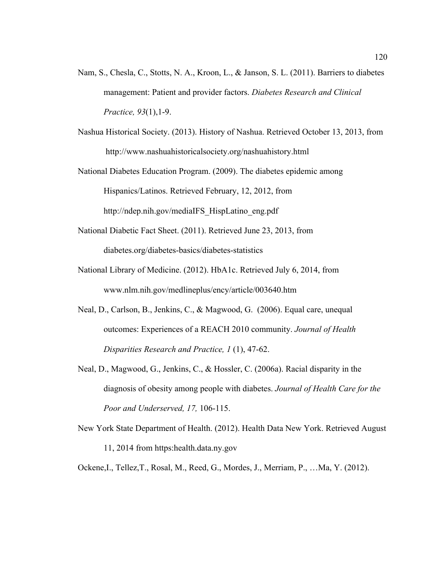- Nam, S., Chesla, C., Stotts, N. A., Kroon, L., & Janson, S. L. (2011). Barriers to diabetes management: Patient and provider factors. *Diabetes Research and Clinical Practice, 93*(1),1-9.
- Nashua Historical Society. (2013). History of Nashua. Retrieved October 13, 2013, from http://www.nashuahistoricalsociety.org/nashuahistory.html
- National Diabetes Education Program. (2009). The diabetes epidemic among Hispanics/Latinos. Retrieved February, 12, 2012, from http://ndep.nih.gov/mediaIFS\_HispLatino\_eng.pdf
- National Diabetic Fact Sheet. (2011). Retrieved June 23, 2013, from diabetes.org/diabetes-basics/diabetes-statistics
- National Library of Medicine. (2012). HbA1c. Retrieved July 6, 2014, from www.nlm.nih.gov/medlineplus/ency/article/003640.htm
- Neal, D., Carlson, B., Jenkins, C., & Magwood, G. (2006). Equal care, unequal outcomes: Experiences of a REACH 2010 community. *Journal of Health Disparities Research and Practice, 1* (1), 47-62.
- Neal, D., Magwood, G., Jenkins, C., & Hossler, C. (2006a). Racial disparity in the diagnosis of obesity among people with diabetes. *Journal of Health Care for the Poor and Underserved, 17,* 106-115.
- New York State Department of Health. (2012). Health Data New York. Retrieved August 11, 2014 from https:health.data.ny.gov

Ockene,I., Tellez,T., Rosal, M., Reed, G., Mordes, J., Merriam, P., …Ma, Y. (2012).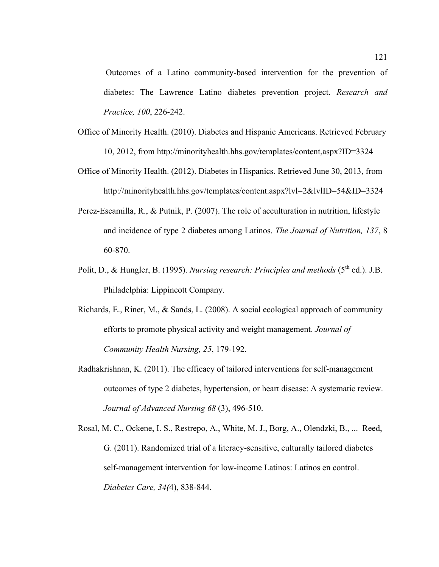Outcomes of a Latino community-based intervention for the prevention of diabetes: The Lawrence Latino diabetes prevention project. *Research and Practice, 100*, 226-242.

- Office of Minority Health. (2010). Diabetes and Hispanic Americans. Retrieved February 10, 2012, from http://minorityhealth.hhs.gov/templates/content,aspx?ID=3324
- Office of Minority Health. (2012). Diabetes in Hispanics. Retrieved June 30, 2013, from http://minorityhealth.hhs.gov/templates/content.aspx?lvl=2&lvlID=54&ID=3324
- Perez-Escamilla, R., & Putnik, P. (2007). The role of acculturation in nutrition, lifestyle and incidence of type 2 diabetes among Latinos. *The Journal of Nutrition, 137*, 8 60-870.
- Polit, D., & Hungler, B. (1995). *Nursing research: Principles and methods* (5<sup>th</sup> ed.). J.B. Philadelphia: Lippincott Company.
- Richards, E., Riner, M., & Sands, L. (2008). A social ecological approach of community efforts to promote physical activity and weight management. *Journal of Community Health Nursing, 25*, 179-192.
- Radhakrishnan, K. (2011). The efficacy of tailored interventions for self-management outcomes of type 2 diabetes, hypertension, or heart disease: A systematic review. *Journal of Advanced Nursing 68* (3), 496-510.
- Rosal, M. C., Ockene, I. S., Restrepo, A., White, M. J., Borg, A., Olendzki, B., ... Reed, G. (2011). Randomized trial of a literacy-sensitive, culturally tailored diabetes self-management intervention for low-income Latinos: Latinos en control. *Diabetes Care, 34(*4), 838-844.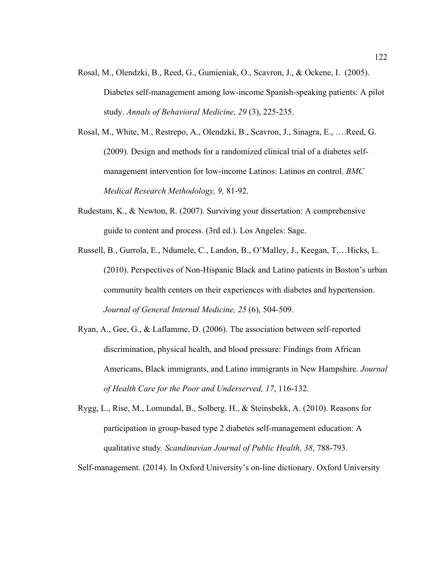- Rosal, M., Olendzki, B., Reed, G., Gumieniak, O., Scavron, J., & Ockene, I. (2005). Diabetes self-management among low-income Spanish-speaking patients: A pilot study. *Annals of Behavioral Medicine, 29* (3), 225-235.
- Rosal, M., White, M., Restrepo, A., Olendzki, B., Scavron, J., Sinagra, E., ….Reed, G. (2009). Design and methods for a randomized clinical trial of a diabetes selfmanagement intervention for low-income Latinos: Latinos en control. *BMC Medical Research Methodology, 9,* 81-92.
- Rudestam, K., & Newton, R. (2007). Surviving your dissertation: A comprehensive guide to content and process. (3rd ed.). Los Angeles: Sage.
- Russell, B., Gurrola, E., Ndumele, C., Landon, B., O'Malley, J., Keegan, T,…Hicks, L. (2010). Perspectives of Non-Hispanic Black and Latino patients in Boston's urban community health centers on their experiences with diabetes and hypertension. *Journal of General Internal Medicine, 25* (6), 504-509.
- Ryan, A., Gee, G., & Laflamme, D. (2006). The association between self-reported discrimination, physical health, and blood pressure: Findings from African Americans, Black immigrants, and Latino immigrants in New Hampshire. *Journal of Health Care for the Poor and Underserved, 17*, 116-132.
- Rygg, L., Rise, M., Lomundal, B., Solberg. H., & Steinsbekk, A. (2010). Reasons for participation in group-based type 2 diabetes self-management education: A qualitative study*. Scandinavian Journal of Public Health, 38*, 788-793.

Self-management. (2014). In Oxford University's on-line dictionary. Oxford University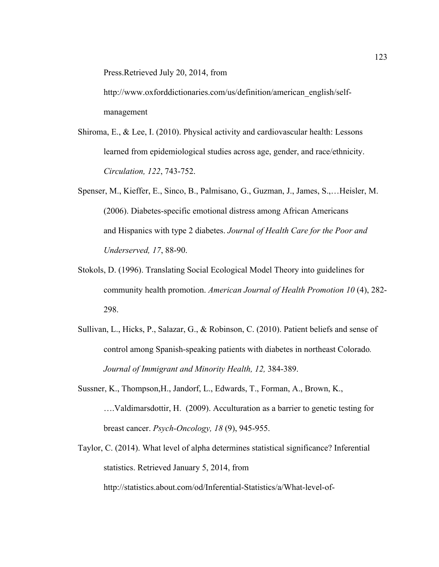Press.Retrieved July 20, 2014, from

http://www.oxforddictionaries.com/us/definition/american\_english/selfmanagement

- Shiroma, E., & Lee, I. (2010). Physical activity and cardiovascular health: Lessons learned from epidemiological studies across age, gender, and race/ethnicity. *Circulation, 122*, 743-752.
- Spenser, M., Kieffer, E., Sinco, B., Palmisano, G., Guzman, J., James, S.,…Heisler, M. (2006). Diabetes-specific emotional distress among African Americans and Hispanics with type 2 diabetes. *Journal of Health Care for the Poor and Underserved, 17*, 88-90.
- Stokols, D. (1996). Translating Social Ecological Model Theory into guidelines for community health promotion. *American Journal of Health Promotion 10* (4), 282- 298.
- Sullivan, L., Hicks, P., Salazar, G., & Robinson, C. (2010). Patient beliefs and sense of control among Spanish-speaking patients with diabetes in northeast Colorado*. Journal of Immigrant and Minority Health, 12,* 384-389.
- Sussner, K., Thompson,H., Jandorf, L., Edwards, T., Forman, A., Brown, K., ….Valdimarsdottir, H. (2009). Acculturation as a barrier to genetic testing for breast cancer. *Psych-Oncology, 18* (9), 945-955.
- Taylor, C. (2014). What level of alpha determines statistical significance? Inferential statistics. Retrieved January 5, 2014, from

http://statistics.about.com/od/Inferential-Statistics/a/What-level-of-